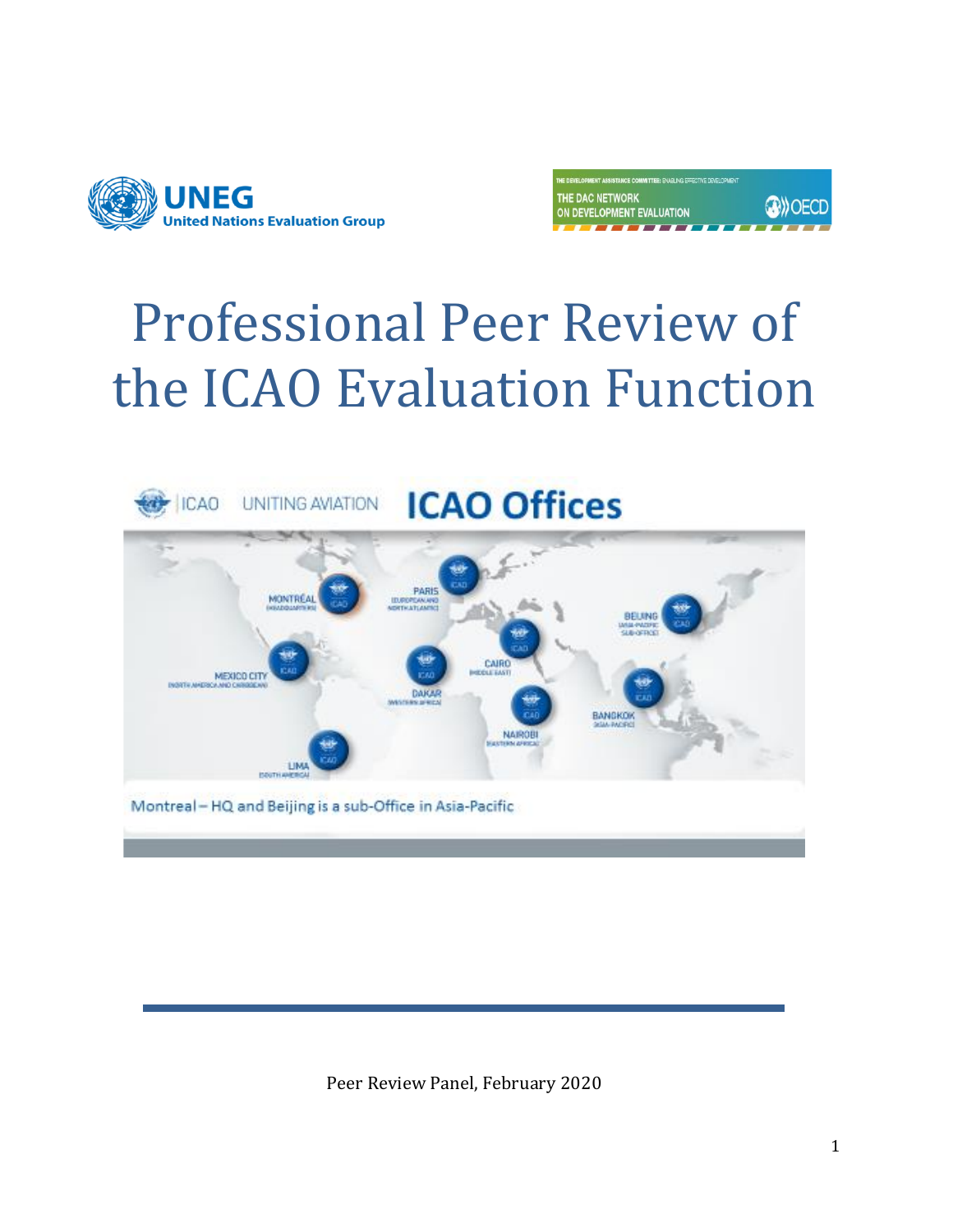

| THE DEVELOPMENT ASSISTANCE COMMITTEE: ENABLING EFFECTIVE DEVELOPMENT |               |
|----------------------------------------------------------------------|---------------|
| THE DAC NETWORK<br>ON DEVELOPMENT EVALUATION                         | <b>OWOECD</b> |
|                                                                      |               |

# Professional Peer Review of the ICAO Evaluation Function



Peer Review Panel, February 2020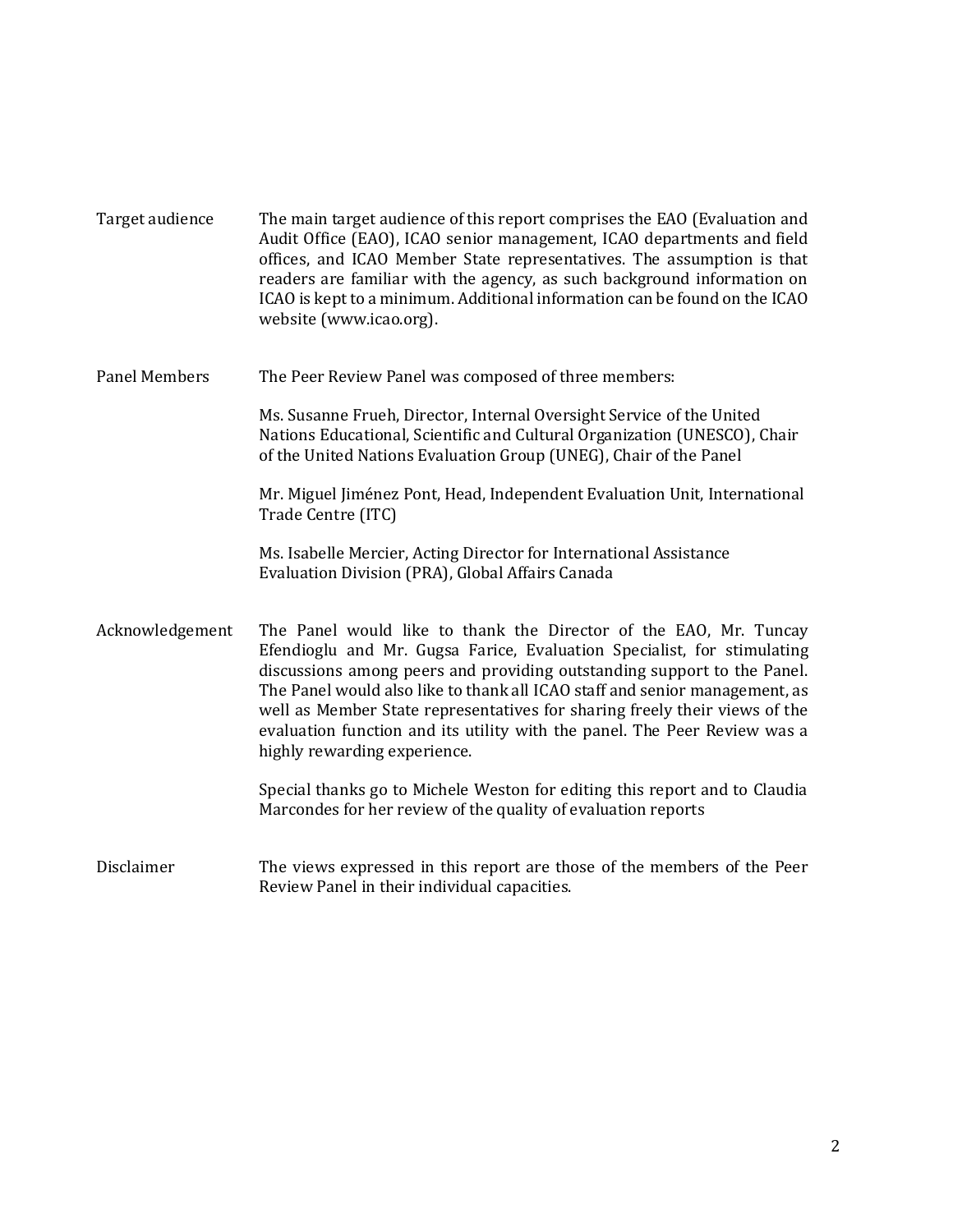| Target audience      | The main target audience of this report comprises the EAO (Evaluation and<br>Audit Office (EAO), ICAO senior management, ICAO departments and field<br>offices, and ICAO Member State representatives. The assumption is that<br>readers are familiar with the agency, as such background information on<br>ICAO is kept to a minimum. Additional information can be found on the ICAO<br>website (www.icao.org).                                                                                 |
|----------------------|---------------------------------------------------------------------------------------------------------------------------------------------------------------------------------------------------------------------------------------------------------------------------------------------------------------------------------------------------------------------------------------------------------------------------------------------------------------------------------------------------|
| <b>Panel Members</b> | The Peer Review Panel was composed of three members:                                                                                                                                                                                                                                                                                                                                                                                                                                              |
|                      | Ms. Susanne Frueh, Director, Internal Oversight Service of the United<br>Nations Educational, Scientific and Cultural Organization (UNESCO), Chair<br>of the United Nations Evaluation Group (UNEG), Chair of the Panel                                                                                                                                                                                                                                                                           |
|                      | Mr. Miguel Jiménez Pont, Head, Independent Evaluation Unit, International<br>Trade Centre (ITC)                                                                                                                                                                                                                                                                                                                                                                                                   |
|                      | Ms. Isabelle Mercier, Acting Director for International Assistance<br>Evaluation Division (PRA), Global Affairs Canada                                                                                                                                                                                                                                                                                                                                                                            |
| Acknowledgement      | The Panel would like to thank the Director of the EAO, Mr. Tuncay<br>Efendioglu and Mr. Gugsa Farice, Evaluation Specialist, for stimulating<br>discussions among peers and providing outstanding support to the Panel.<br>The Panel would also like to thank all ICAO staff and senior management, as<br>well as Member State representatives for sharing freely their views of the<br>evaluation function and its utility with the panel. The Peer Review was a<br>highly rewarding experience. |
|                      | Special thanks go to Michele Weston for editing this report and to Claudia<br>Marcondes for her review of the quality of evaluation reports                                                                                                                                                                                                                                                                                                                                                       |
| Disclaimer           | The views expressed in this report are those of the members of the Peer<br>Review Panel in their individual capacities.                                                                                                                                                                                                                                                                                                                                                                           |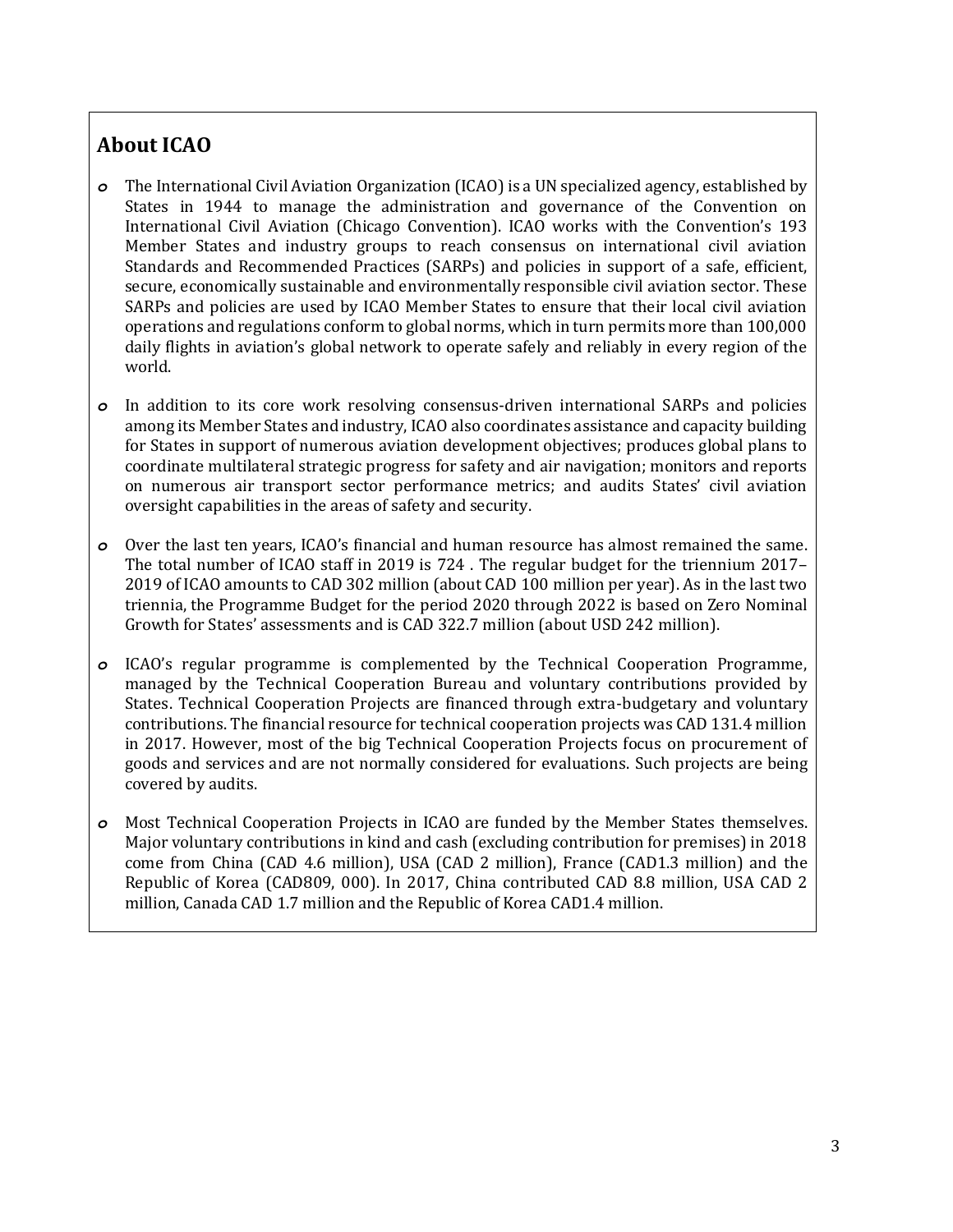# <span id="page-2-0"></span>**About ICAO**

- *o* The International Civil Aviation Organization (ICAO) is a UN specialized agency, established by States in 1944 to manage the administration and governance of the Convention on International Civil Aviation (Chicago Convention). ICAO works with the Convention's 193 Member States and industry groups to reach consensus on international civil aviation Standards and Recommended Practices (SARPs) and policies in support of a safe, efficient, secure, economically sustainable and environmentally responsible civil aviation sector. These SARPs and policies are used by ICAO Member States to ensure that their local civil aviation operations and regulations conform to global norms, which in turn permits more than 100,000 daily flights in aviation's global network to operate safely and reliably in every region of the world.
- *o* In addition to its core work resolving consensus-driven international SARPs and policies among its Member States and industry, ICAO also coordinates assistance and capacity building for States in support of numerous aviation development objectives; produces global plans to coordinate multilateral strategic progress for safety and air navigation; monitors and reports on numerous air transport sector performance metrics; and audits States' civil aviation oversight capabilities in the areas of safety and security.
- *o* Over the last ten years, ICAO's financial and human resource has almost remained the same. The total number of ICAO staff in 2019 is 724 . The regular budget for the triennium 2017– 2019 of ICAO amounts to CAD 302 million (about CAD 100 million per year). As in the last two triennia, the Programme Budget for the period 2020 through 2022 is based on Zero Nominal Growth for States' assessments and is CAD 322.7 million (about USD 242 million).
- *o* ICAO's regular programme is complemented by the Technical Cooperation Programme, managed by the Technical Cooperation Bureau and voluntary contributions provided by States. Technical Cooperation Projects are financed through extra-budgetary and voluntary contributions. The financial resource for technical cooperation projects was CAD 131.4 million in 2017. However, most of the big Technical Cooperation Projects focus on procurement of goods and services and are not normally considered for evaluations. Such projects are being covered by audits.
- *o* Most Technical Cooperation Projects in ICAO are funded by the Member States themselves. Major voluntary contributions in kind and cash (excluding contribution for premises) in 2018 come from China (CAD 4.6 million), USA (CAD 2 million), France (CAD1.3 million) and the Republic of Korea (CAD809, 000). In 2017, China contributed CAD 8.8 million, USA CAD 2 million, Canada CAD 1.7 million and the Republic of Korea CAD1.4 million.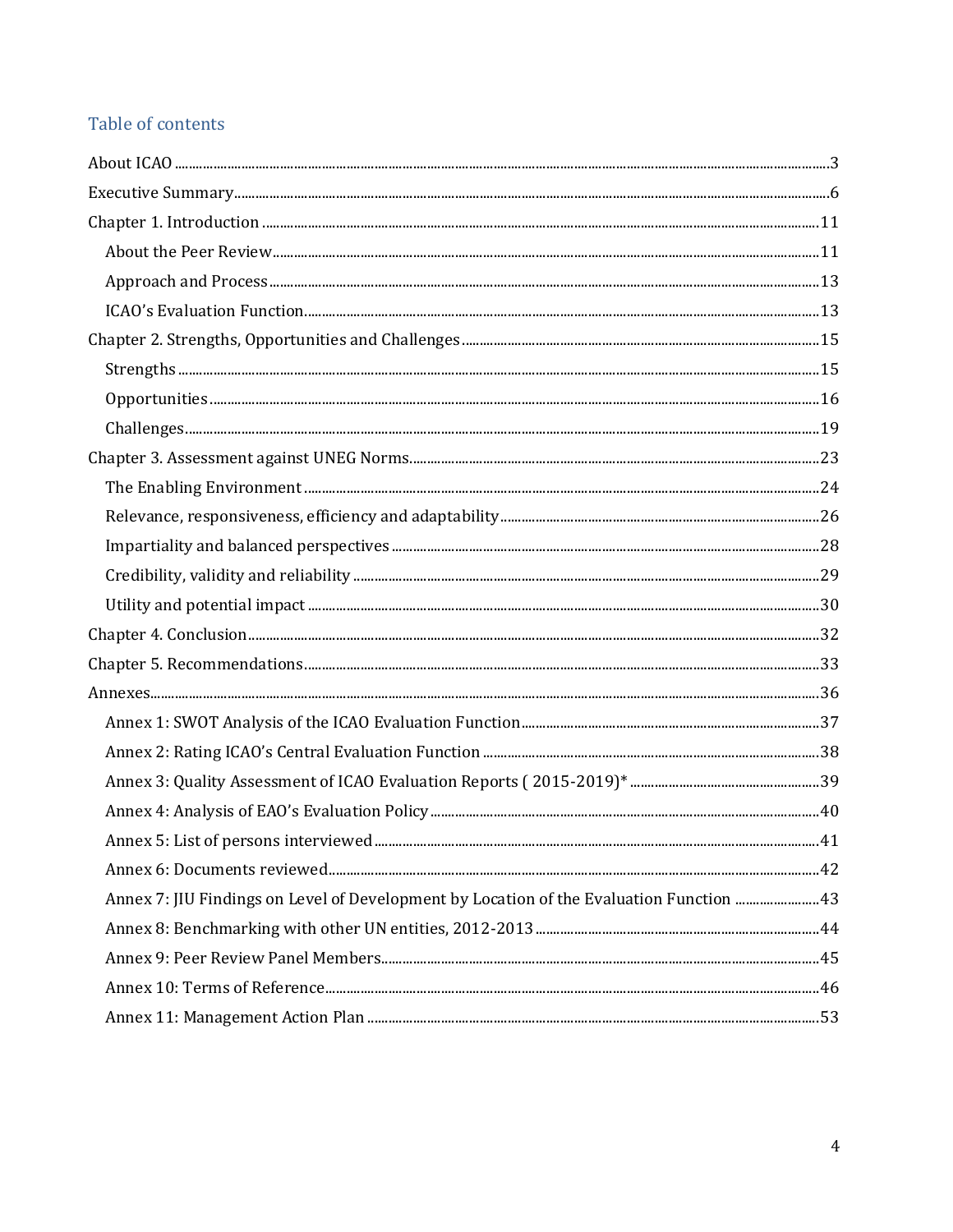# Table of contents

| Annex 7: JIU Findings on Level of Development by Location of the Evaluation Function 43 |  |
|-----------------------------------------------------------------------------------------|--|
|                                                                                         |  |
|                                                                                         |  |
|                                                                                         |  |
|                                                                                         |  |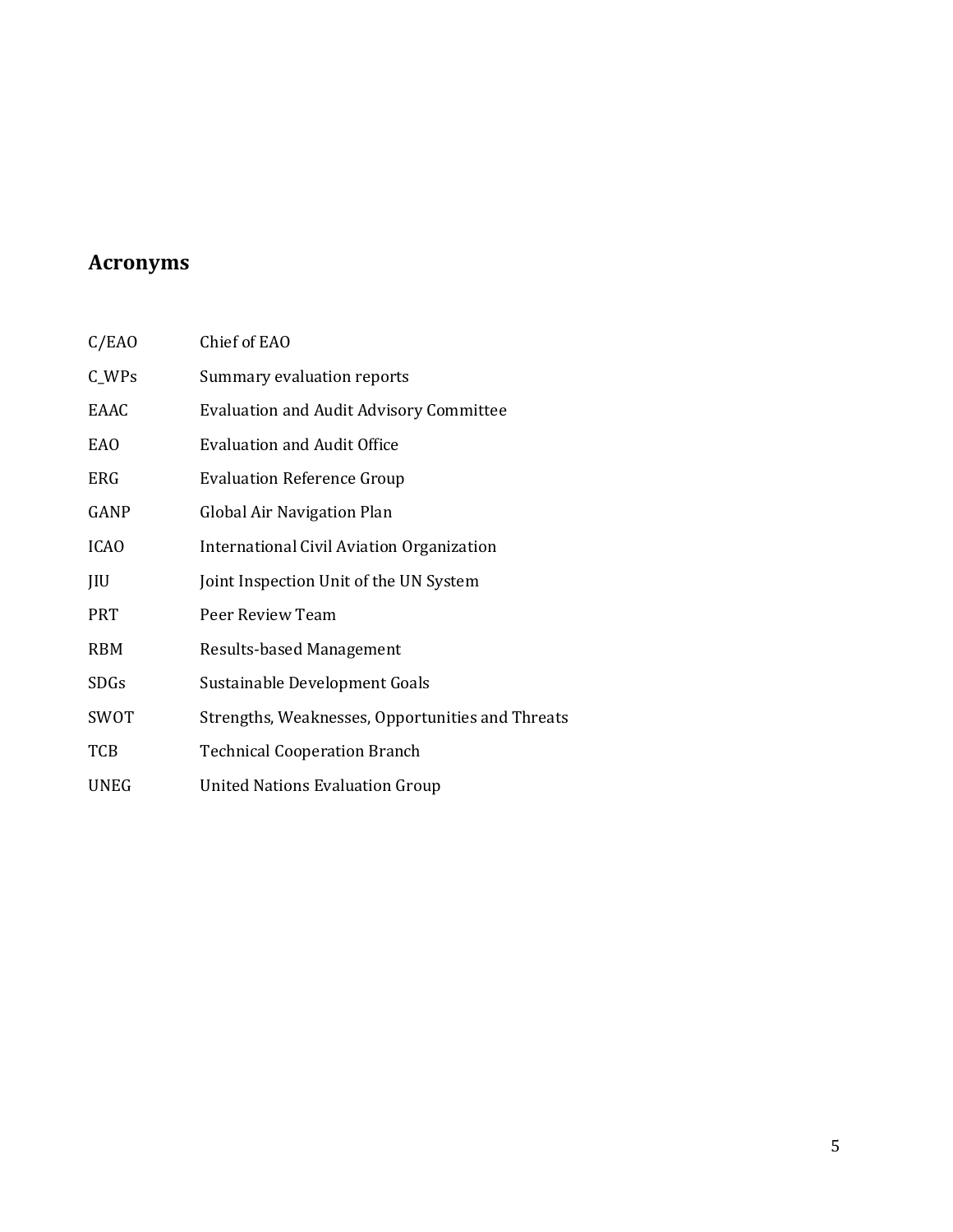# **Acronyms**

| C/EAO       | Chief of EAO                                     |
|-------------|--------------------------------------------------|
| $C_WPs$     | Summary evaluation reports                       |
| EAAC        | <b>Evaluation and Audit Advisory Committee</b>   |
| <b>EAO</b>  | <b>Evaluation and Audit Office</b>               |
| <b>ERG</b>  | <b>Evaluation Reference Group</b>                |
| GANP        | Global Air Navigation Plan                       |
| <b>ICAO</b> | International Civil Aviation Organization        |
| JIU         | Joint Inspection Unit of the UN System           |
| <b>PRT</b>  | Peer Review Team                                 |
| <b>RBM</b>  | Results-based Management                         |
| <b>SDGs</b> | Sustainable Development Goals                    |
| SWOT        | Strengths, Weaknesses, Opportunities and Threats |
| TCB         | <b>Technical Cooperation Branch</b>              |
| <b>UNEG</b> | <b>United Nations Evaluation Group</b>           |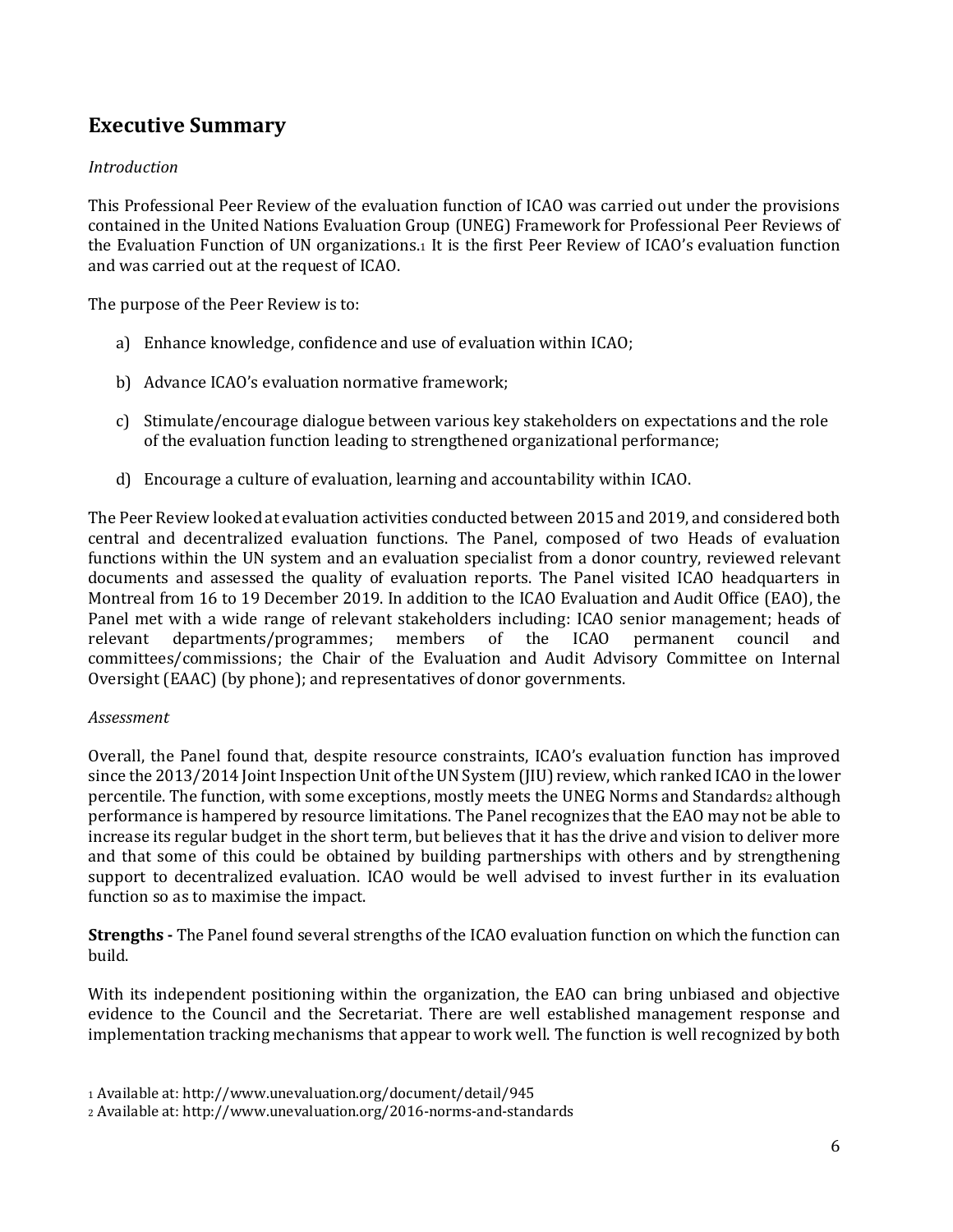# <span id="page-5-0"></span>**Executive Summary**

#### *Introduction*

This Professional Peer Review of the evaluation function of ICAO was carried out under the provisions contained in the United Nations Evaluation Group (UNEG) Framework for Professional Peer Reviews of the Evaluation Function of UN organizations.<sup>1</sup> It is the first Peer Review of ICAO's evaluation function and was carried out at the request of ICAO.

The purpose of the Peer Review is to:

- a) Enhance knowledge, confidence and use of evaluation within ICAO;
- b) Advance ICAO's evaluation normative framework;
- c) Stimulate/encourage dialogue between various key stakeholders on expectations and the role of the evaluation function leading to strengthened organizational performance;
- d) Encourage a culture of evaluation, learning and accountability within ICAO.

The Peer Review looked at evaluation activities conducted between 2015 and 2019, and considered both central and decentralized evaluation functions. The Panel, composed of two Heads of evaluation functions within the UN system and an evaluation specialist from a donor country, reviewed relevant documents and assessed the quality of evaluation reports. The Panel visited ICAO headquarters in Montreal from 16 to 19 December 2019. In addition to the ICAO Evaluation and Audit Office (EAO), the Panel met with a wide range of relevant stakeholders including: ICAO senior management; heads of relevant departments/programmes; members of the ICAO permanent council and committees/commissions; the Chair of the Evaluation and Audit Advisory Committee on Internal Oversight (EAAC) (by phone); and representatives of donor governments.

#### *Assessment*

Overall, the Panel found that, despite resource constraints, ICAO's evaluation function has improved since the 2013/2014 Joint Inspection Unit of the UN System (JIU) review, which ranked ICAO in the lower percentile. The function, with some exceptions, mostly meets the UNEG Norms and Standardsz although performance is hampered by resource limitations. The Panel recognizes that the EAO may not be able to increase its regular budget in the short term, but believes that it has the drive and vision to deliver more and that some of this could be obtained by building partnerships with others and by strengthening support to decentralized evaluation. ICAO would be well advised to invest further in its evaluation function so as to maximise the impact.

**Strengths -** The Panel found several strengths of the ICAO evaluation function on which the function can build.

With its independent positioning within the organization, the EAO can bring unbiased and objective evidence to the Council and the Secretariat. There are well established management response and implementation tracking mechanisms that appear to work well. The function is well recognized by both

<sup>1</sup> Available at: http://www.unevaluation.org/document/detail/945

<sup>2</sup> Available at: http://www.unevaluation.org/2016-norms-and-standards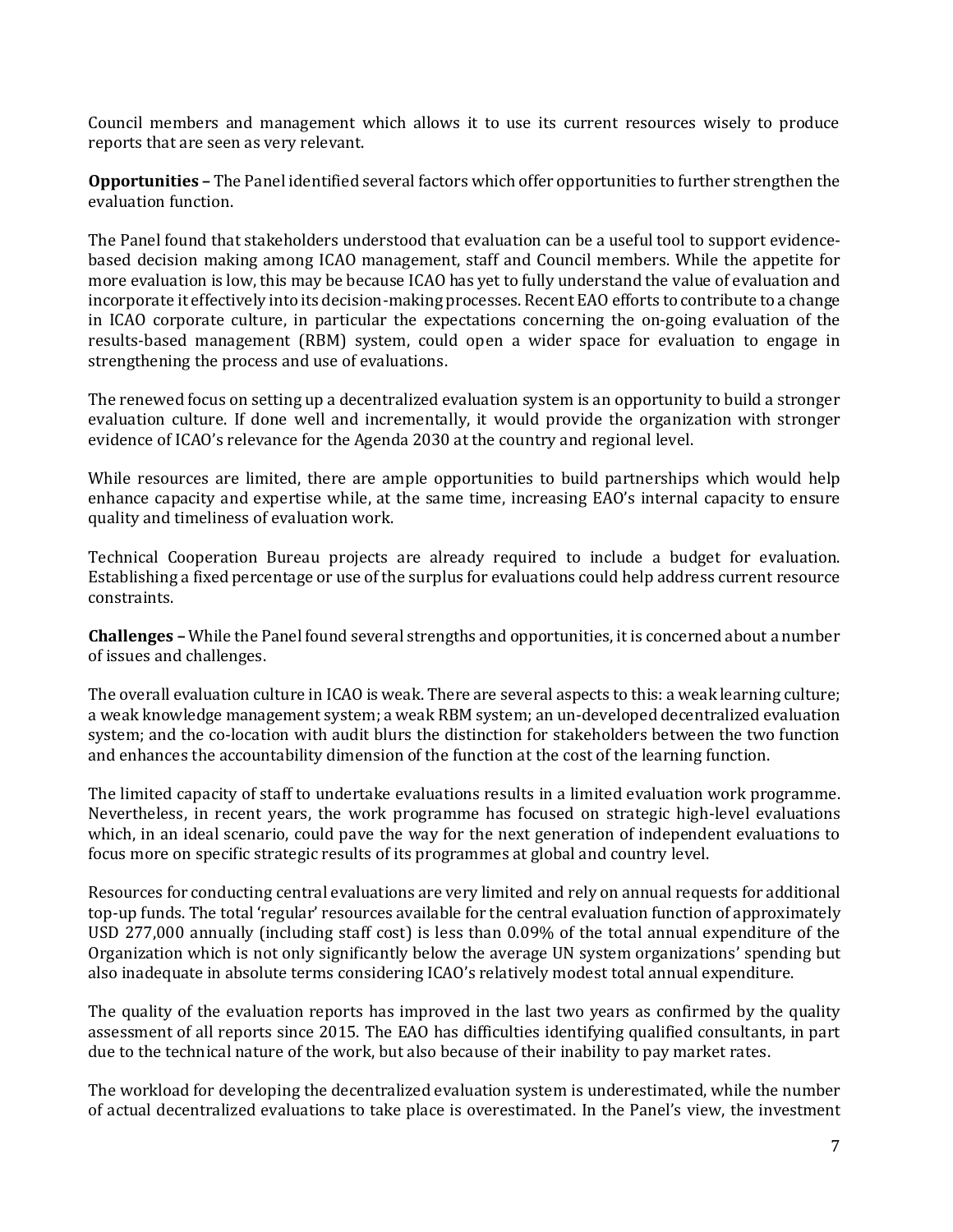Council members and management which allows it to use its current resources wisely to produce reports that are seen as very relevant.

**Opportunities –** The Panel identified several factors which offer opportunities to further strengthen the evaluation function.

The Panel found that stakeholders understood that evaluation can be a useful tool to support evidencebased decision making among ICAO management, staff and Council members. While the appetite for more evaluation is low, this may be because ICAO has yet to fully understand the value of evaluation and incorporate it effectively into its decision-making processes. Recent EAO efforts to contribute to a change in ICAO corporate culture, in particular the expectations concerning the on-going evaluation of the results-based management (RBM) system, could open a wider space for evaluation to engage in strengthening the process and use of evaluations.

The renewed focus on setting up a decentralized evaluation system is an opportunity to build a stronger evaluation culture. If done well and incrementally, it would provide the organization with stronger evidence of ICAO's relevance for the Agenda 2030 at the country and regional level.

While resources are limited, there are ample opportunities to build partnerships which would help enhance capacity and expertise while, at the same time, increasing EAO's internal capacity to ensure quality and timeliness of evaluation work.

Technical Cooperation Bureau projects are already required to include a budget for evaluation. Establishing a fixed percentage or use of the surplus for evaluations could help address current resource constraints.

**Challenges –** While the Panel found several strengths and opportunities, it is concerned about a number of issues and challenges.

The overall evaluation culture in ICAO is weak. There are several aspects to this: a weak learning culture; a weak knowledge management system; a weak RBM system; an un-developed decentralized evaluation system; and the co-location with audit blurs the distinction for stakeholders between the two function and enhances the accountability dimension of the function at the cost of the learning function.

The limited capacity of staff to undertake evaluations results in a limited evaluation work programme. Nevertheless, in recent years, the work programme has focused on strategic high-level evaluations which, in an ideal scenario, could pave the way for the next generation of independent evaluations to focus more on specific strategic results of its programmes at global and country level.

Resources for conducting central evaluations are very limited and rely on annual requests for additional top-up funds. The total 'regular' resources available for the central evaluation function of approximately USD 277,000 annually (including staff cost) is less than 0.09% of the total annual expenditure of the Organization which is not only significantly below the average UN system organizations' spending but also inadequate in absolute terms considering ICAO's relatively modest total annual expenditure.

The quality of the evaluation reports has improved in the last two years as confirmed by the quality assessment of all reports since 2015. The EAO has difficulties identifying qualified consultants, in part due to the technical nature of the work, but also because of their inability to pay market rates.

The workload for developing the decentralized evaluation system is underestimated, while the number of actual decentralized evaluations to take place is overestimated. In the Panel's view, the investment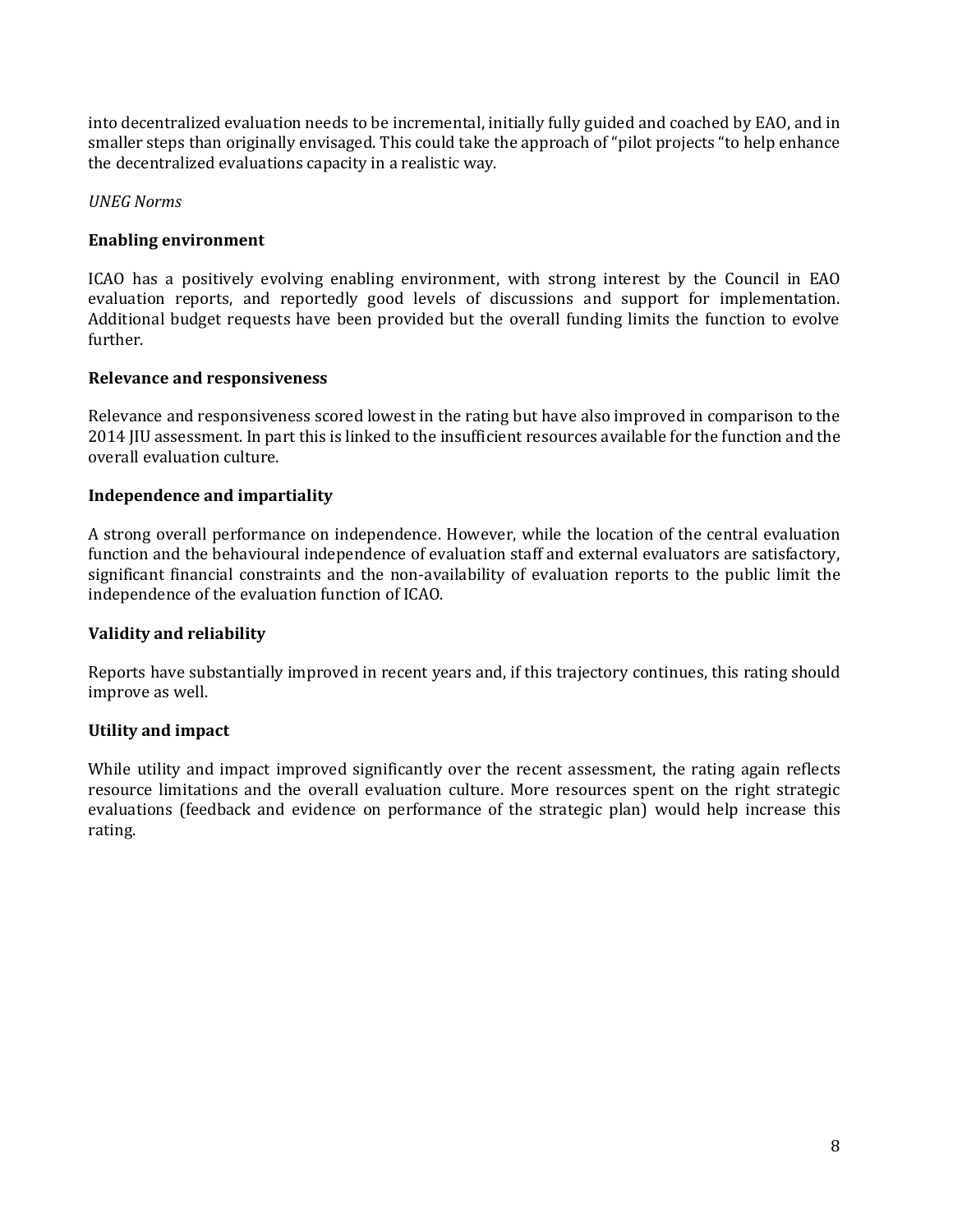into decentralized evaluation needs to be incremental, initially fully guided and coached by EAO, and in smaller steps than originally envisaged. This could take the approach of "pilot projects "to help enhance the decentralized evaluations capacity in a realistic way.

#### *UNEG Norms*

#### **Enabling environment**

ICAO has a positively evolving enabling environment, with strong interest by the Council in EAO evaluation reports, and reportedly good levels of discussions and support for implementation. Additional budget requests have been provided but the overall funding limits the function to evolve further.

#### **Relevance and responsiveness**

Relevance and responsiveness scored lowest in the rating but have also improved in comparison to the 2014 JIU assessment. In part this is linked to the insufficient resources available for the function and the overall evaluation culture.

#### **Independence and impartiality**

A strong overall performance on independence. However, while the location of the central evaluation function and the behavioural independence of evaluation staff and external evaluators are satisfactory, significant financial constraints and the non-availability of evaluation reports to the public limit the independence of the evaluation function of ICAO.

#### **Validity and reliability**

Reports have substantially improved in recent years and, if this trajectory continues, this rating should improve as well.

#### **Utility and impact**

While utility and impact improved significantly over the recent assessment, the rating again reflects resource limitations and the overall evaluation culture. More resources spent on the right strategic evaluations (feedback and evidence on performance of the strategic plan) would help increase this rating.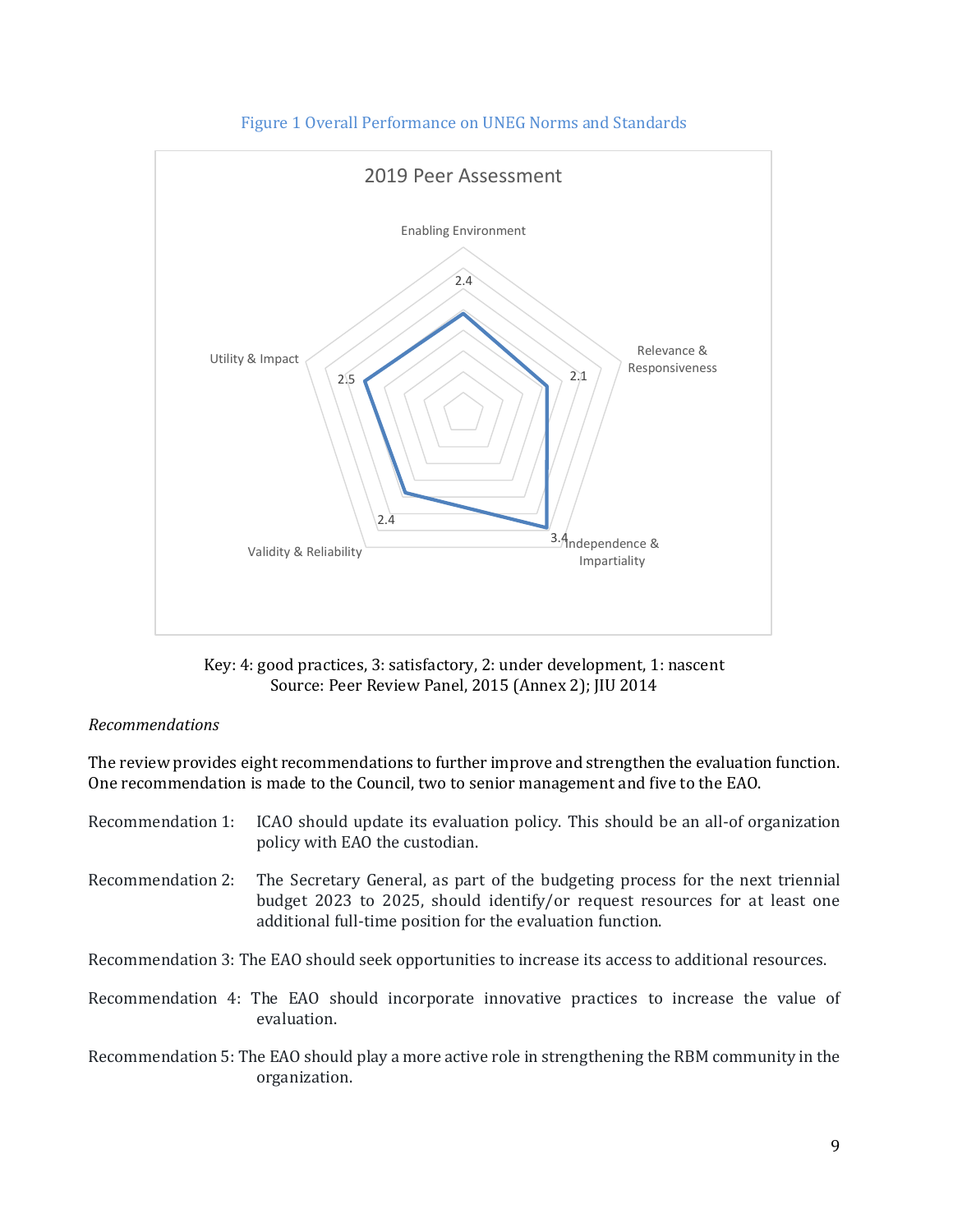

Figure 1 Overall Performance on UNEG Norms and Standards

Key: 4: good practices, 3: satisfactory, 2: under development, 1: nascent Source: Peer Review Panel, 2015 (Annex 2); JIU 2014

#### *Recommendations*

The review provides eight recommendations to further improve and strengthen the evaluation function. One recommendation is made to the Council, two to senior management and five to the EAO.

| Recommendation 1: ICAO should update its evaluation policy. This should be an all-of organization |
|---------------------------------------------------------------------------------------------------|
| policy with EAO the custodian.                                                                    |
|                                                                                                   |

Recommendation 2: The Secretary General, as part of the budgeting process for the next triennial budget 2023 to 2025, should identify/or request resources for at least one additional full-time position for the evaluation function.

Recommendation 3: The EAO should seek opportunities to increase its access to additional resources.

Recommendation 4: The EAO should incorporate innovative practices to increase the value of evaluation.

Recommendation 5: The EAO should play a more active role in strengthening the RBM community in the organization.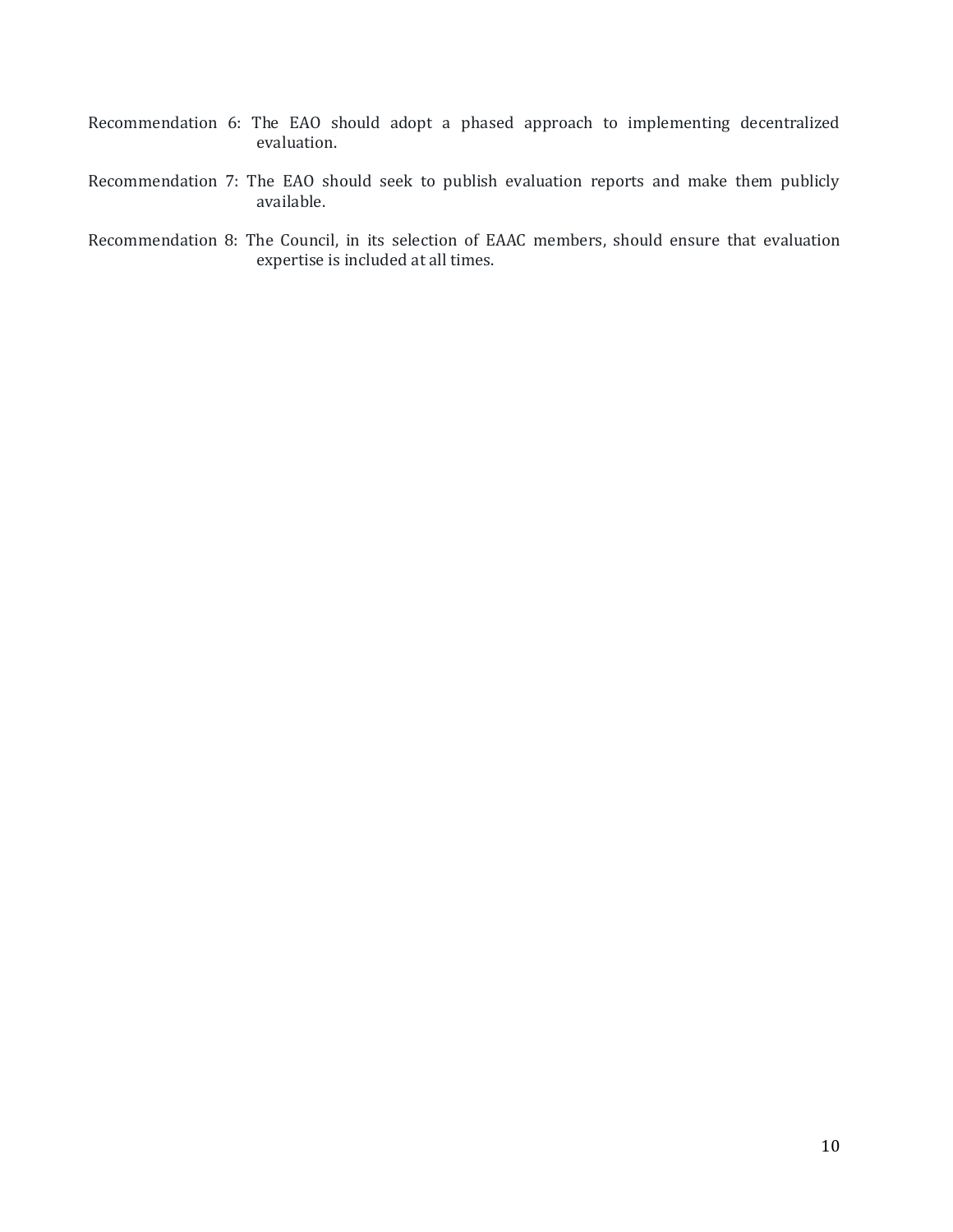- Recommendation 6: The EAO should adopt a phased approach to implementing decentralized evaluation.
- Recommendation 7: The EAO should seek to publish evaluation reports and make them publicly available.
- Recommendation 8: The Council, in its selection of EAAC members, should ensure that evaluation expertise is included at all times.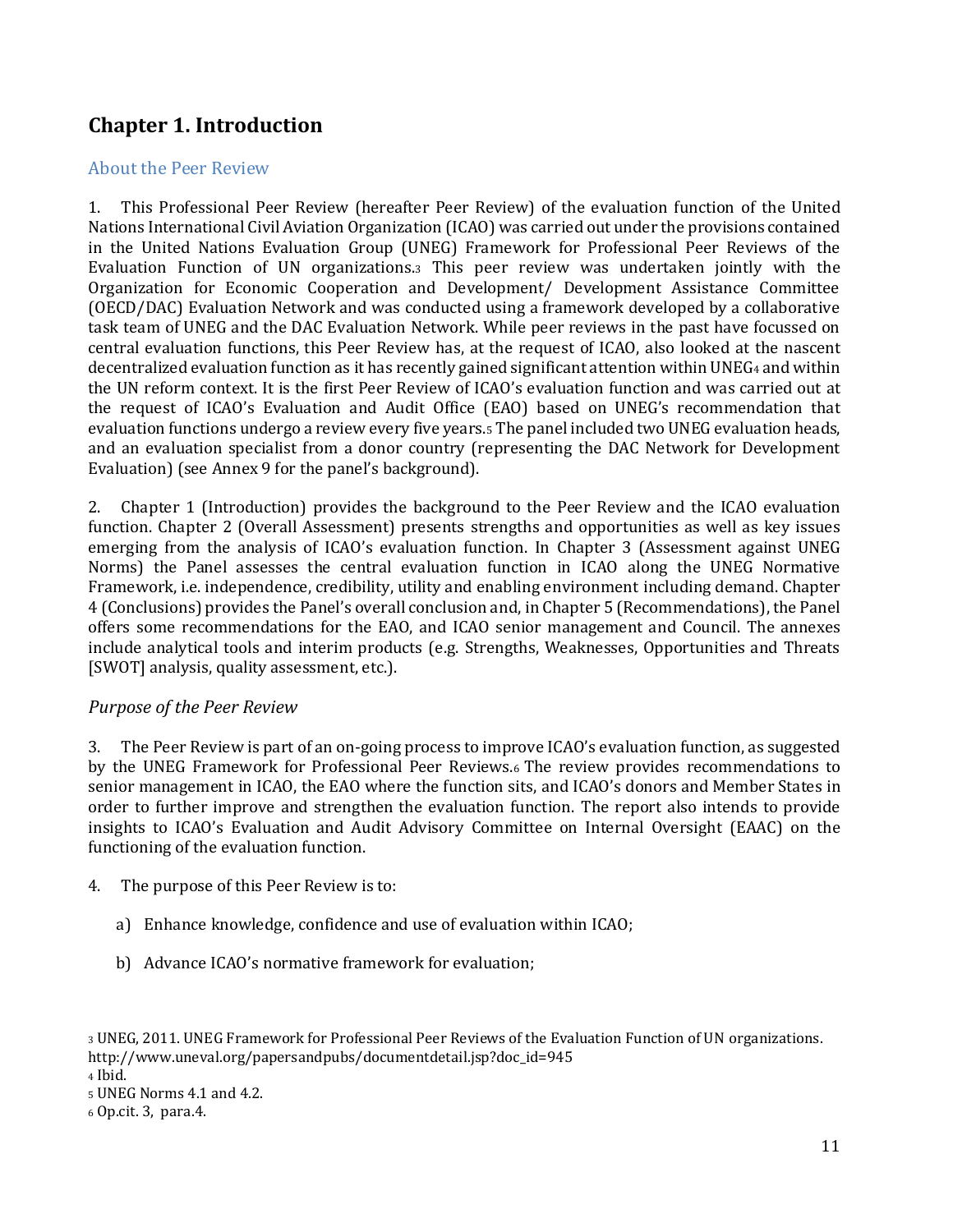# <span id="page-10-0"></span>**Chapter 1. Introduction**

#### <span id="page-10-1"></span>About the Peer Review

1. This Professional Peer Review (hereafter Peer Review) of the evaluation function of the United Nations International Civil Aviation Organization (ICAO) was carried out under the provisions contained in the United Nations Evaluation Group (UNEG) Framework for Professional Peer Reviews of the Evaluation Function of UN organizations.<sup>3</sup> This peer review was undertaken jointly with the Organization for Economic Cooperation and Development/ Development Assistance Committee (OECD/DAC) Evaluation Network and was conducted using a framework developed by a collaborative task team of UNEG and the DAC Evaluation Network. While peer reviews in the past have focussed on central evaluation functions, this Peer Review has, at the request of ICAO, also looked at the nascent decentralized evaluation function as it has recently gained significant attention within UNEG<sup>4</sup> and within the UN reform context. It is the first Peer Review of ICAO's evaluation function and was carried out at the request of ICAO's Evaluation and Audit Office (EAO) based on UNEG's recommendation that evaluation functions undergo a review every five years.<sup>5</sup> The panel included two UNEG evaluation heads, and an evaluation specialist from a donor country (representing the DAC Network for Development Evaluation) (see Annex 9 for the panel's background).

2. Chapter 1 (Introduction) provides the background to the Peer Review and the ICAO evaluation function. Chapter 2 (Overall Assessment) presents strengths and opportunities as well as key issues emerging from the analysis of ICAO's evaluation function. In Chapter 3 (Assessment against UNEG Norms) the Panel assesses the central evaluation function in ICAO along the UNEG Normative Framework, i.e. independence, credibility, utility and enabling environment including demand. Chapter 4 (Conclusions) provides the Panel's overall conclusion and, in Chapter 5 (Recommendations), the Panel offers some recommendations for the EAO, and ICAO senior management and Council. The annexes include analytical tools and interim products (e.g. Strengths, Weaknesses, Opportunities and Threats [SWOT] analysis, quality assessment, etc.].

#### *Purpose of the Peer Review*

3. The Peer Review is part of an on-going process to improve ICAO's evaluation function, as suggested by the UNEG Framework for Professional Peer Reviews.<sup>6</sup> The review provides recommendations to senior management in ICAO, the EAO where the function sits, and ICAO's donors and Member States in order to further improve and strengthen the evaluation function. The report also intends to provide insights to ICAO's Evaluation and Audit Advisory Committee on Internal Oversight (EAAC) on the functioning of the evaluation function.

- 4. The purpose of this Peer Review is to:
	- a) Enhance knowledge, confidence and use of evaluation within ICAO;
	- b) Advance ICAO's normative framework for evaluation;

<sup>4</sup> Ibid.

<sup>3</sup> UNEG, 2011. UNEG Framework for Professional Peer Reviews of the Evaluation Function of UN organizations. [http://www.uneval.org/papersandpubs/documentdetail.jsp?doc\\_id=945](http://www.uneval.org/papersandpubs/documentdetail.jsp?doc_id=945)

<sup>5</sup> UNEG Norms 4.1 and 4.2.

<sup>6</sup> Op.cit. 3, para.4.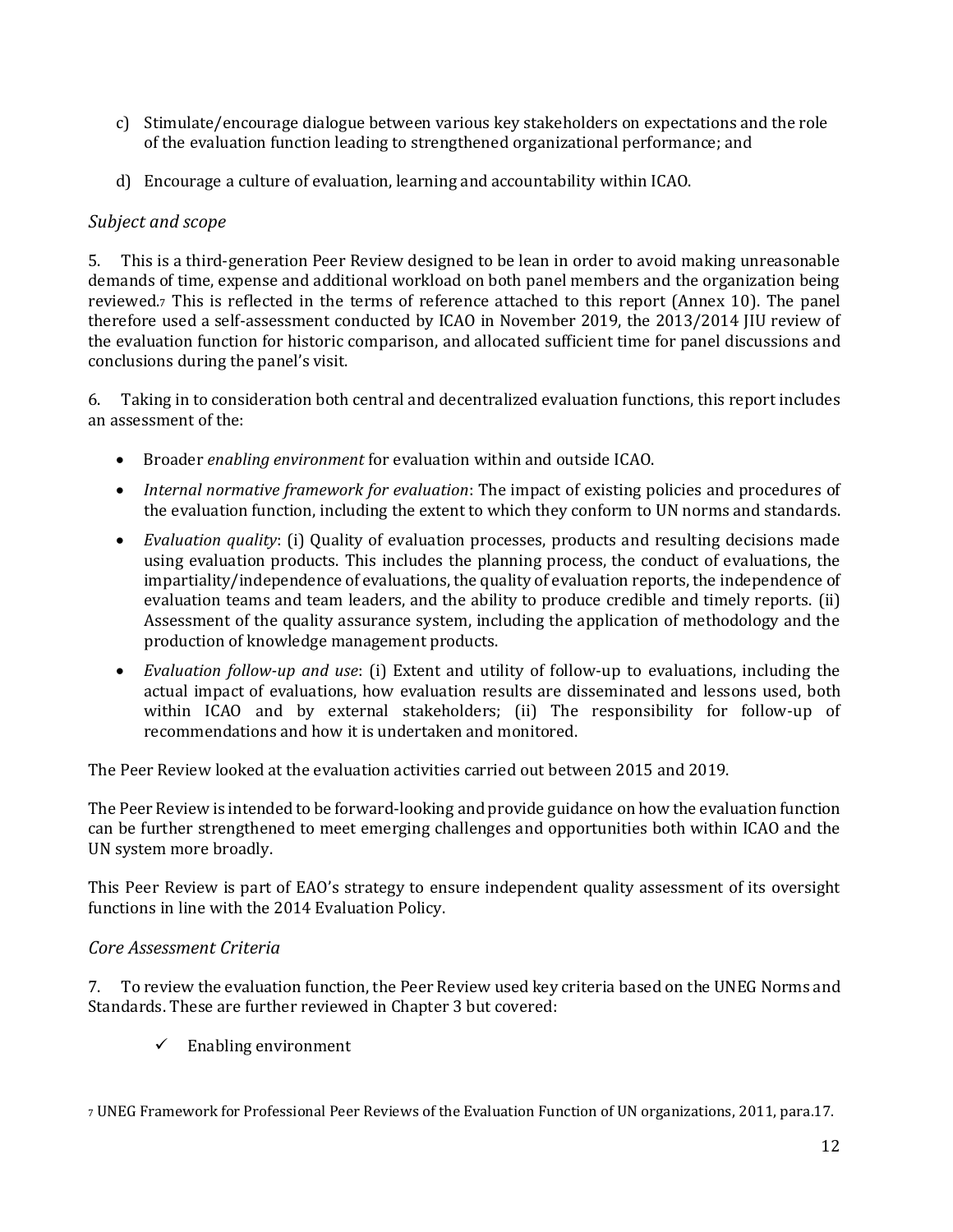- c) Stimulate/encourage dialogue between various key stakeholders on expectations and the role of the evaluation function leading to strengthened organizational performance; and
- d) Encourage a culture of evaluation, learning and accountability within ICAO.

#### *Subject and scope*

5. This is a third-generation Peer Review designed to be lean in order to avoid making unreasonable demands of time, expense and additional workload on both panel members and the organization being reviewed.<sup>7</sup> This is reflected in the terms of reference attached to this report (Annex 10). The panel therefore used a self-assessment conducted by ICAO in November 2019, the 2013/2014 JIU review of the evaluation function for historic comparison, and allocated sufficient time for panel discussions and conclusions during the panel's visit.

6. Taking in to consideration both central and decentralized evaluation functions, this report includes an assessment of the:

- Broader *enabling environment* for evaluation within and outside ICAO.
- *Internal normative framework for evaluation*: The impact of existing policies and procedures of the evaluation function, including the extent to which they conform to UN norms and standards.
- *Evaluation quality*: (i) Quality of evaluation processes, products and resulting decisions made using evaluation products. This includes the planning process, the conduct of evaluations, the impartiality/independence of evaluations, the quality of evaluation reports, the independence of evaluation teams and team leaders, and the ability to produce credible and timely reports. (ii) Assessment of the quality assurance system, including the application of methodology and the production of knowledge management products.
- *Evaluation follow-up and use*: (i) Extent and utility of follow-up to evaluations, including the actual impact of evaluations, how evaluation results are disseminated and lessons used, both within ICAO and by external stakeholders; (ii) The responsibility for follow-up of recommendations and how it is undertaken and monitored.

The Peer Review looked at the evaluation activities carried out between 2015 and 2019.

The Peer Review is intended to be forward-looking and provide guidance on how the evaluation function can be further strengthened to meet emerging challenges and opportunities both within ICAO and the UN system more broadly.

This Peer Review is part of EAO's strategy to ensure independent quality assessment of its oversight functions in line with the 2014 Evaluation Policy.

#### *Core Assessment Criteria*

7. To review the evaluation function, the Peer Review used key criteria based on the UNEG Norms and Standards. These are further reviewed in Chapter 3 but covered:

 $\checkmark$  Enabling environment

<sup>7</sup> UNEG Framework for Professional Peer Reviews of the Evaluation Function of UN organizations, 2011, para.17.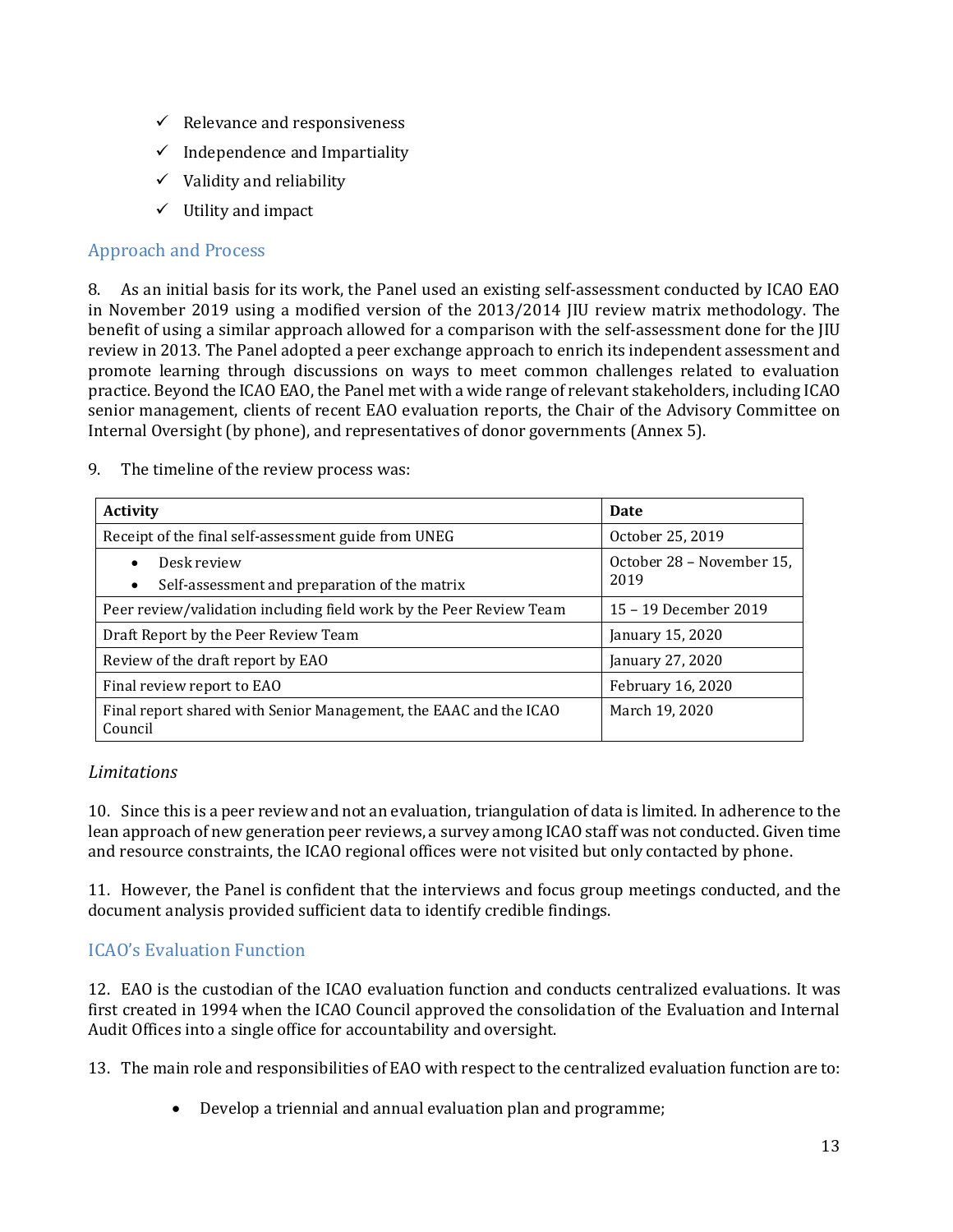- $\checkmark$  Relevance and responsiveness
- $\checkmark$  Independence and Impartiality
- $\checkmark$  Validity and reliability
- $\checkmark$  Utility and impact

#### <span id="page-12-0"></span>Approach and Process

8. As an initial basis for its work, the Panel used an existing self-assessment conducted by ICAO EAO in November 2019 using a modified version of the 2013/2014 JIU review matrix methodology. The benefit of using a similar approach allowed for a comparison with the self-assessment done for the JIU review in 2013. The Panel adopted a peer exchange approach to enrich its independent assessment and promote learning through discussions on ways to meet common challenges related to evaluation practice. Beyond the ICAO EAO, the Panel met with a wide range of relevant stakeholders, including ICAO senior management, clients of recent EAO evaluation reports, the Chair of the Advisory Committee on Internal Oversight (by phone), and representatives of donor governments (Annex 5).

| <b>Activity</b>                                                                        | <b>Date</b>                       |  |  |  |
|----------------------------------------------------------------------------------------|-----------------------------------|--|--|--|
| Receipt of the final self-assessment guide from UNEG                                   | October 25, 2019                  |  |  |  |
| Desk review<br>$\bullet$<br>Self-assessment and preparation of the matrix<br>$\bullet$ | October 28 - November 15,<br>2019 |  |  |  |
| Peer review/validation including field work by the Peer Review Team                    | 15 – 19 December 2019             |  |  |  |
| Draft Report by the Peer Review Team                                                   | January 15, 2020                  |  |  |  |
| Review of the draft report by EAO                                                      | January 27, 2020                  |  |  |  |
| Final review report to EAO                                                             | February 16, 2020                 |  |  |  |
| Final report shared with Senior Management, the EAAC and the ICAO<br>Council           | March 19, 2020                    |  |  |  |

9. The timeline of the review process was:

#### *Limitations*

10. Since this is a peer review and not an evaluation, triangulation of data is limited. In adherence to the lean approach of new generation peer reviews, a survey among ICAO staff was not conducted. Given time and resource constraints, the ICAO regional offices were not visited but only contacted by phone.

11. However, the Panel is confident that the interviews and focus group meetings conducted, and the document analysis provided sufficient data to identify credible findings.

#### <span id="page-12-1"></span>ICAO's Evaluation Function

12. EAO is the custodian of the ICAO evaluation function and conducts centralized evaluations. It was first created in 1994 when the ICAO Council approved the consolidation of the Evaluation and Internal Audit Offices into a single office for accountability and oversight.

13. The main role and responsibilities of EAO with respect to the centralized evaluation function are to:

• Develop a triennial and annual evaluation plan and programme;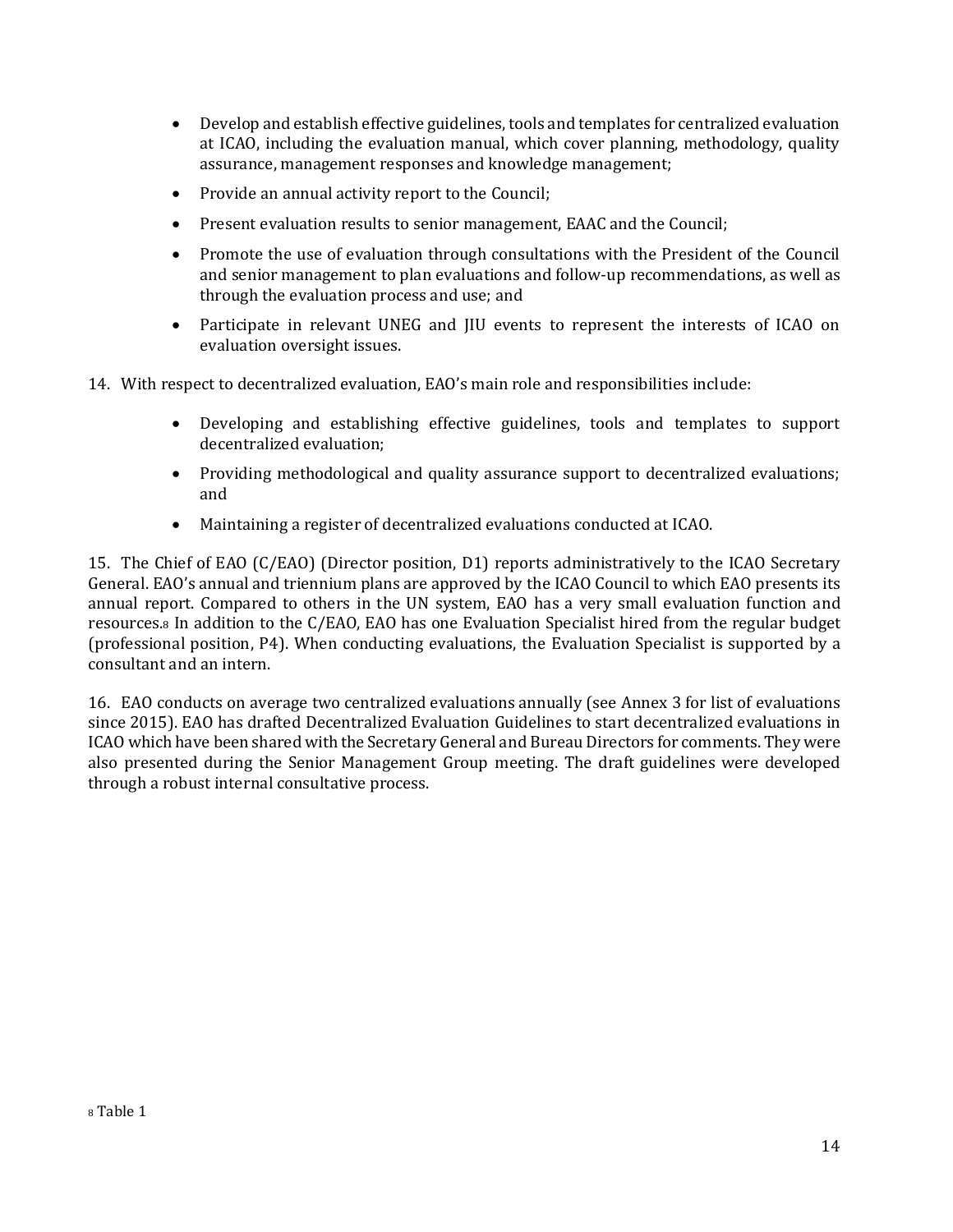- Develop and establish effective guidelines, tools and templates for centralized evaluation at ICAO, including the evaluation manual, which cover planning, methodology, quality assurance, management responses and knowledge management;
- Provide an annual activity report to the Council;
- Present evaluation results to senior management, EAAC and the Council;
- Promote the use of evaluation through consultations with the President of the Council and senior management to plan evaluations and follow-up recommendations, as well as through the evaluation process and use; and
- Participate in relevant UNEG and JIU events to represent the interests of ICAO on evaluation oversight issues.
- 14. With respect to decentralized evaluation, EAO's main role and responsibilities include:
	- Developing and establishing effective guidelines, tools and templates to support decentralized evaluation;
	- Providing methodological and quality assurance support to decentralized evaluations; and
	- Maintaining a register of decentralized evaluations conducted at ICAO.

15. The Chief of EAO (C/EAO) (Director position, D1) reports administratively to the ICAO Secretary General. EAO's annual and triennium plans are approved by the ICAO Council to which EAO presents its annual report. Compared to others in the UN system, EAO has a very small evaluation function and resources.<sup>8</sup> In addition to the C/EAO, EAO has one Evaluation Specialist hired from the regular budget (professional position, P4). When conducting evaluations, the Evaluation Specialist is supported by a consultant and an intern.

16. EAO conducts on average two centralized evaluations annually (see Annex 3 for list of evaluations since 2015). EAO has drafted Decentralized Evaluation Guidelines to start decentralized evaluations in ICAO which have been shared with the Secretary General and Bureau Directors for comments. They were also presented during the Senior Management Group meeting. The draft guidelines were developed through a robust internal consultative process.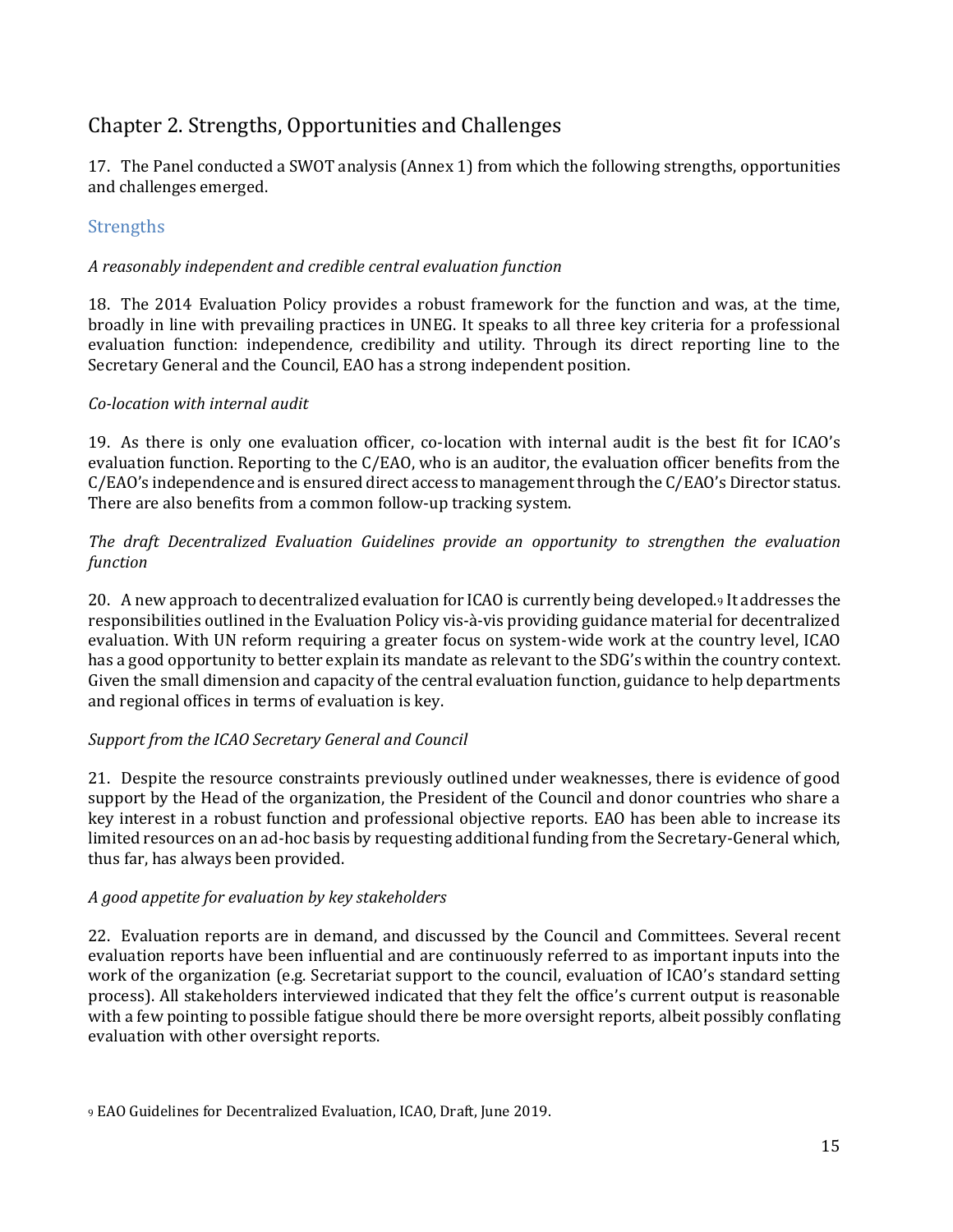# <span id="page-14-0"></span>Chapter 2. Strengths, Opportunities and Challenges

17. The Panel conducted a SWOT analysis (Annex 1) from which the following strengths, opportunities and challenges emerged.

#### <span id="page-14-1"></span>**Strengths**

#### *A reasonably independent and credible central evaluation function*

18. The 2014 Evaluation Policy provides a robust framework for the function and was, at the time, broadly in line with prevailing practices in UNEG. It speaks to all three key criteria for a professional evaluation function: independence, credibility and utility. Through its direct reporting line to the Secretary General and the Council, EAO has a strong independent position.

#### *Co-location with internal audit*

19. As there is only one evaluation officer, co-location with internal audit is the best fit for ICAO's evaluation function. Reporting to the C/EAO, who is an auditor, the evaluation officer benefits from the C/EAO's independence and is ensured direct access to management through the C/EAO's Director status. There are also benefits from a common follow-up tracking system.

*The draft Decentralized Evaluation Guidelines provide an opportunity to strengthen the evaluation function*

20. A new approach to decentralized evaluation for ICAO is currently being developed.<sup>9</sup> It addresses the responsibilities outlined in the Evaluation Policy vis-à-vis providing guidance material for decentralized evaluation. With UN reform requiring a greater focus on system-wide work at the country level, ICAO has a good opportunity to better explain its mandate as relevant to the SDG's within the country context. Given the small dimension and capacity of the central evaluation function, guidance to help departments and regional offices in terms of evaluation is key.

#### *Support from the ICAO Secretary General and Council*

21. Despite the resource constraints previously outlined under weaknesses, there is evidence of good support by the Head of the organization, the President of the Council and donor countries who share a key interest in a robust function and professional objective reports. EAO has been able to increase its limited resources on an ad-hoc basis by requesting additional funding from the Secretary-General which, thus far, has always been provided.

#### *A good appetite for evaluation by key stakeholders*

22. Evaluation reports are in demand, and discussed by the Council and Committees. Several recent evaluation reports have been influential and are continuously referred to as important inputs into the work of the organization (e.g. Secretariat support to the council, evaluation of ICAO's standard setting process). All stakeholders interviewed indicated that they felt the office's current output is reasonable with a few pointing to possible fatigue should there be more oversight reports, albeit possibly conflating evaluation with other oversight reports.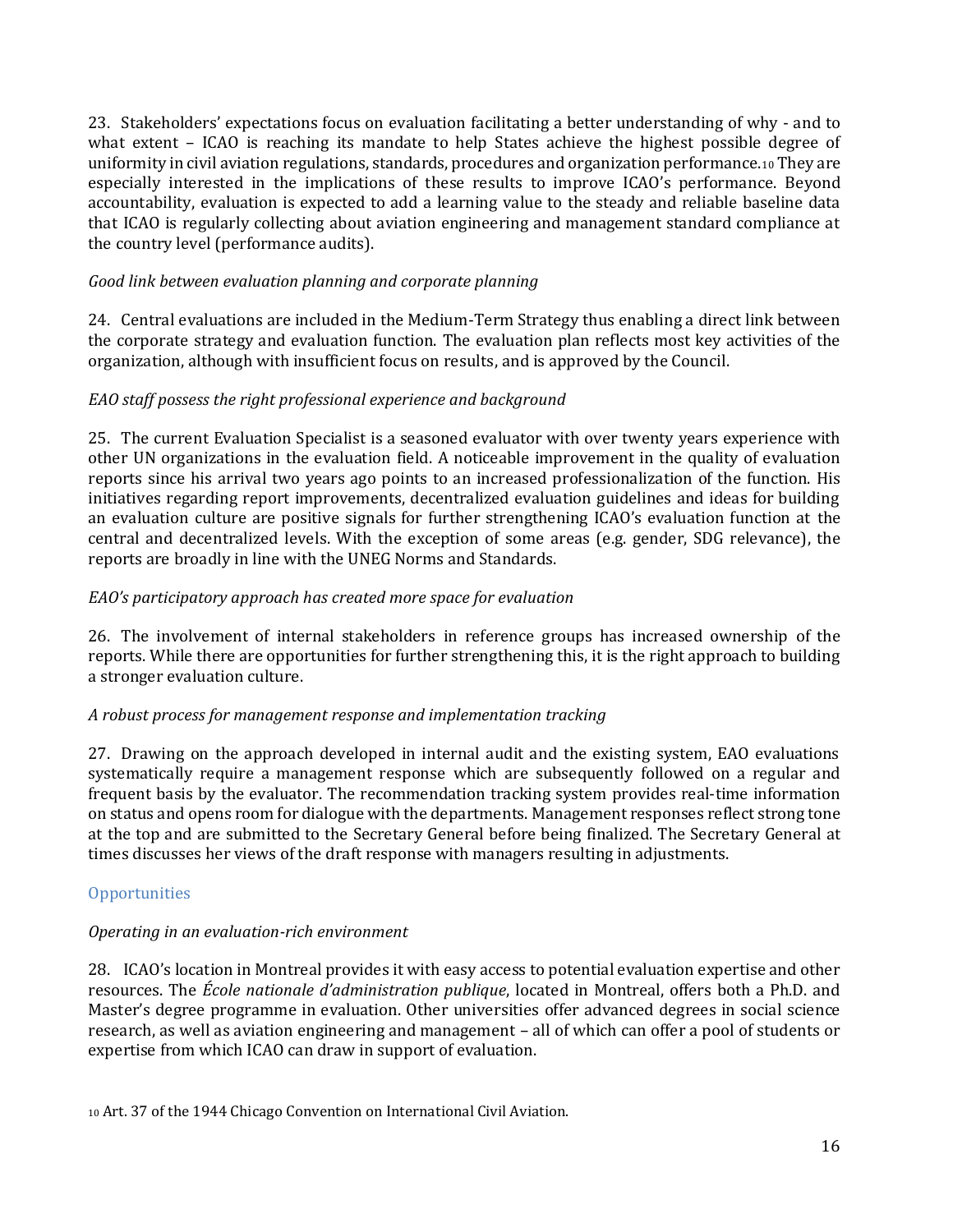23. Stakeholders' expectations focus on evaluation facilitating a better understanding of why - and to what extent – ICAO is reaching its mandate to help States achieve the highest possible degree of uniformity in civil aviation regulations, standards, procedures and organization performance.<sup>10</sup> They are especially interested in the implications of these results to improve ICAO's performance. Beyond accountability, evaluation is expected to add a learning value to the steady and reliable baseline data that ICAO is regularly collecting about aviation engineering and management standard compliance at the country level (performance audits).

#### *Good link between evaluation planning and corporate planning*

24. Central evaluations are included in the Medium-Term Strategy thus enabling a direct link between the corporate strategy and evaluation function. The evaluation plan reflects most key activities of the organization, although with insufficient focus on results, and is approved by the Council.

#### *EAO staff possess the right professional experience and background*

25. The current Evaluation Specialist is a seasoned evaluator with over twenty years experience with other UN organizations in the evaluation field. A noticeable improvement in the quality of evaluation reports since his arrival two years ago points to an increased professionalization of the function. His initiatives regarding report improvements, decentralized evaluation guidelines and ideas for building an evaluation culture are positive signals for further strengthening ICAO's evaluation function at the central and decentralized levels. With the exception of some areas (e.g. gender, SDG relevance), the reports are broadly in line with the UNEG Norms and Standards.

#### *EAO's participatory approach has created more space for evaluation*

26. The involvement of internal stakeholders in reference groups has increased ownership of the reports. While there are opportunities for further strengthening this, it is the right approach to building a stronger evaluation culture.

#### *A robust process for management response and implementation tracking*

27. Drawing on the approach developed in internal audit and the existing system, EAO evaluations systematically require a management response which are subsequently followed on a regular and frequent basis by the evaluator. The recommendation tracking system provides real-time information on status and opens room for dialogue with the departments. Management responses reflect strong tone at the top and are submitted to the Secretary General before being finalized. The Secretary General at times discusses her views of the draft response with managers resulting in adjustments.

#### <span id="page-15-0"></span>**Opportunities**

#### *Operating in an evaluation-rich environment*

28. ICAO's location in Montreal provides it with easy access to potential evaluation expertise and other resources. The *École nationale d'administration publique*, located in Montreal, offers both a Ph.D. and Master's degree programme in evaluation. Other universities offer advanced degrees in social science research, as well as aviation engineering and management – all of which can offer a pool of students or expertise from which ICAO can draw in support of evaluation.

<sup>10</sup> Art. 37 of the 1944 Chicago Convention on International Civil Aviation.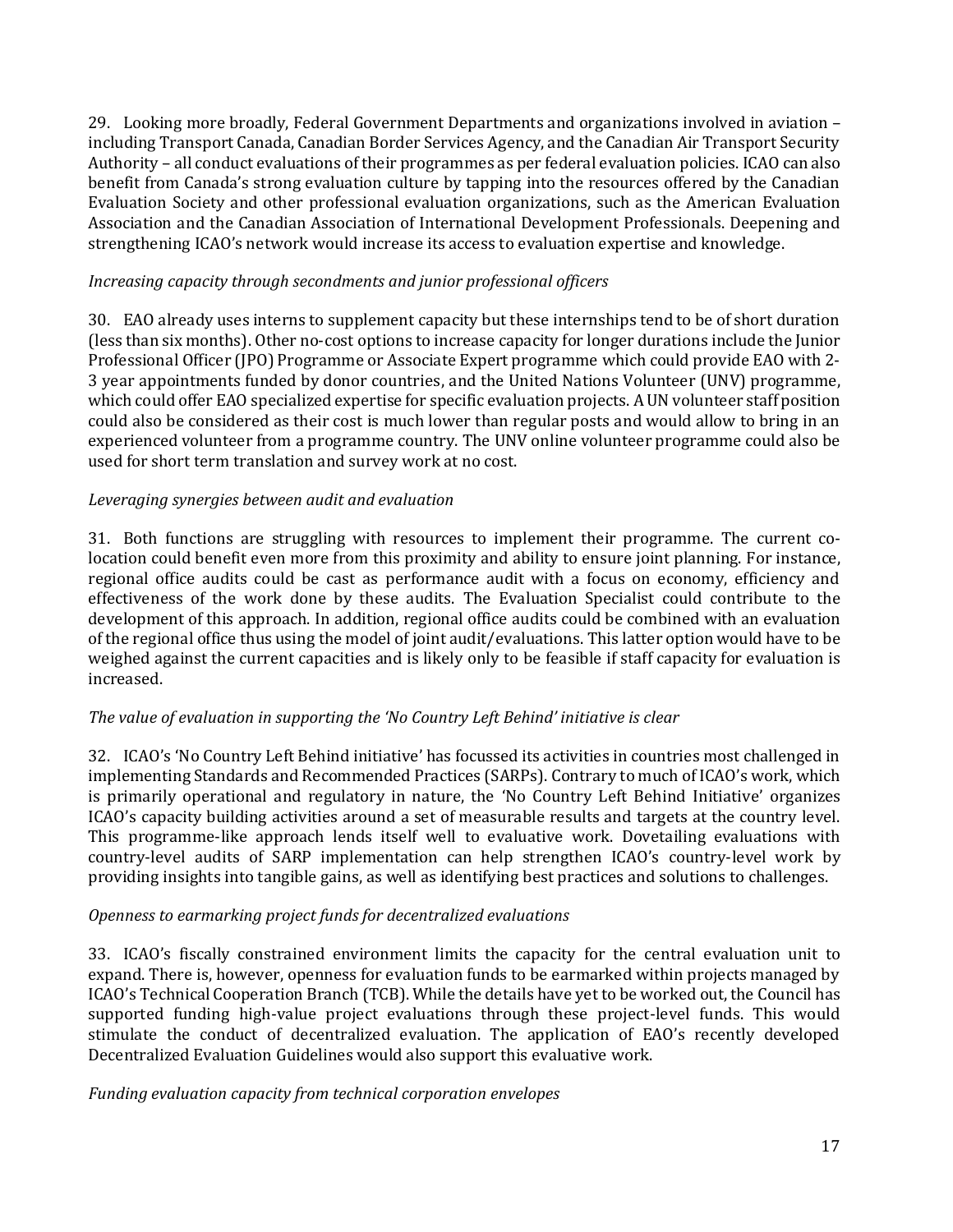29. Looking more broadly, Federal Government Departments and organizations involved in aviation – including Transport Canada, Canadian Border Services Agency, and the Canadian Air Transport Security Authority – all conduct evaluations of their programmes as per federal evaluation policies. ICAO can also benefit from Canada's strong evaluation culture by tapping into the resources offered by the Canadian Evaluation Society and other professional evaluation organizations, such as the American Evaluation Association and the Canadian Association of International Development Professionals. Deepening and strengthening ICAO's network would increase its access to evaluation expertise and knowledge.

#### *Increasing capacity through secondments and junior professional officers*

30. EAO already uses interns to supplement capacity but these internships tend to be of short duration (less than six months). Other no-cost options to increase capacity for longer durations include the Junior Professional Officer (JPO) Programme or Associate Expert programme which could provide EAO with 2- 3 year appointments funded by donor countries, and the United Nations Volunteer (UNV) programme, which could offer EAO specialized expertise for specific evaluation projects. A UN volunteer staff position could also be considered as their cost is much lower than regular posts and would allow to bring in an experienced volunteer from a programme country. The UNV online volunteer programme could also be used for short term translation and survey work at no cost.

#### *Leveraging synergies between audit and evaluation*

31. Both functions are struggling with resources to implement their programme. The current colocation could benefit even more from this proximity and ability to ensure joint planning. For instance, regional office audits could be cast as performance audit with a focus on economy, efficiency and effectiveness of the work done by these audits. The Evaluation Specialist could contribute to the development of this approach. In addition, regional office audits could be combined with an evaluation of the regional office thus using the model of joint audit/evaluations. This latter option would have to be weighed against the current capacities and is likely only to be feasible if staff capacity for evaluation is increased.

#### *The value of evaluation in supporting the 'No Country Left Behind' initiative is clear*

32. ICAO's 'No Country Left Behind initiative' has focussed its activities in countries most challenged in implementing Standards and Recommended Practices (SARPs). Contrary to much of ICAO's work, which is primarily operational and regulatory in nature, the 'No Country Left Behind Initiative' organizes ICAO's capacity building activities around a set of measurable results and targets at the country level. This programme-like approach lends itself well to evaluative work. Dovetailing evaluations with country-level audits of SARP implementation can help strengthen ICAO's country-level work by providing insights into tangible gains, as well as identifying best practices and solutions to challenges.

#### *Openness to earmarking project funds for decentralized evaluations*

33. ICAO's fiscally constrained environment limits the capacity for the central evaluation unit to expand. There is, however, openness for evaluation funds to be earmarked within projects managed by ICAO's Technical Cooperation Branch (TCB). While the details have yet to be worked out, the Council has supported funding high-value project evaluations through these project-level funds. This would stimulate the conduct of decentralized evaluation. The application of EAO's recently developed Decentralized Evaluation Guidelines would also support this evaluative work.

#### *Funding evaluation capacity from technical corporation envelopes*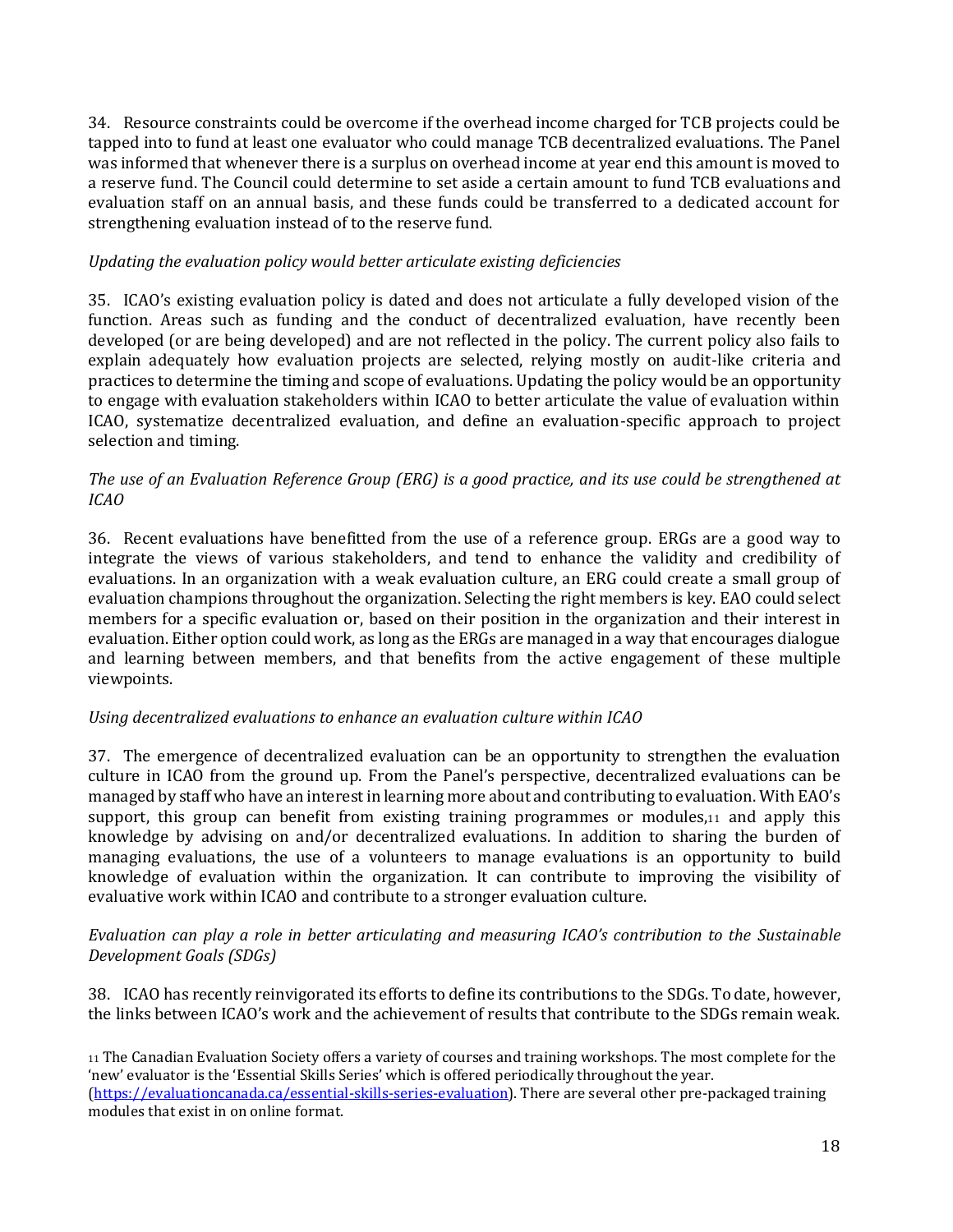34. Resource constraints could be overcome if the overhead income charged for TCB projects could be tapped into to fund at least one evaluator who could manage TCB decentralized evaluations. The Panel was informed that whenever there is a surplus on overhead income at year end this amount is moved to a reserve fund. The Council could determine to set aside a certain amount to fund TCB evaluations and evaluation staff on an annual basis, and these funds could be transferred to a dedicated account for strengthening evaluation instead of to the reserve fund.

#### *Updating the evaluation policy would better articulate existing deficiencies*

35. ICAO's existing evaluation policy is dated and does not articulate a fully developed vision of the function. Areas such as funding and the conduct of decentralized evaluation, have recently been developed (or are being developed) and are not reflected in the policy. The current policy also fails to explain adequately how evaluation projects are selected, relying mostly on audit-like criteria and practices to determine the timing and scope of evaluations. Updating the policy would be an opportunity to engage with evaluation stakeholders within ICAO to better articulate the value of evaluation within ICAO, systematize decentralized evaluation, and define an evaluation-specific approach to project selection and timing.

#### *The use of an Evaluation Reference Group (ERG) is a good practice, and its use could be strengthened at ICAO*

36. Recent evaluations have benefitted from the use of a reference group. ERGs are a good way to integrate the views of various stakeholders, and tend to enhance the validity and credibility of evaluations. In an organization with a weak evaluation culture, an ERG could create a small group of evaluation champions throughout the organization. Selecting the right members is key. EAO could select members for a specific evaluation or, based on their position in the organization and their interest in evaluation. Either option could work, as long as the ERGs are managed in a way that encourages dialogue and learning between members, and that benefits from the active engagement of these multiple viewpoints.

#### *Using decentralized evaluations to enhance an evaluation culture within ICAO*

37. The emergence of decentralized evaluation can be an opportunity to strengthen the evaluation culture in ICAO from the ground up. From the Panel's perspective, decentralized evaluations can be managed by staff who have an interest in learning more about and contributing to evaluation. With EAO's support, this group can benefit from existing training programmes or modules, 11 and apply this knowledge by advising on and/or decentralized evaluations. In addition to sharing the burden of managing evaluations, the use of a volunteers to manage evaluations is an opportunity to build knowledge of evaluation within the organization. It can contribute to improving the visibility of evaluative work within ICAO and contribute to a stronger evaluation culture.

#### *Evaluation can play a role in better articulating and measuring ICAO's contribution to the Sustainable Development Goals (SDGs)*

38. ICAO has recently reinvigorated its efforts to define its contributions to the SDGs. To date, however, the links between ICAO's work and the achievement of results that contribute to the SDGs remain weak.

#### <sup>11</sup> The Canadian Evaluation Society offers a variety of courses and training workshops. The most complete for the 'new' evaluator is the 'Essential Skills Series' which is offered periodically throughout the year. [\(https://evaluationcanada.ca/essential-skills-series-evaluation\)](https://evaluationcanada.ca/essential-skills-series-evaluation). There are several other pre-packaged training modules that exist in on online format.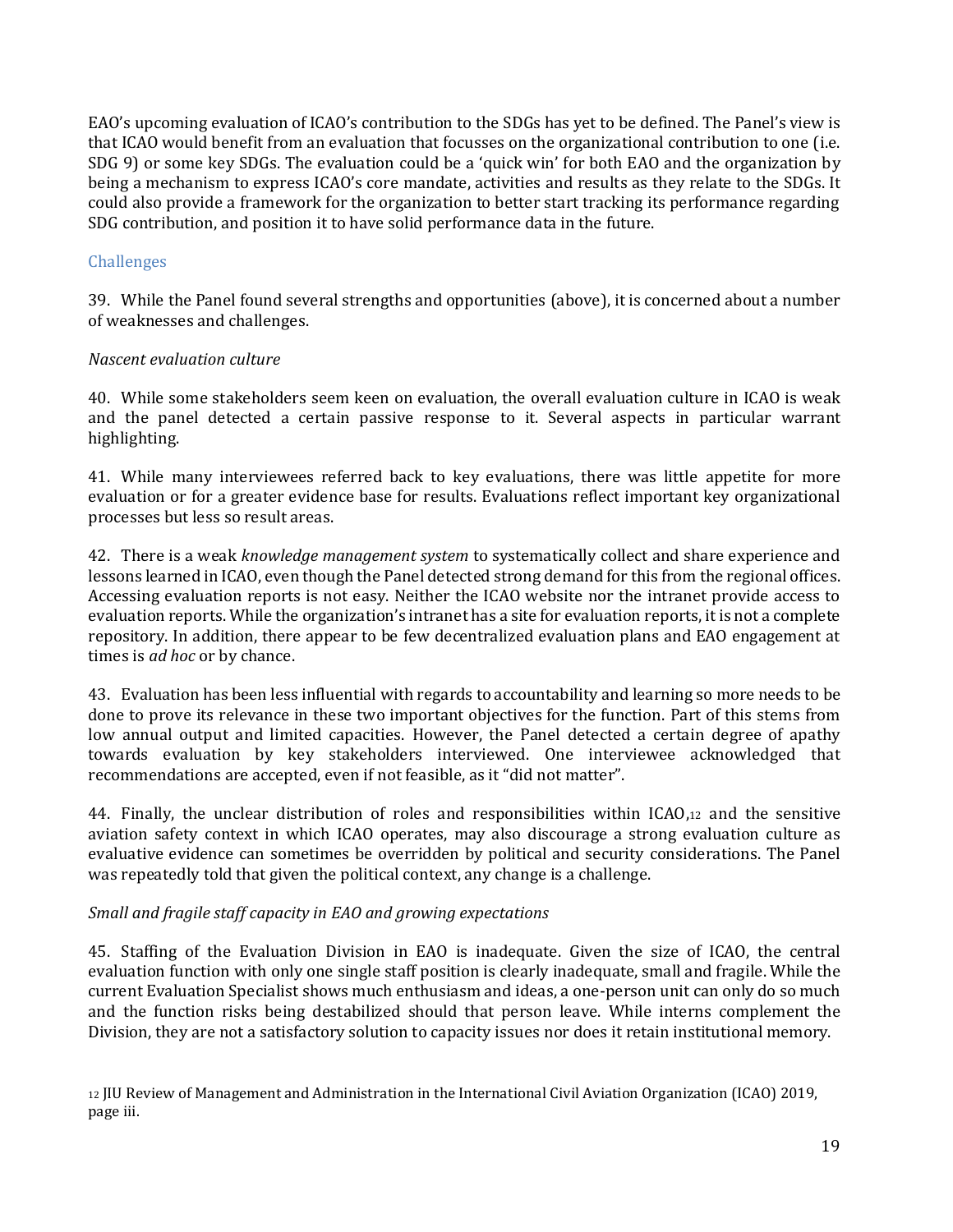EAO's upcoming evaluation of ICAO's contribution to the SDGs has yet to be defined. The Panel's view is that ICAO would benefit from an evaluation that focusses on the organizational contribution to one (i.e. SDG 9) or some key SDGs. The evaluation could be a 'quick win' for both EAO and the organization by being a mechanism to express ICAO's core mandate, activities and results as they relate to the SDGs. It could also provide a framework for the organization to better start tracking its performance regarding SDG contribution, and position it to have solid performance data in the future.

#### <span id="page-18-0"></span>Challenges

39. While the Panel found several strengths and opportunities (above), it is concerned about a number of weaknesses and challenges.

#### *Nascent evaluation culture*

40. While some stakeholders seem keen on evaluation, the overall evaluation culture in ICAO is weak and the panel detected a certain passive response to it. Several aspects in particular warrant highlighting.

41. While many interviewees referred back to key evaluations, there was little appetite for more evaluation or for a greater evidence base for results. Evaluations reflect important key organizational processes but less so result areas.

42. There is a weak *knowledge management system* to systematically collect and share experience and lessons learned in ICAO, even though the Panel detected strong demand for this from the regional offices. Accessing evaluation reports is not easy. Neither the ICAO website nor the intranet provide access to evaluation reports. While the organization's intranet has a site for evaluation reports, it is not a complete repository. In addition, there appear to be few decentralized evaluation plans and EAO engagement at times is *ad hoc* or by chance.

43. Evaluation has been less influential with regards to accountability and learning so more needs to be done to prove its relevance in these two important objectives for the function. Part of this stems from low annual output and limited capacities. However, the Panel detected a certain degree of apathy towards evaluation by key stakeholders interviewed. One interviewee acknowledged that recommendations are accepted, even if not feasible, as it "did not matter".

44. Finally, the unclear distribution of roles and responsibilities within ICAO,<sup>12</sup> and the sensitive aviation safety context in which ICAO operates, may also discourage a strong evaluation culture as evaluative evidence can sometimes be overridden by political and security considerations. The Panel was repeatedly told that given the political context, any change is a challenge.

#### *Small and fragile staff capacity in EAO and growing expectations*

45. Staffing of the Evaluation Division in EAO is inadequate. Given the size of ICAO, the central evaluation function with only one single staff position is clearly inadequate, small and fragile. While the current Evaluation Specialist shows much enthusiasm and ideas, a one-person unit can only do so much and the function risks being destabilized should that person leave. While interns complement the Division, they are not a satisfactory solution to capacity issues nor does it retain institutional memory.

<sup>12</sup> JIU Review of Management and Administration in the International Civil Aviation Organization (ICAO) 2019, page iii.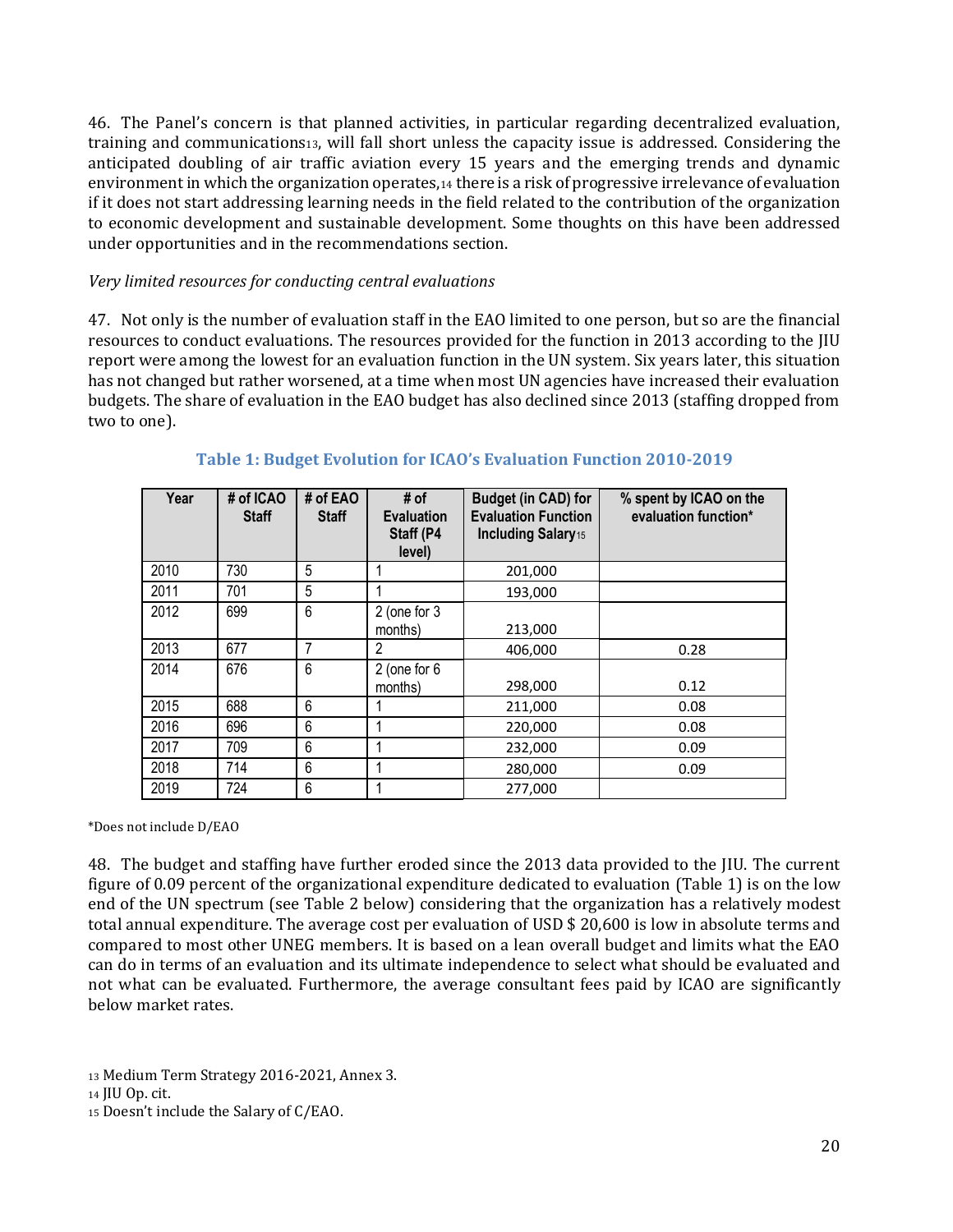46. The Panel's concern is that planned activities, in particular regarding decentralized evaluation, training and communications13, will fall short unless the capacity issue is addressed. Considering the anticipated doubling of air traffic aviation every 15 years and the emerging trends and dynamic environment in which the organization operates,<sup>14</sup> there is a risk of progressive irrelevance of evaluation if it does not start addressing learning needs in the field related to the contribution of the organization to economic development and sustainable development. Some thoughts on this have been addressed under opportunities and in the recommendations section.

#### *Very limited resources for conducting central evaluations*

47. Not only is the number of evaluation staff in the EAO limited to one person, but so are the financial resources to conduct evaluations. The resources provided for the function in 2013 according to the JIU report were among the lowest for an evaluation function in the UN system. Six years later, this situation has not changed but rather worsened, at a time when most UN agencies have increased their evaluation budgets. The share of evaluation in the EAO budget has also declined since 2013 (staffing dropped from two to one).

| Year | # of ICAO<br><b>Staff</b> | # of EAO<br><b>Staff</b> | # of<br><b>Evaluation</b><br>Staff (P4<br>level) | Budget (in CAD) for<br><b>Evaluation Function</b><br><b>Including Salary15</b> | % spent by ICAO on the<br>evaluation function* |
|------|---------------------------|--------------------------|--------------------------------------------------|--------------------------------------------------------------------------------|------------------------------------------------|
| 2010 | 730                       | 5                        |                                                  | 201,000                                                                        |                                                |
| 2011 | 701                       | 5                        |                                                  | 193,000                                                                        |                                                |
| 2012 | 699                       | 6                        | 2 (one for 3<br>months)                          | 213,000                                                                        |                                                |
| 2013 | 677                       | 7                        | 2                                                | 406,000                                                                        | 0.28                                           |
| 2014 | 676                       | 6                        | $2$ (one for $6$<br>months)                      | 298,000                                                                        | 0.12                                           |
| 2015 | 688                       | 6                        |                                                  | 211,000                                                                        | 0.08                                           |
| 2016 | 696                       | 6                        |                                                  | 220,000                                                                        | 0.08                                           |
| 2017 | 709                       | 6                        |                                                  | 232,000                                                                        | 0.09                                           |
| 2018 | 714                       | 6                        |                                                  | 280,000                                                                        | 0.09                                           |
| 2019 | 724                       | 6                        |                                                  | 277,000                                                                        |                                                |

#### **Table 1: Budget Evolution for ICAO's Evaluation Function 2010-2019**

\*Does not include D/EAO

48. The budget and staffing have further eroded since the 2013 data provided to the JIU. The current figure of 0.09 percent of the organizational expenditure dedicated to evaluation (Table 1) is on the low end of the UN spectrum (see Table 2 below) considering that the organization has a relatively modest total annual expenditure. The average cost per evaluation of USD \$ 20,600 is low in absolute terms and compared to most other UNEG members. It is based on a lean overall budget and limits what the EAO can do in terms of an evaluation and its ultimate independence to select what should be evaluated and not what can be evaluated. Furthermore, the average consultant fees paid by ICAO are significantly below market rates.

<sup>13</sup> Medium Term Strategy 2016-2021, Annex 3.

<sup>14</sup> JIU Op. cit.

<sup>15</sup> Doesn't include the Salary of C/EAO.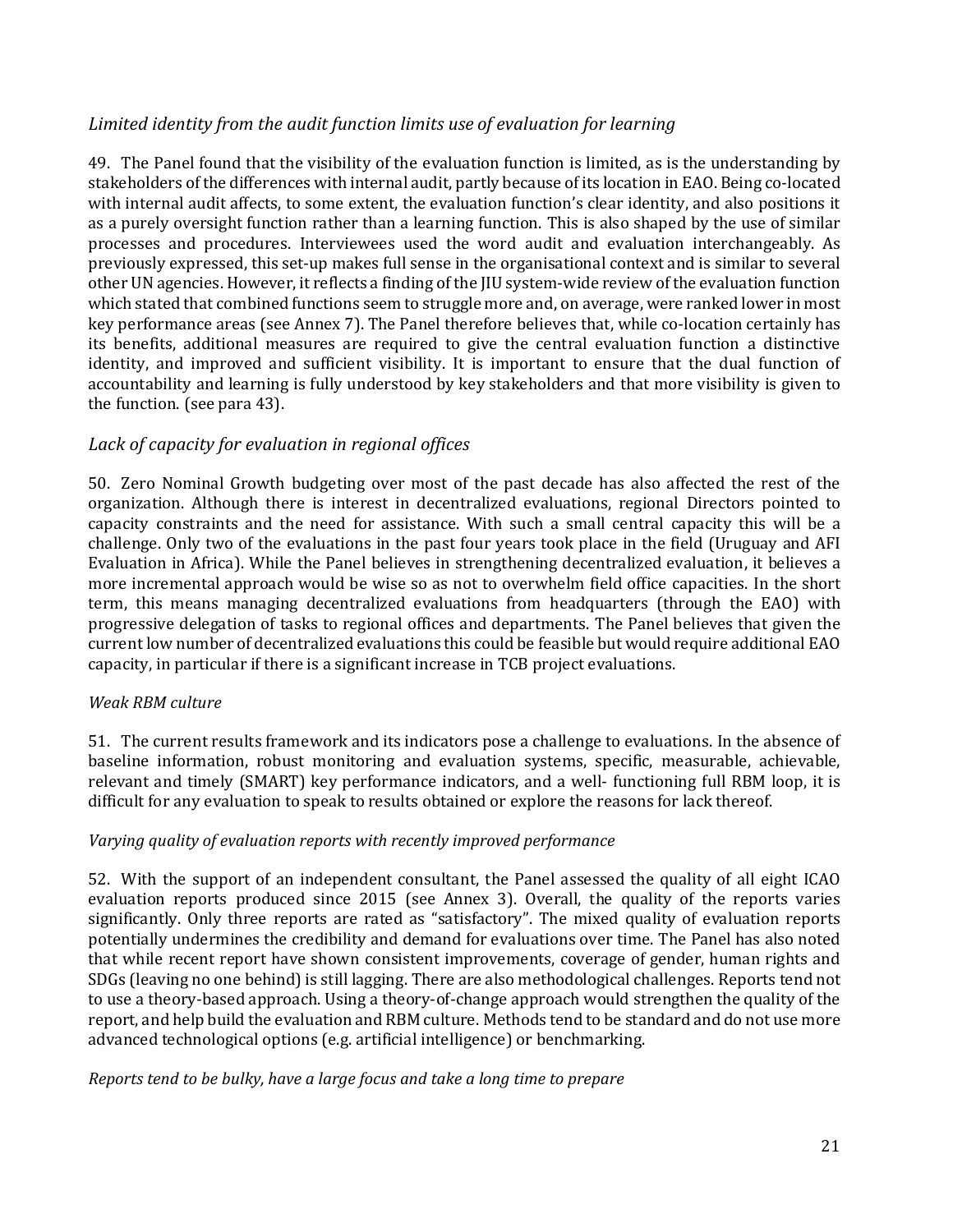#### *Limited identity from the audit function limits use of evaluation for learning*

49. The Panel found that the visibility of the evaluation function is limited, as is the understanding by stakeholders of the differences with internal audit, partly because of its location in EAO. Being co-located with internal audit affects, to some extent, the evaluation function's clear identity, and also positions it as a purely oversight function rather than a learning function. This is also shaped by the use of similar processes and procedures. Interviewees used the word audit and evaluation interchangeably. As previously expressed, this set-up makes full sense in the organisational context and is similar to several other UN agencies. However, it reflects a finding of the JIU system-wide review of the evaluation function which stated that combined functions seem to struggle more and, on average, were ranked lower in most key performance areas (see Annex 7). The Panel therefore believes that, while co-location certainly has its benefits, additional measures are required to give the central evaluation function a distinctive identity, and improved and sufficient visibility. It is important to ensure that the dual function of accountability and learning is fully understood by key stakeholders and that more visibility is given to the function. (see para 43).

#### *Lack of capacity for evaluation in regional offices*

50. Zero Nominal Growth budgeting over most of the past decade has also affected the rest of the organization. Although there is interest in decentralized evaluations, regional Directors pointed to capacity constraints and the need for assistance. With such a small central capacity this will be a challenge. Only two of the evaluations in the past four years took place in the field (Uruguay and AFI Evaluation in Africa). While the Panel believes in strengthening decentralized evaluation, it believes a more incremental approach would be wise so as not to overwhelm field office capacities. In the short term, this means managing decentralized evaluations from headquarters (through the EAO) with progressive delegation of tasks to regional offices and departments. The Panel believes that given the current low number of decentralized evaluations this could be feasible but would require additional EAO capacity, in particular if there is a significant increase in TCB project evaluations.

#### *Weak RBM culture*

51. The current results framework and its indicators pose a challenge to evaluations. In the absence of baseline information, robust monitoring and evaluation systems, specific, measurable, achievable, relevant and timely (SMART) key performance indicators, and a well- functioning full RBM loop, it is difficult for any evaluation to speak to results obtained or explore the reasons for lack thereof.

#### *Varying quality of evaluation reports with recently improved performance*

52. With the support of an independent consultant, the Panel assessed the quality of all eight ICAO evaluation reports produced since 2015 (see Annex 3). Overall, the quality of the reports varies significantly. Only three reports are rated as "satisfactory". The mixed quality of evaluation reports potentially undermines the credibility and demand for evaluations over time. The Panel has also noted that while recent report have shown consistent improvements, coverage of gender, human rights and SDGs (leaving no one behind) is still lagging. There are also methodological challenges. Reports tend not to use a theory-based approach. Using a theory-of-change approach would strengthen the quality of the report, and help build the evaluation and RBM culture. Methods tend to be standard and do not use more advanced technological options (e.g. artificial intelligence) or benchmarking.

*Reports tend to be bulky, have a large focus and take a long time to prepare*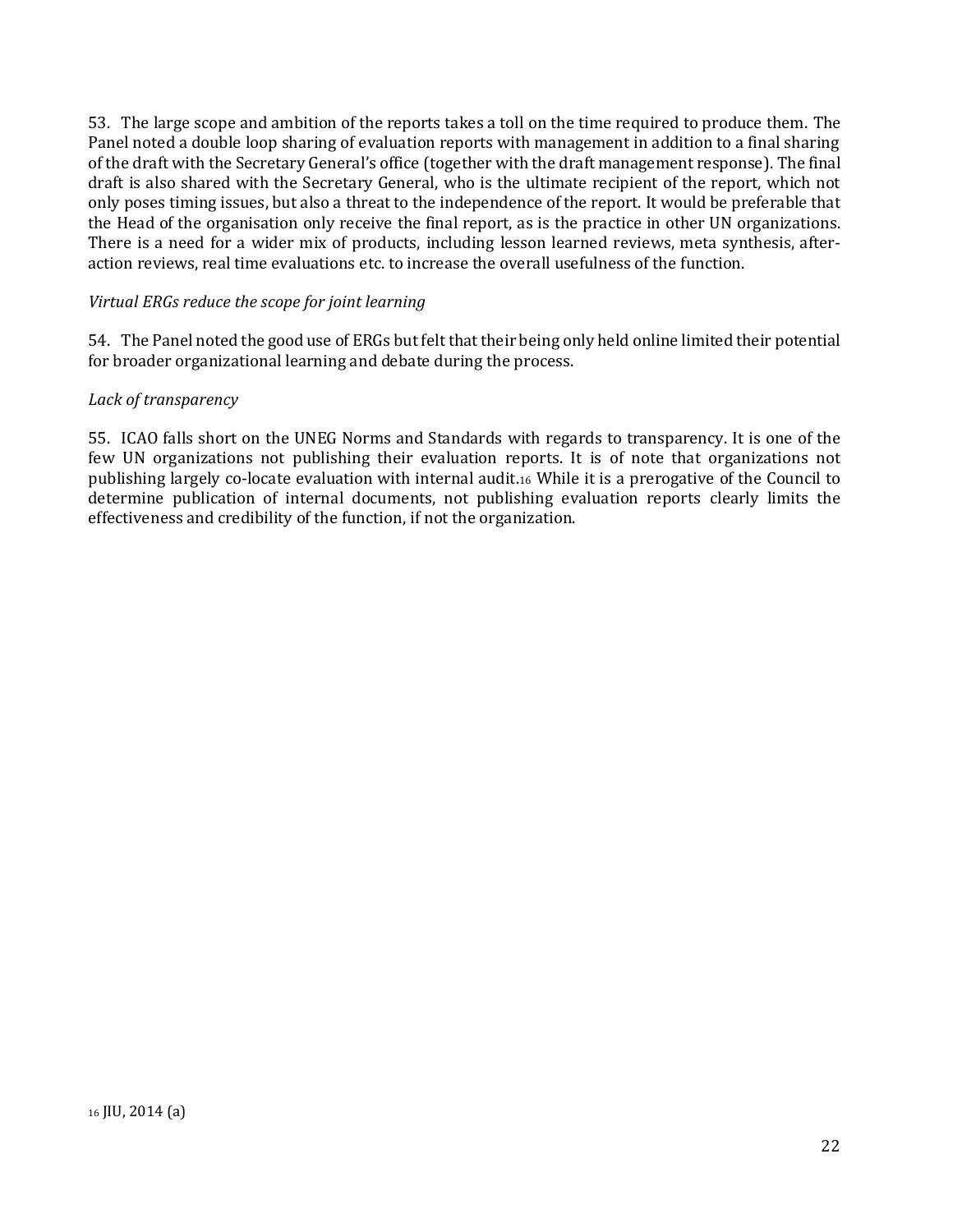53. The large scope and ambition of the reports takes a toll on the time required to produce them. The Panel noted a double loop sharing of evaluation reports with management in addition to a final sharing of the draft with the Secretary General's office (together with the draft management response). The final draft is also shared with the Secretary General, who is the ultimate recipient of the report, which not only poses timing issues, but also a threat to the independence of the report. It would be preferable that the Head of the organisation only receive the final report, as is the practice in other UN organizations. There is a need for a wider mix of products, including lesson learned reviews, meta synthesis, afteraction reviews, real time evaluations etc. to increase the overall usefulness of the function.

#### *Virtual ERGs reduce the scope for joint learning*

54. The Panel noted the good use of ERGs but felt that their being only held online limited their potential for broader organizational learning and debate during the process.

#### *Lack of transparency*

55. ICAO falls short on the UNEG Norms and Standards with regards to transparency. It is one of the few UN organizations not publishing their evaluation reports. It is of note that organizations not publishing largely co-locate evaluation with internal audit.<sup>16</sup> While it is a prerogative of the Council to determine publication of internal documents, not publishing evaluation reports clearly limits the effectiveness and credibility of the function, if not the organization.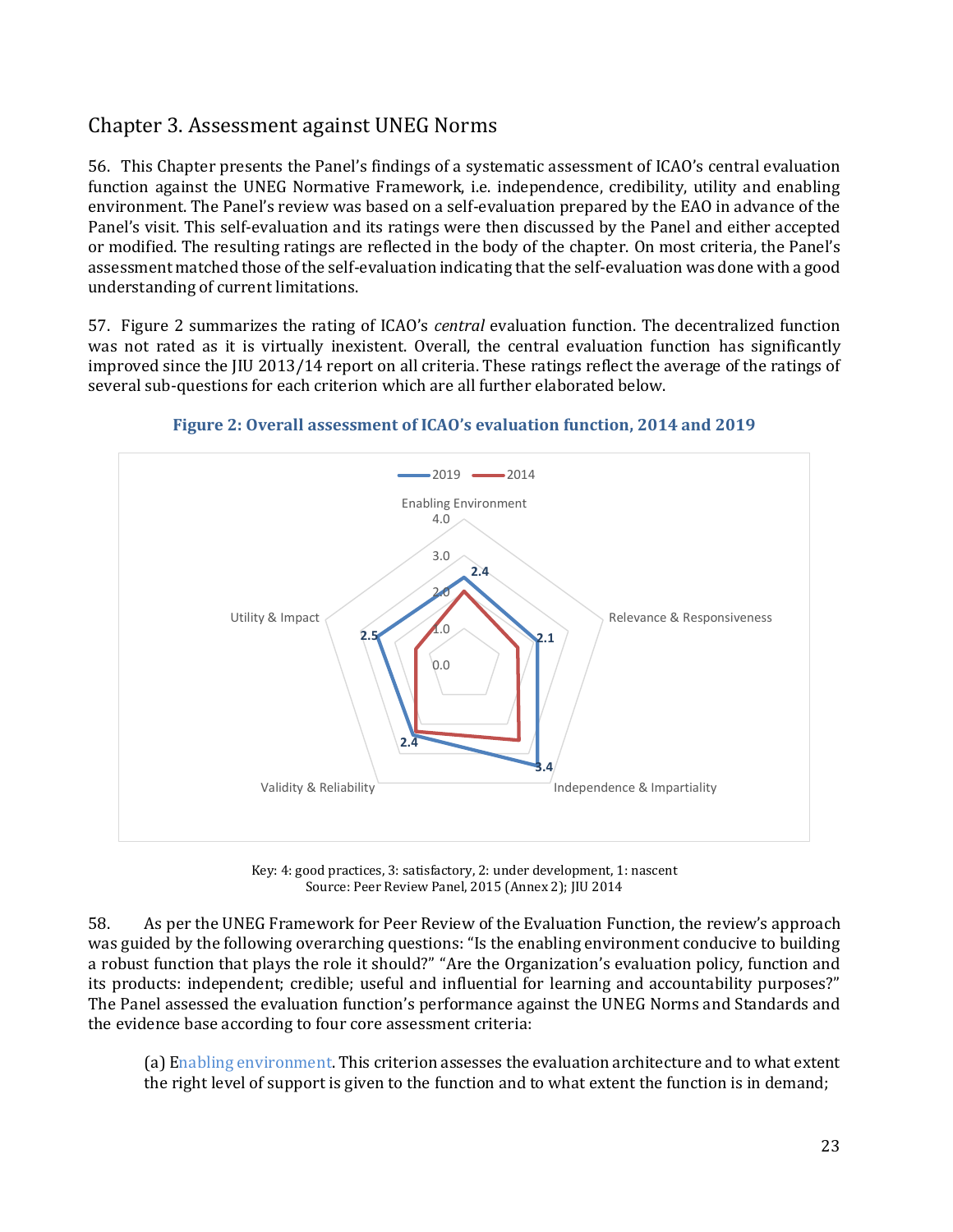# <span id="page-22-0"></span>Chapter 3. Assessment against UNEG Norms

56. This Chapter presents the Panel's findings of a systematic assessment of ICAO's central evaluation function against the UNEG Normative Framework, i.e. independence, credibility, utility and enabling environment. The Panel's review was based on a self-evaluation prepared by the EAO in advance of the Panel's visit. This self-evaluation and its ratings were then discussed by the Panel and either accepted or modified. The resulting ratings are reflected in the body of the chapter. On most criteria, the Panel's assessment matched those of the self-evaluation indicating that the self-evaluation was done with a good understanding of current limitations.

57. Figure 2 summarizes the rating of ICAO's *central* evaluation function. The decentralized function was not rated as it is virtually inexistent. Overall, the central evaluation function has significantly improved since the JIU 2013/14 report on all criteria. These ratings reflect the average of the ratings of several sub-questions for each criterion which are all further elaborated below.



**Figure 2: Overall assessment of ICAO's evaluation function, 2014 and 2019** 

Key: 4: good practices, 3: satisfactory, 2: under development, 1: nascent Source: Peer Review Panel, 2015 (Annex 2); JIU 2014

58. As per the UNEG Framework for Peer Review of the Evaluation Function, the review's approach was guided by the following overarching questions: "Is the enabling environment conducive to building a robust function that plays the role it should?" "Are the Organization's evaluation policy, function and its products: independent; credible; useful and influential for learning and accountability purposes?" The Panel assessed the evaluation function's performance against the UNEG Norms and Standards and the evidence base according to four core assessment criteria:

(a) Enabling environment. This criterion assesses the evaluation architecture and to what extent the right level of support is given to the function and to what extent the function is in demand;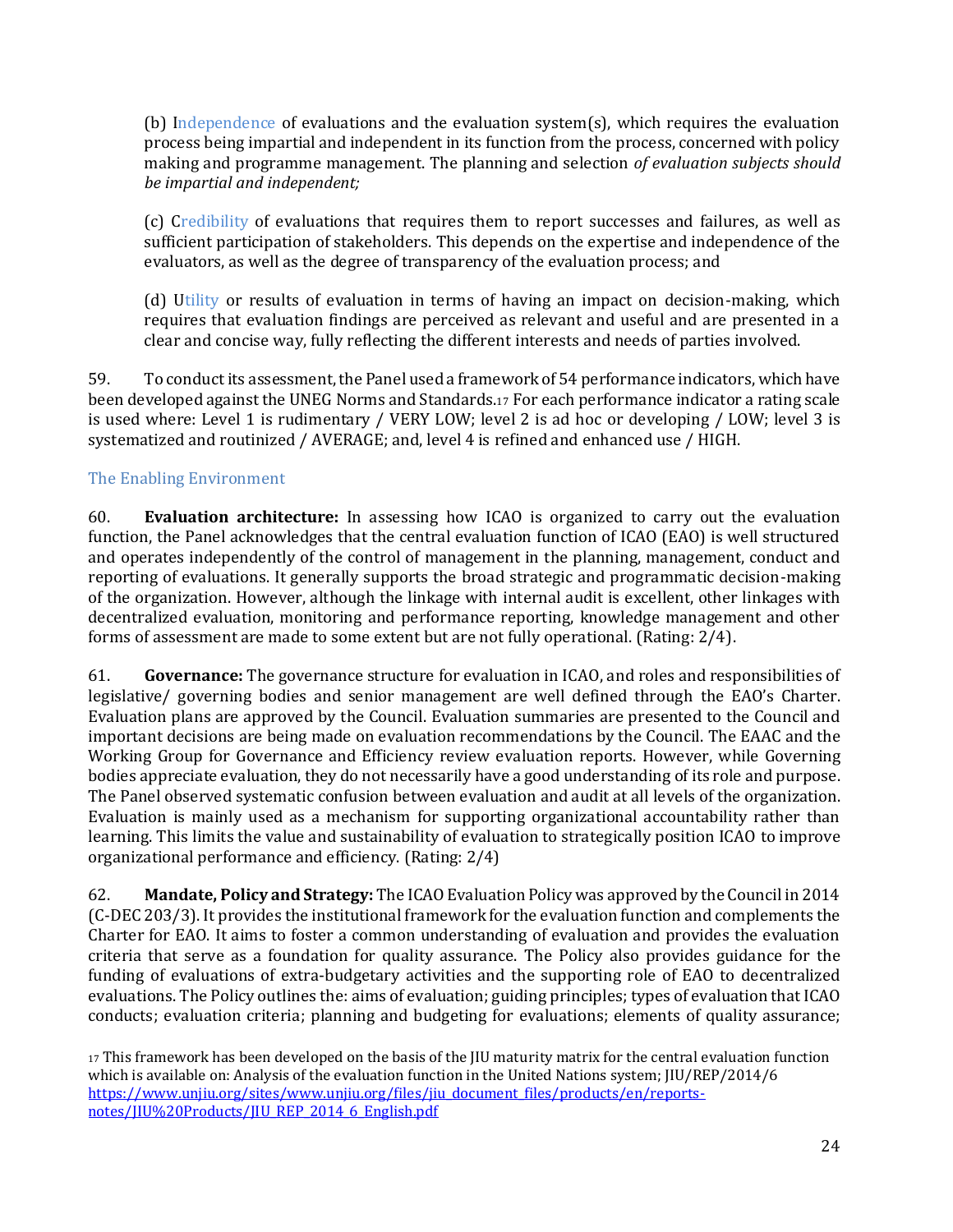(b) Independence of evaluations and the evaluation system(s), which requires the evaluation process being impartial and independent in its function from the process, concerned with policy making and programme management. The planning and selection *of evaluation subjects should be impartial and independent;*

(c) Credibility of evaluations that requires them to report successes and failures, as well as sufficient participation of stakeholders. This depends on the expertise and independence of the evaluators, as well as the degree of transparency of the evaluation process; and

(d) Utility or results of evaluation in terms of having an impact on decision-making, which requires that evaluation findings are perceived as relevant and useful and are presented in a clear and concise way, fully reflecting the different interests and needs of parties involved.

59. To conduct its assessment, the Panel used a framework of 54 performance indicators, which have been developed against the UNEG Norms and Standards.<sup>17</sup> For each performance indicator a rating scale is used where: Level 1 is rudimentary / VERY LOW; level 2 is ad hoc or developing / LOW; level 3 is systematized and routinized / AVERAGE; and, level 4 is refined and enhanced use / HIGH.

#### <span id="page-23-0"></span>The Enabling Environment

60. **Evaluation architecture:** In assessing how ICAO is organized to carry out the evaluation function, the Panel acknowledges that the central evaluation function of ICAO (EAO) is well structured and operates independently of the control of management in the planning, management, conduct and reporting of evaluations. It generally supports the broad strategic and programmatic decision-making of the organization. However, although the linkage with internal audit is excellent, other linkages with decentralized evaluation, monitoring and performance reporting, knowledge management and other forms of assessment are made to some extent but are not fully operational. (Rating: 2/4).

61. **Governance:** The governance structure for evaluation in ICAO, and roles and responsibilities of legislative/ governing bodies and senior management are well defined through the EAO's Charter. Evaluation plans are approved by the Council. Evaluation summaries are presented to the Council and important decisions are being made on evaluation recommendations by the Council. The EAAC and the Working Group for Governance and Efficiency review evaluation reports. However, while Governing bodies appreciate evaluation, they do not necessarily have a good understanding of its role and purpose. The Panel observed systematic confusion between evaluation and audit at all levels of the organization. Evaluation is mainly used as a mechanism for supporting organizational accountability rather than learning. This limits the value and sustainability of evaluation to strategically position ICAO to improve organizational performance and efficiency. (Rating: 2/4)

62. **Mandate, Policy and Strategy:** The ICAO Evaluation Policy was approved by the Council in 2014 (C-DEC 203/3). It provides the institutional framework for the evaluation function and complements the Charter for EAO. It aims to foster a common understanding of evaluation and provides the evaluation criteria that serve as a foundation for quality assurance. The Policy also provides guidance for the funding of evaluations of extra-budgetary activities and the supporting role of EAO to decentralized evaluations. The Policy outlines the: aims of evaluation; guiding principles; types of evaluation that ICAO conducts; evaluation criteria; planning and budgeting for evaluations; elements of quality assurance;

<sup>17</sup> This framework has been developed on the basis of the JIU maturity matrix for the central evaluation function which is available on: Analysis of the evaluation function in the United Nations system; IIU/REP/2014/6 [https://www.unjiu.org/sites/www.unjiu.org/files/jiu\\_document\\_files/products/en/reports](https://www.unjiu.org/sites/www.unjiu.org/files/jiu_document_files/products/en/reports-notes/JIU%20Products/JIU_REP_2014_6_English.pdf)[notes/JIU%20Products/JIU\\_REP\\_2014\\_6\\_English.pdf](https://www.unjiu.org/sites/www.unjiu.org/files/jiu_document_files/products/en/reports-notes/JIU%20Products/JIU_REP_2014_6_English.pdf)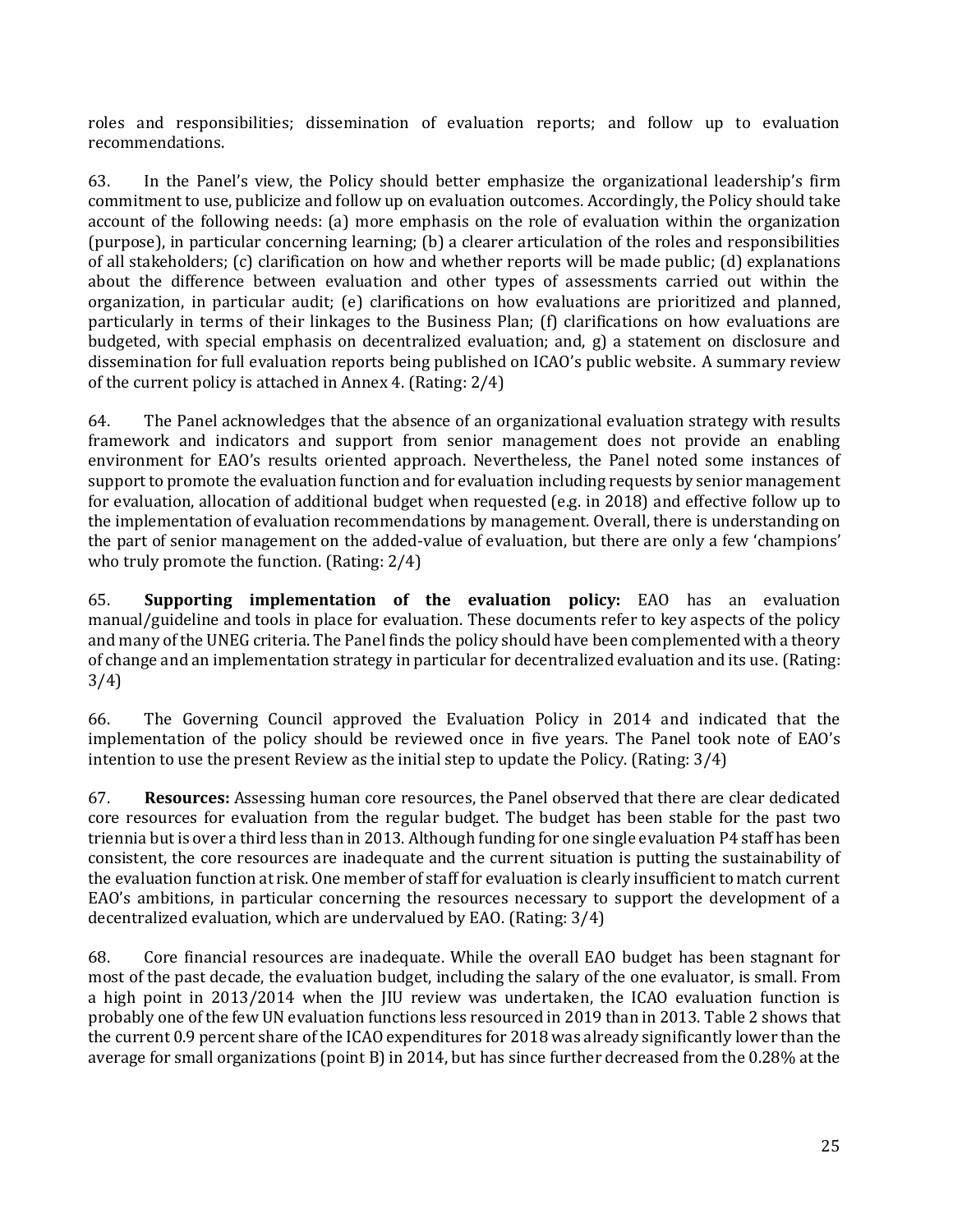roles and responsibilities; dissemination of evaluation reports; and follow up to evaluation recommendations.

63. In the Panel's view, the Policy should better emphasize the organizational leadership's firm commitment to use, publicize and follow up on evaluation outcomes. Accordingly, the Policy should take account of the following needs: (a) more emphasis on the role of evaluation within the organization (purpose), in particular concerning learning; (b) a clearer articulation of the roles and responsibilities of all stakeholders; (c) clarification on how and whether reports will be made public; (d) explanations about the difference between evaluation and other types of assessments carried out within the organization, in particular audit; (e) clarifications on how evaluations are prioritized and planned, particularly in terms of their linkages to the Business Plan; (f) clarifications on how evaluations are budgeted, with special emphasis on decentralized evaluation; and, g) a statement on disclosure and dissemination for full evaluation reports being published on ICAO's public website. A summary review of the current policy is attached in Annex 4. (Rating: 2/4)

64. The Panel acknowledges that the absence of an organizational evaluation strategy with results framework and indicators and support from senior management does not provide an enabling environment for EAO's results oriented approach. Nevertheless, the Panel noted some instances of support to promote the evaluation function and for evaluation including requests by senior management for evaluation, allocation of additional budget when requested (e.g. in 2018) and effective follow up to the implementation of evaluation recommendations by management. Overall, there is understanding on the part of senior management on the added-value of evaluation, but there are only a few 'champions' who truly promote the function. (Rating: 2/4)

65. **Supporting implementation of the evaluation policy:** EAO has an evaluation manual/guideline and tools in place for evaluation. These documents refer to key aspects of the policy and many of the UNEG criteria. The Panel finds the policy should have been complemented with a theory of change and an implementation strategy in particular for decentralized evaluation and its use. (Rating: 3/4)

66. The Governing Council approved the Evaluation Policy in 2014 and indicated that the implementation of the policy should be reviewed once in five years. The Panel took note of EAO's intention to use the present Review as the initial step to update the Policy. (Rating: 3/4)

67. **Resources:** Assessing human core resources, the Panel observed that there are clear dedicated core resources for evaluation from the regular budget. The budget has been stable for the past two triennia but is over a third less than in 2013. Although funding for one single evaluation P4 staff has been consistent, the core resources are inadequate and the current situation is putting the sustainability of the evaluation function at risk. One member of staff for evaluation is clearly insufficient to match current EAO's ambitions, in particular concerning the resources necessary to support the development of a decentralized evaluation, which are undervalued by EAO. (Rating: 3/4)

68. Core financial resources are inadequate. While the overall EAO budget has been stagnant for most of the past decade, the evaluation budget, including the salary of the one evaluator, is small. From a high point in 2013/2014 when the JIU review was undertaken, the ICAO evaluation function is probably one of the few UN evaluation functions less resourced in 2019 than in 2013. Table 2 shows that the current 0.9 percent share of the ICAO expenditures for 2018 was already significantly lower than the average for small organizations (point B) in 2014, but has since further decreased from the 0.28% at the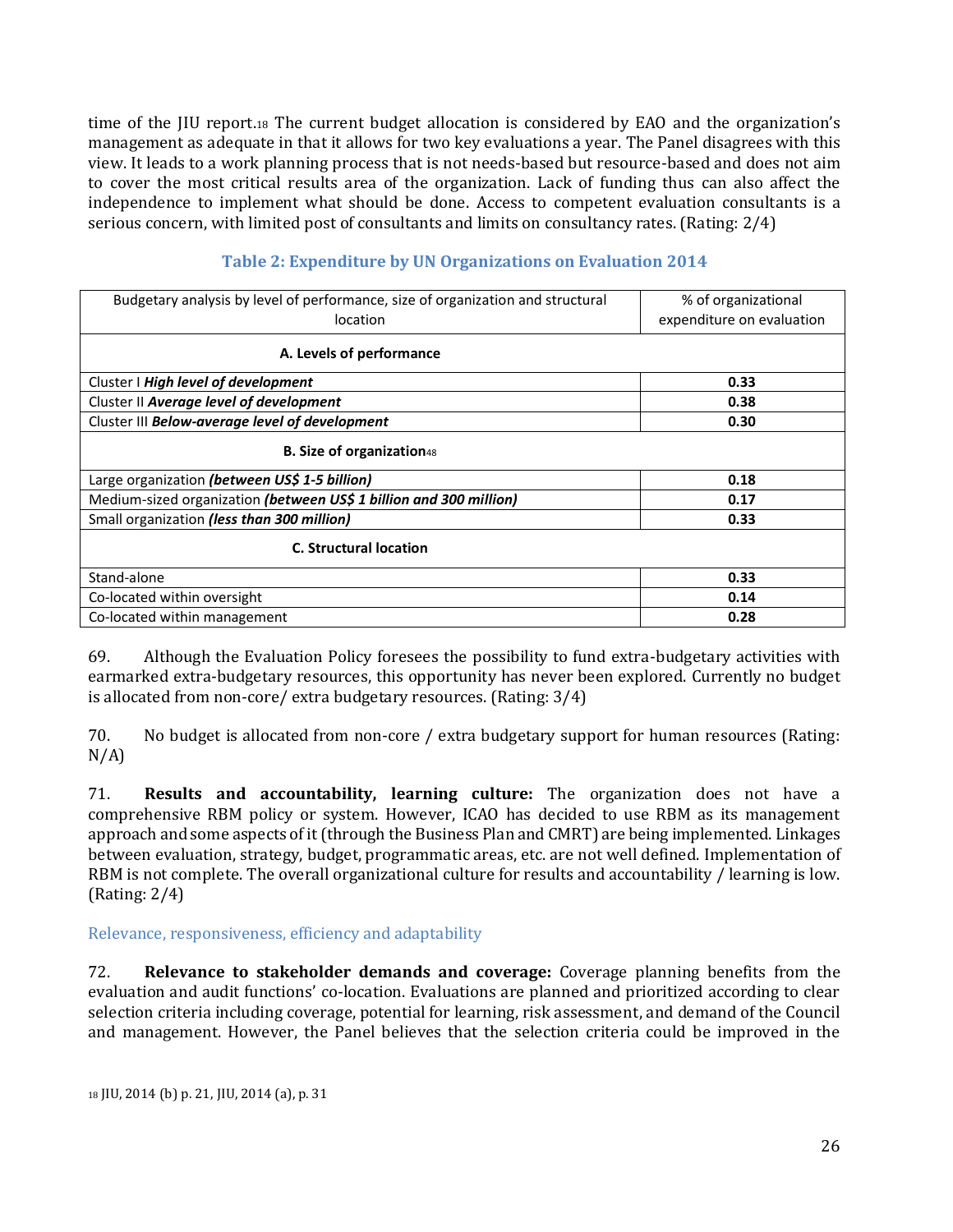time of the JIU report.<sup>18</sup> The current budget allocation is considered by EAO and the organization's management as adequate in that it allows for two key evaluations a year. The Panel disagrees with this view. It leads to a work planning process that is not needs-based but resource-based and does not aim to cover the most critical results area of the organization. Lack of funding thus can also affect the independence to implement what should be done. Access to competent evaluation consultants is a serious concern, with limited post of consultants and limits on consultancy rates. (Rating: 2/4)

| Budgetary analysis by level of performance, size of organization and structural | % of organizational       |  |  |  |
|---------------------------------------------------------------------------------|---------------------------|--|--|--|
| location                                                                        | expenditure on evaluation |  |  |  |
| A. Levels of performance                                                        |                           |  |  |  |
| Cluster I High level of development                                             | 0.33                      |  |  |  |
| Cluster II Average level of development                                         | 0.38                      |  |  |  |
| Cluster III Below-average level of development                                  | 0.30                      |  |  |  |
| <b>B. Size of organization48</b>                                                |                           |  |  |  |
| Large organization (between US\$ 1-5 billion)                                   | 0.18                      |  |  |  |
| Medium-sized organization (between US\$ 1 billion and 300 million)              | 0.17                      |  |  |  |
| Small organization (less than 300 million)                                      | 0.33                      |  |  |  |
| <b>C. Structural location</b>                                                   |                           |  |  |  |
| Stand-alone                                                                     | 0.33                      |  |  |  |
| Co-located within oversight                                                     | 0.14                      |  |  |  |
| 0.28<br>Co-located within management                                            |                           |  |  |  |

#### **Table 2: Expenditure by UN Organizations on Evaluation 2014**

69. Although the Evaluation Policy foresees the possibility to fund extra-budgetary activities with earmarked extra-budgetary resources, this opportunity has never been explored. Currently no budget is allocated from non-core/ extra budgetary resources. (Rating: 3/4)

70. No budget is allocated from non-core / extra budgetary support for human resources (Rating: N/A)

71. **Results and accountability, learning culture:** The organization does not have a comprehensive RBM policy or system. However, ICAO has decided to use RBM as its management approach and some aspects of it (through the Business Plan and CMRT) are being implemented. Linkages between evaluation, strategy, budget, programmatic areas, etc. are not well defined. Implementation of RBM is not complete. The overall organizational culture for results and accountability / learning is low. (Rating: 2/4)

<span id="page-25-0"></span>Relevance, responsiveness, efficiency and adaptability

72. **Relevance to stakeholder demands and coverage:** Coverage planning benefits from the evaluation and audit functions' co-location. Evaluations are planned and prioritized according to clear selection criteria including coverage, potential for learning, risk assessment, and demand of the Council and management. However, the Panel believes that the selection criteria could be improved in the

<sup>18</sup> JIU, 2014 (b) p. 21, JIU, 2014 (a), p. 31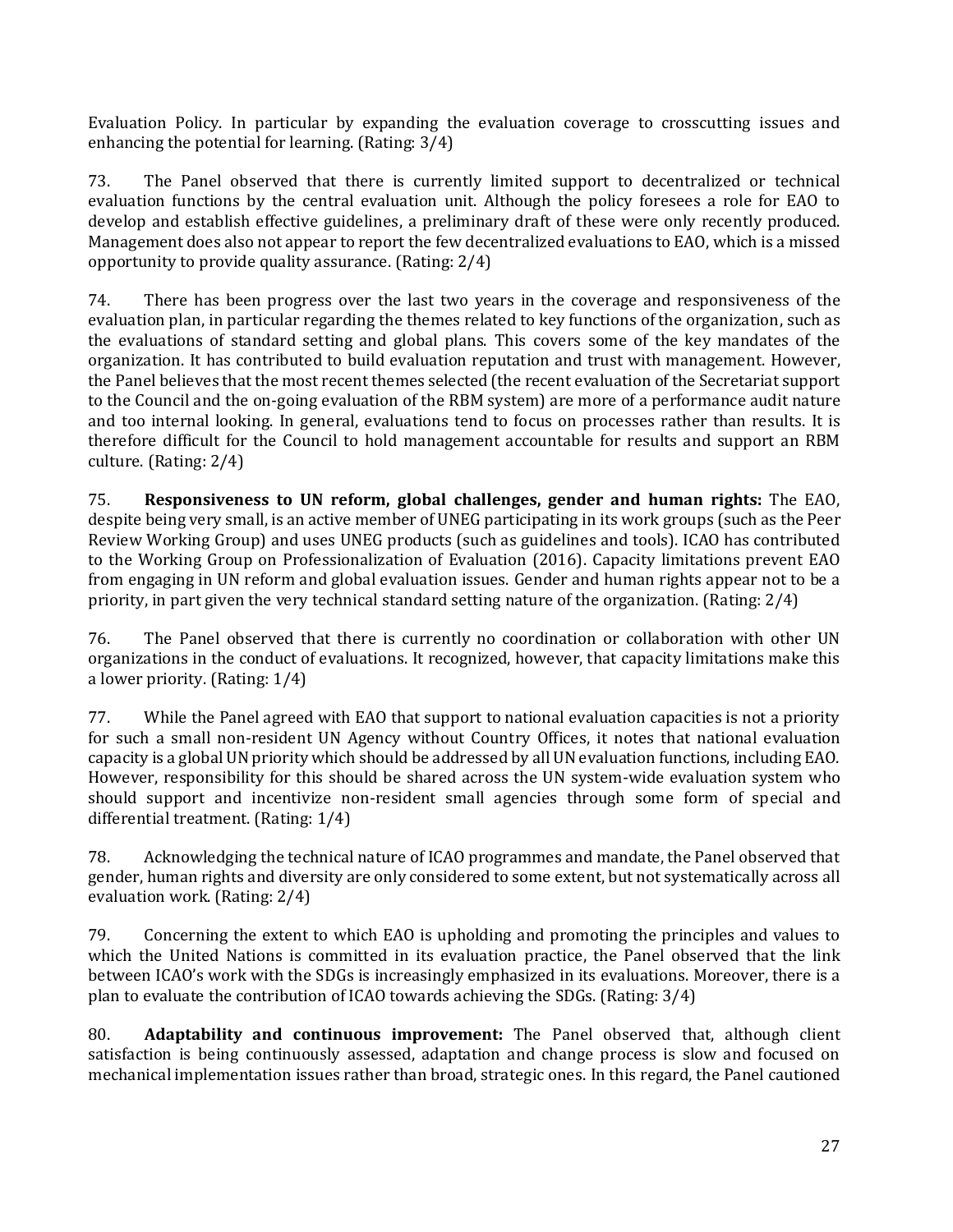Evaluation Policy. In particular by expanding the evaluation coverage to crosscutting issues and enhancing the potential for learning. (Rating: 3/4)

73. The Panel observed that there is currently limited support to decentralized or technical evaluation functions by the central evaluation unit. Although the policy foresees a role for EAO to develop and establish effective guidelines, a preliminary draft of these were only recently produced. Management does also not appear to report the few decentralized evaluations to EAO, which is a missed opportunity to provide quality assurance. (Rating: 2/4)

74. There has been progress over the last two years in the coverage and responsiveness of the evaluation plan, in particular regarding the themes related to key functions of the organization, such as the evaluations of standard setting and global plans. This covers some of the key mandates of the organization. It has contributed to build evaluation reputation and trust with management. However, the Panel believes that the most recent themes selected (the recent evaluation of the Secretariat support to the Council and the on-going evaluation of the RBM system) are more of a performance audit nature and too internal looking. In general, evaluations tend to focus on processes rather than results. It is therefore difficult for the Council to hold management accountable for results and support an RBM culture. (Rating: 2/4)

75. **Responsiveness to UN reform, global challenges, gender and human rights:** The EAO, despite being very small, is an active member of UNEG participating in its work groups (such as the Peer Review Working Group) and uses UNEG products (such as guidelines and tools). ICAO has contributed to the Working Group on Professionalization of Evaluation (2016). Capacity limitations prevent EAO from engaging in UN reform and global evaluation issues. Gender and human rights appear not to be a priority, in part given the very technical standard setting nature of the organization. (Rating: 2/4)

76. The Panel observed that there is currently no coordination or collaboration with other UN organizations in the conduct of evaluations. It recognized, however, that capacity limitations make this a lower priority. (Rating: 1/4)

77. While the Panel agreed with EAO that support to national evaluation capacities is not a priority for such a small non-resident UN Agency without Country Offices, it notes that national evaluation capacity is a global UN priority which should be addressed by all UN evaluation functions, including EAO. However, responsibility for this should be shared across the UN system-wide evaluation system who should support and incentivize non-resident small agencies through some form of special and differential treatment. (Rating: 1/4)

78. Acknowledging the technical nature of ICAO programmes and mandate, the Panel observed that gender, human rights and diversity are only considered to some extent, but not systematically across all evaluation work. (Rating: 2/4)

79. Concerning the extent to which EAO is upholding and promoting the principles and values to which the United Nations is committed in its evaluation practice, the Panel observed that the link between ICAO's work with the SDGs is increasingly emphasized in its evaluations. Moreover, there is a plan to evaluate the contribution of ICAO towards achieving the SDGs. (Rating: 3/4)

80. **Adaptability and continuous improvement:** The Panel observed that, although client satisfaction is being continuously assessed, adaptation and change process is slow and focused on mechanical implementation issues rather than broad, strategic ones. In this regard, the Panel cautioned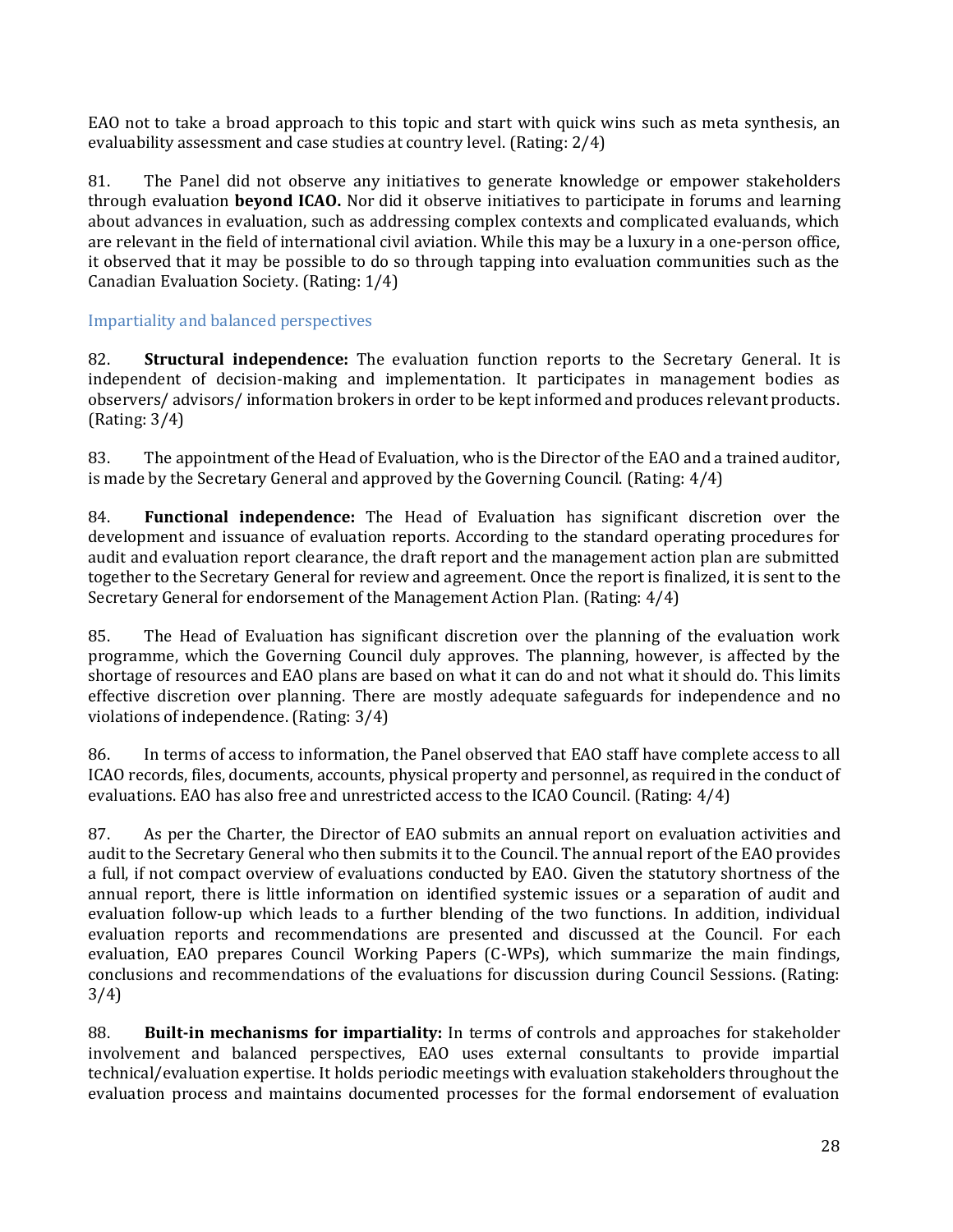EAO not to take a broad approach to this topic and start with quick wins such as meta synthesis, an evaluability assessment and case studies at country level. (Rating: 2/4)

81. The Panel did not observe any initiatives to generate knowledge or empower stakeholders through evaluation **beyond ICAO.** Nor did it observe initiatives to participate in forums and learning about advances in evaluation, such as addressing complex contexts and complicated evaluands, which are relevant in the field of international civil aviation. While this may be a luxury in a one-person office, it observed that it may be possible to do so through tapping into evaluation communities such as the Canadian Evaluation Society. (Rating: 1/4)

#### <span id="page-27-0"></span>Impartiality and balanced perspectives

82. **Structural independence:** The evaluation function reports to the Secretary General. It is independent of decision-making and implementation. It participates in management bodies as observers/ advisors/ information brokers in order to be kept informed and produces relevant products. (Rating: 3/4)

83. The appointment of the Head of Evaluation, who is the Director of the EAO and a trained auditor, is made by the Secretary General and approved by the Governing Council. (Rating: 4/4)

84. **Functional independence:** The Head of Evaluation has significant discretion over the development and issuance of evaluation reports. According to the standard operating procedures for audit and evaluation report clearance, the draft report and the management action plan are submitted together to the Secretary General for review and agreement. Once the report is finalized, it is sent to the Secretary General for endorsement of the Management Action Plan. (Rating: 4/4)

85. The Head of Evaluation has significant discretion over the planning of the evaluation work programme, which the Governing Council duly approves. The planning, however, is affected by the shortage of resources and EAO plans are based on what it can do and not what it should do. This limits effective discretion over planning. There are mostly adequate safeguards for independence and no violations of independence. (Rating: 3/4)

86. In terms of access to information, the Panel observed that EAO staff have complete access to all ICAO records, files, documents, accounts, physical property and personnel, as required in the conduct of evaluations. EAO has also free and unrestricted access to the ICAO Council. (Rating: 4/4)

87. As per the Charter, the Director of EAO submits an annual report on evaluation activities and audit to the Secretary General who then submits it to the Council. The annual report of the EAO provides a full, if not compact overview of evaluations conducted by EAO. Given the statutory shortness of the annual report, there is little information on identified systemic issues or a separation of audit and evaluation follow-up which leads to a further blending of the two functions. In addition, individual evaluation reports and recommendations are presented and discussed at the Council. For each evaluation, EAO prepares Council Working Papers (C-WPs), which summarize the main findings, conclusions and recommendations of the evaluations for discussion during Council Sessions. (Rating: 3/4)

88. **Built-in mechanisms for impartiality:** In terms of controls and approaches for stakeholder involvement and balanced perspectives, EAO uses external consultants to provide impartial technical/evaluation expertise. It holds periodic meetings with evaluation stakeholders throughout the evaluation process and maintains documented processes for the formal endorsement of evaluation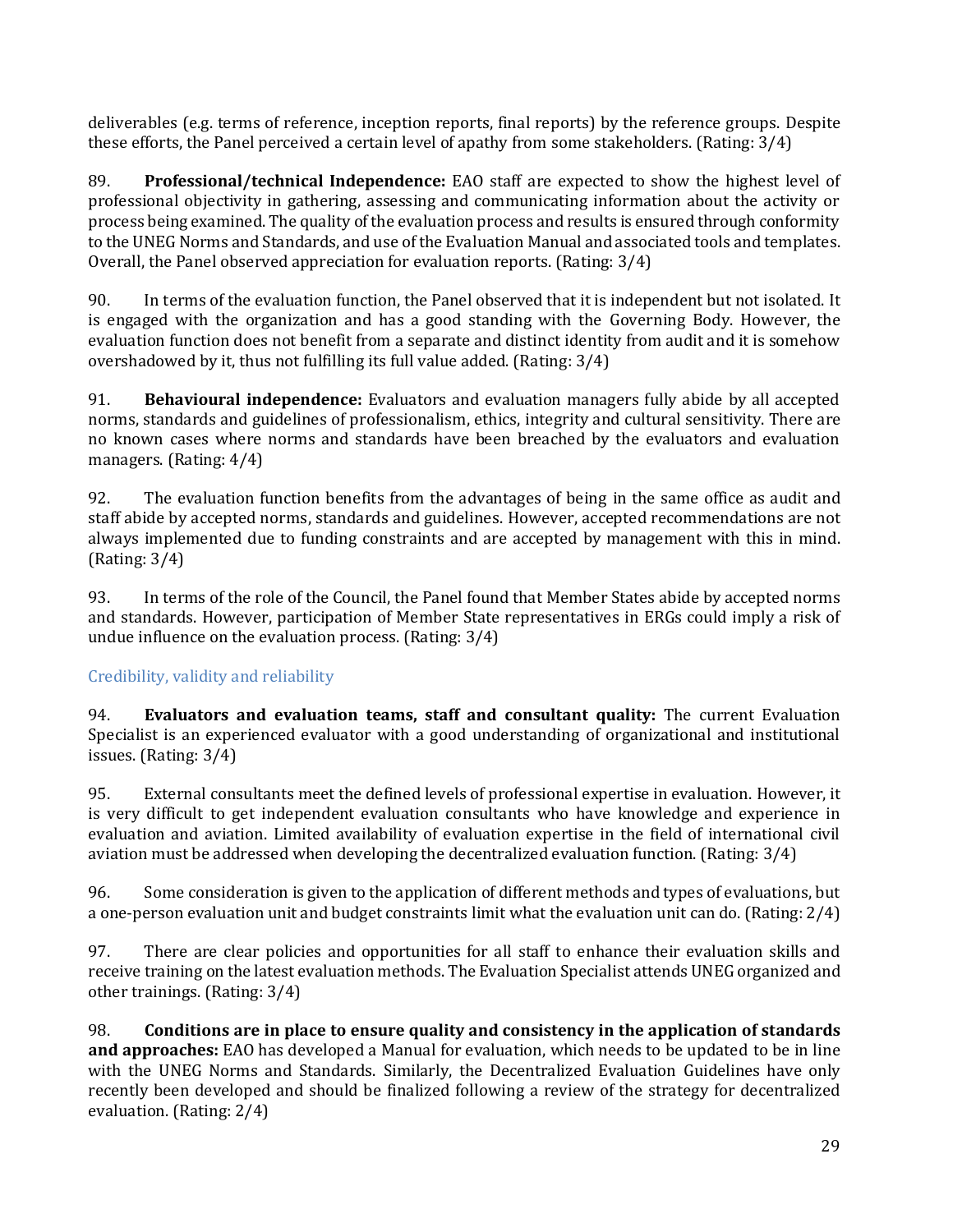deliverables (e.g. terms of reference, inception reports, final reports) by the reference groups. Despite these efforts, the Panel perceived a certain level of apathy from some stakeholders. (Rating: 3/4)

89. **Professional/technical Independence:** EAO staff are expected to show the highest level of professional objectivity in gathering, assessing and communicating information about the activity or process being examined. The quality of the evaluation process and results is ensured through conformity to the UNEG Norms and Standards, and use of the Evaluation Manual and associated tools and templates. Overall, the Panel observed appreciation for evaluation reports. (Rating: 3/4)

90. In terms of the evaluation function, the Panel observed that it is independent but not isolated. It is engaged with the organization and has a good standing with the Governing Body. However, the evaluation function does not benefit from a separate and distinct identity from audit and it is somehow overshadowed by it, thus not fulfilling its full value added. (Rating: 3/4)

91. **Behavioural independence:** Evaluators and evaluation managers fully abide by all accepted norms, standards and guidelines of professionalism, ethics, integrity and cultural sensitivity. There are no known cases where norms and standards have been breached by the evaluators and evaluation managers. (Rating: 4/4)

92. The evaluation function benefits from the advantages of being in the same office as audit and staff abide by accepted norms, standards and guidelines. However, accepted recommendations are not always implemented due to funding constraints and are accepted by management with this in mind. (Rating: 3/4)

93. In terms of the role of the Council, the Panel found that Member States abide by accepted norms and standards. However, participation of Member State representatives in ERGs could imply a risk of undue influence on the evaluation process. (Rating: 3/4)

### <span id="page-28-0"></span>Credibility, validity and reliability

94. **Evaluators and evaluation teams, staff and consultant quality:** The current Evaluation Specialist is an experienced evaluator with a good understanding of organizational and institutional issues. (Rating: 3/4)

95. External consultants meet the defined levels of professional expertise in evaluation. However, it is very difficult to get independent evaluation consultants who have knowledge and experience in evaluation and aviation. Limited availability of evaluation expertise in the field of international civil aviation must be addressed when developing the decentralized evaluation function. (Rating: 3/4)

96. Some consideration is given to the application of different methods and types of evaluations, but a one-person evaluation unit and budget constraints limit what the evaluation unit can do. (Rating: 2/4)

97. There are clear policies and opportunities for all staff to enhance their evaluation skills and receive training on the latest evaluation methods. The Evaluation Specialist attends UNEG organized and other trainings. (Rating: 3/4)

98. **Conditions are in place to ensure quality and consistency in the application of standards and approaches:** EAO has developed a Manual for evaluation, which needs to be updated to be in line with the UNEG Norms and Standards. Similarly, the Decentralized Evaluation Guidelines have only recently been developed and should be finalized following a review of the strategy for decentralized evaluation. (Rating: 2/4)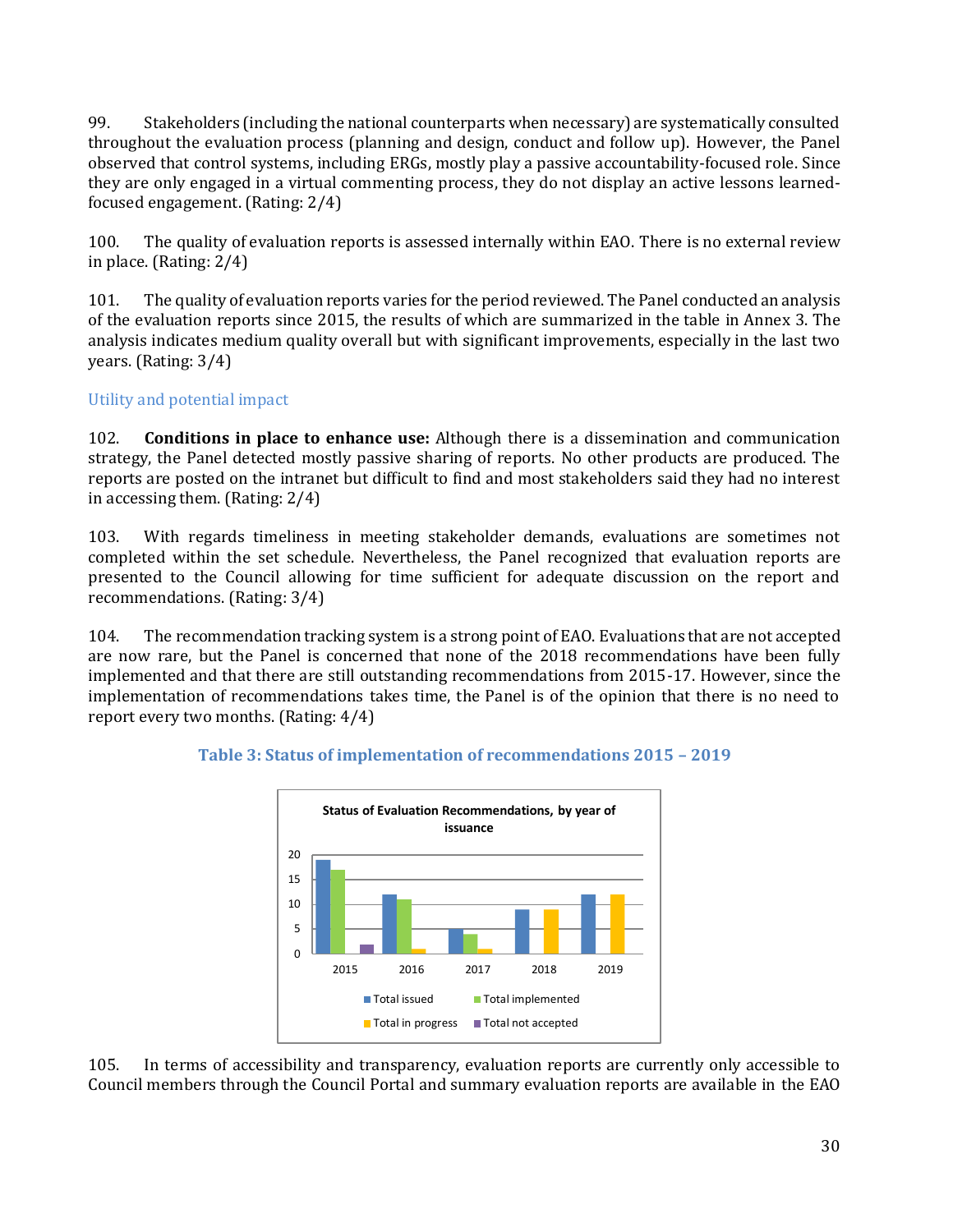99. Stakeholders (including the national counterparts when necessary) are systematically consulted throughout the evaluation process (planning and design, conduct and follow up). However, the Panel observed that control systems, including ERGs, mostly play a passive accountability-focused role. Since they are only engaged in a virtual commenting process, they do not display an active lessons learnedfocused engagement. (Rating: 2/4)

100. The quality of evaluation reports is assessed internally within EAO. There is no external review in place. (Rating: 2/4)

101. The quality of evaluation reports varies for the period reviewed. The Panel conducted an analysis of the evaluation reports since 2015, the results of which are summarized in the table in Annex 3. The analysis indicates medium quality overall but with significant improvements, especially in the last two years. (Rating: 3/4)

#### <span id="page-29-0"></span>Utility and potential impact

102. **Conditions in place to enhance use:** Although there is a dissemination and communication strategy, the Panel detected mostly passive sharing of reports. No other products are produced. The reports are posted on the intranet but difficult to find and most stakeholders said they had no interest in accessing them. (Rating: 2/4)

103. With regards timeliness in meeting stakeholder demands, evaluations are sometimes not completed within the set schedule. Nevertheless, the Panel recognized that evaluation reports are presented to the Council allowing for time sufficient for adequate discussion on the report and recommendations. (Rating: 3/4)

104. The recommendation tracking system is a strong point of EAO. Evaluations that are not accepted are now rare, but the Panel is concerned that none of the 2018 recommendations have been fully implemented and that there are still outstanding recommendations from 2015-17. However, since the implementation of recommendations takes time, the Panel is of the opinion that there is no need to report every two months. (Rating: 4/4)



#### **Table 3: Status of implementation of recommendations 2015 – 2019**

105. In terms of accessibility and transparency, evaluation reports are currently only accessible to Council members through the Council Portal and summary evaluation reports are available in the EAO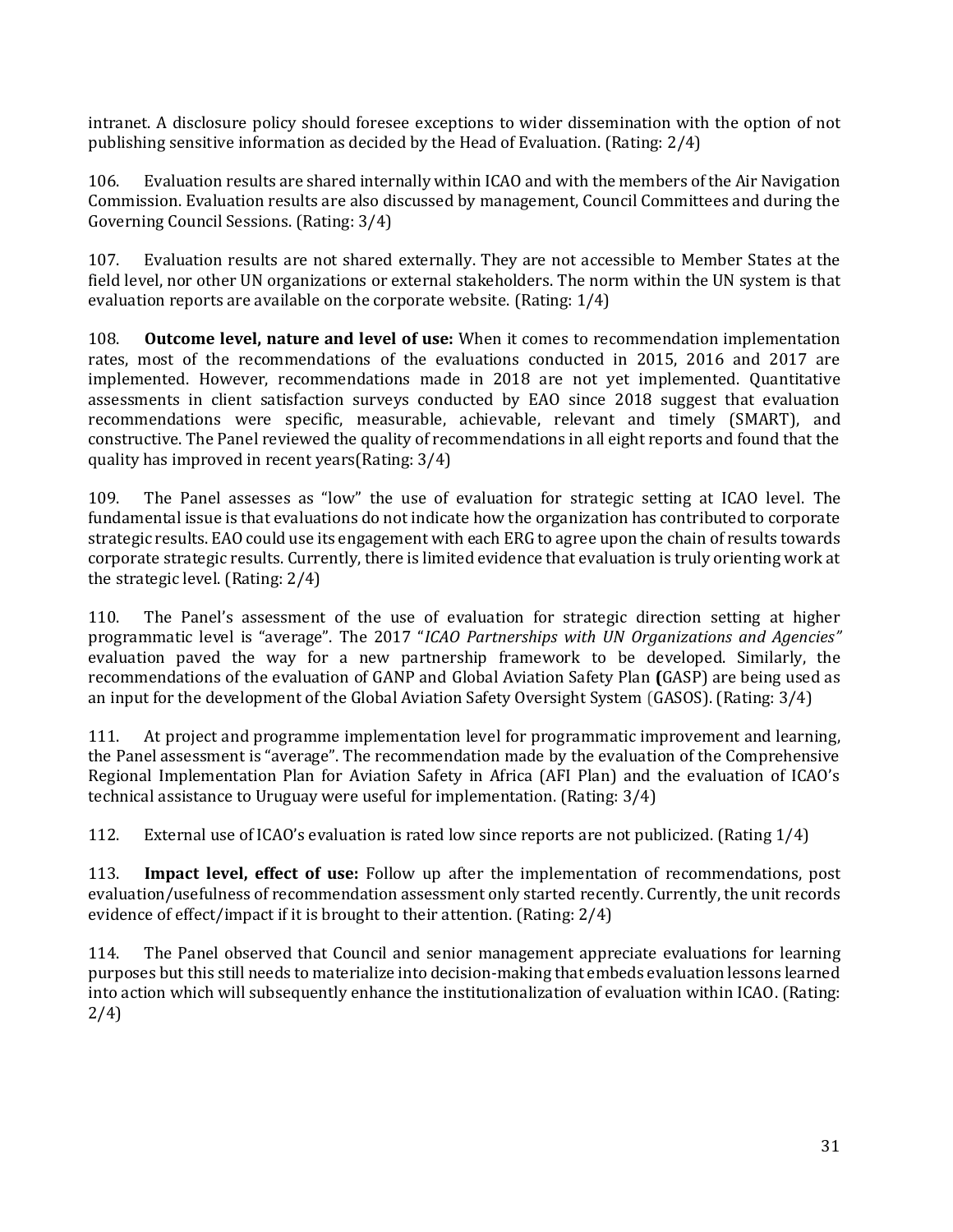intranet. A disclosure policy should foresee exceptions to wider dissemination with the option of not publishing sensitive information as decided by the Head of Evaluation. (Rating: 2/4)

106. Evaluation results are shared internally within ICAO and with the members of the Air Navigation Commission. Evaluation results are also discussed by management, Council Committees and during the Governing Council Sessions. (Rating: 3/4)

107. Evaluation results are not shared externally. They are not accessible to Member States at the field level, nor other UN organizations or external stakeholders. The norm within the UN system is that evaluation reports are available on the corporate website. (Rating: 1/4)

108. **Outcome level, nature and level of use:** When it comes to recommendation implementation rates, most of the recommendations of the evaluations conducted in 2015, 2016 and 2017 are implemented. However, recommendations made in 2018 are not yet implemented. Quantitative assessments in client satisfaction surveys conducted by EAO since 2018 suggest that evaluation recommendations were specific, measurable, achievable, relevant and timely (SMART), and constructive. The Panel reviewed the quality of recommendations in all eight reports and found that the quality has improved in recent years(Rating: 3/4)

109. The Panel assesses as "low" the use of evaluation for strategic setting at ICAO level. The fundamental issue is that evaluations do not indicate how the organization has contributed to corporate strategic results. EAO could use its engagement with each ERG to agree upon the chain of results towards corporate strategic results. Currently, there is limited evidence that evaluation is truly orienting work at the strategic level. (Rating: 2/4)

110. The Panel's assessment of the use of evaluation for strategic direction setting at higher programmatic level is "average". The 2017 "*ICAO Partnerships with UN Organizations and Agencies"* evaluation paved the way for a new partnership framework to be developed. Similarly, the recommendations of the evaluation of GANP and Global Aviation Safety Plan **(**GASP) are being used as an input for the development of the Global Aviation Safety Oversight System (GASOS). (Rating: 3/4)

111. At project and programme implementation level for programmatic improvement and learning, the Panel assessment is "average". The recommendation made by the evaluation of the Comprehensive Regional Implementation Plan for Aviation Safety in Africa (AFI Plan) and the evaluation of ICAO's technical assistance to Uruguay were useful for implementation. (Rating: 3/4)

112. External use of ICAO's evaluation is rated low since reports are not publicized. (Rating 1/4)

113. **Impact level, effect of use:** Follow up after the implementation of recommendations, post evaluation/usefulness of recommendation assessment only started recently. Currently, the unit records evidence of effect/impact if it is brought to their attention. (Rating: 2/4)

114. The Panel observed that Council and senior management appreciate evaluations for learning purposes but this still needs to materialize into decision-making that embeds evaluation lessons learned into action which will subsequently enhance the institutionalization of evaluation within ICAO. (Rating: 2/4)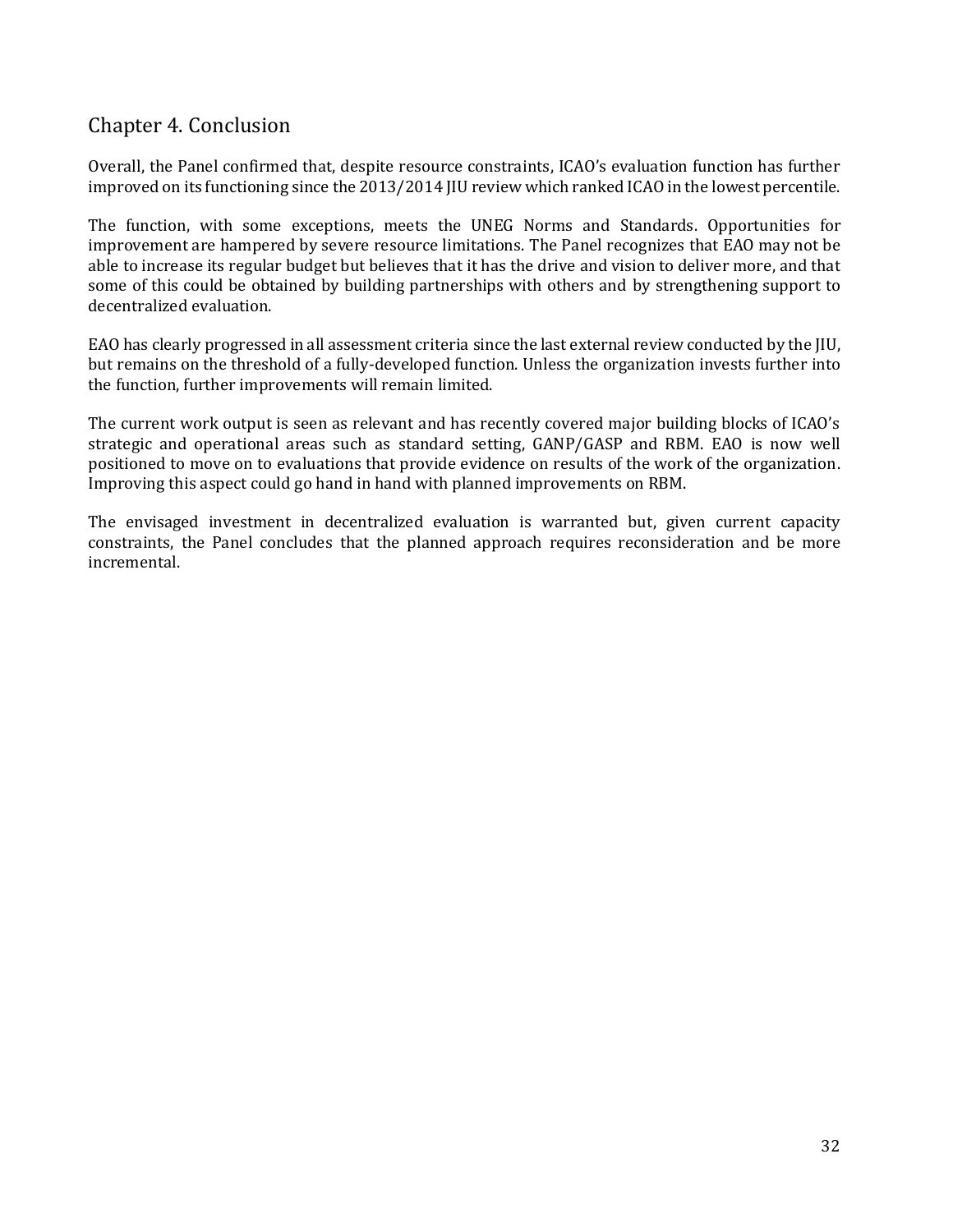# <span id="page-31-0"></span>Chapter 4. Conclusion

Overall, the Panel confirmed that, despite resource constraints, ICAO's evaluation function has further improved on its functioning since the 2013/2014 JIU review which ranked ICAO in the lowest percentile.

The function, with some exceptions, meets the UNEG Norms and Standards. Opportunities for improvement are hampered by severe resource limitations. The Panel recognizes that EAO may not be able to increase its regular budget but believes that it has the drive and vision to deliver more, and that some of this could be obtained by building partnerships with others and by strengthening support to decentralized evaluation.

EAO has clearly progressed in all assessment criteria since the last external review conducted by the JIU, but remains on the threshold of a fully-developed function. Unless the organization invests further into the function, further improvements will remain limited.

The current work output is seen as relevant and has recently covered major building blocks of ICAO's strategic and operational areas such as standard setting, GANP/GASP and RBM. EAO is now well positioned to move on to evaluations that provide evidence on results of the work of the organization. Improving this aspect could go hand in hand with planned improvements on RBM.

The envisaged investment in decentralized evaluation is warranted but, given current capacity constraints, the Panel concludes that the planned approach requires reconsideration and be more incremental.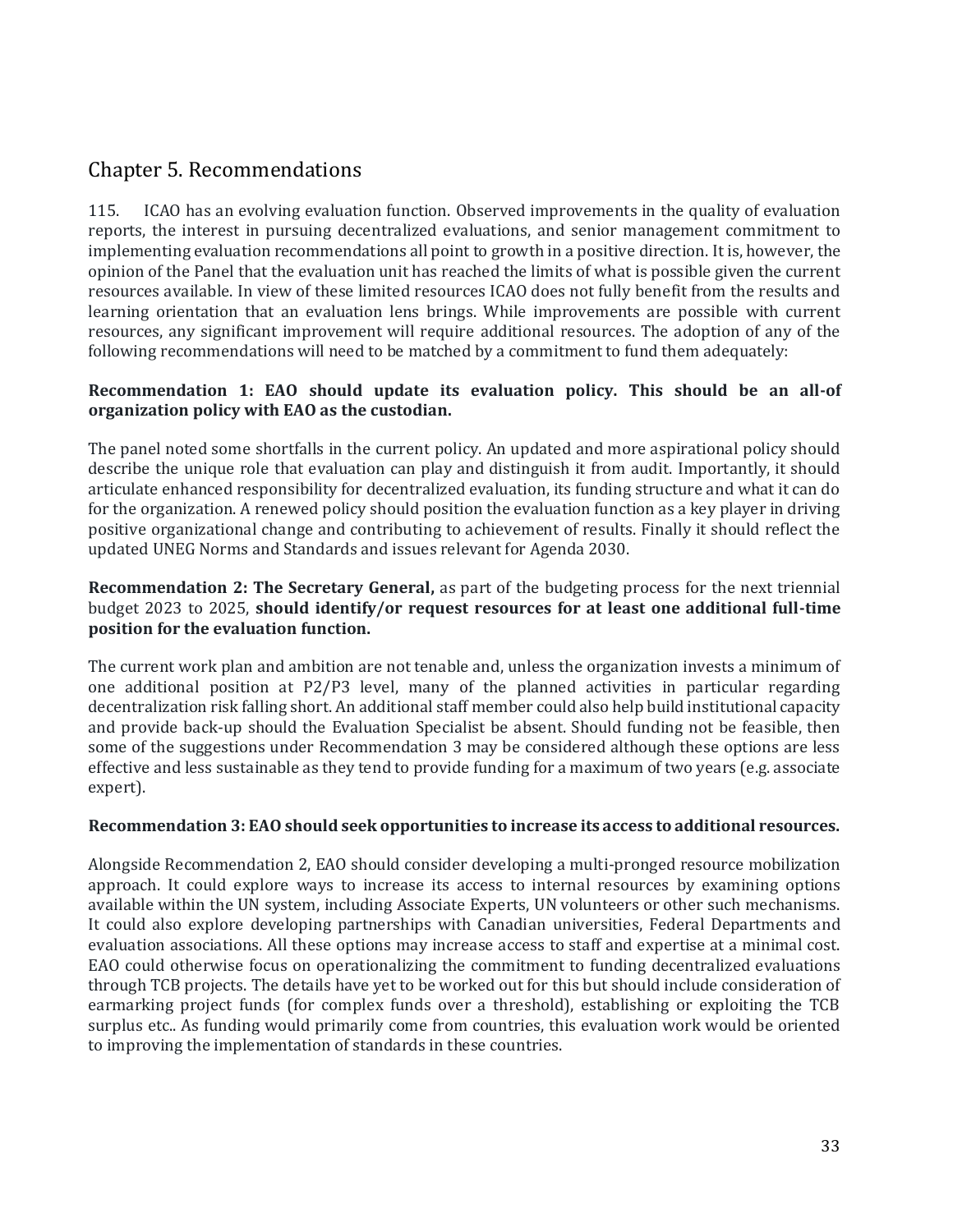# <span id="page-32-0"></span>Chapter 5. Recommendations

115. ICAO has an evolving evaluation function. Observed improvements in the quality of evaluation reports, the interest in pursuing decentralized evaluations, and senior management commitment to implementing evaluation recommendations all point to growth in a positive direction. It is, however, the opinion of the Panel that the evaluation unit has reached the limits of what is possible given the current resources available. In view of these limited resources ICAO does not fully benefit from the results and learning orientation that an evaluation lens brings. While improvements are possible with current resources, any significant improvement will require additional resources. The adoption of any of the following recommendations will need to be matched by a commitment to fund them adequately:

#### **Recommendation 1: EAO should update its evaluation policy. This should be an all-of organization policy with EAO as the custodian.**

The panel noted some shortfalls in the current policy. An updated and more aspirational policy should describe the unique role that evaluation can play and distinguish it from audit. Importantly, it should articulate enhanced responsibility for decentralized evaluation, its funding structure and what it can do for the organization. A renewed policy should position the evaluation function as a key player in driving positive organizational change and contributing to achievement of results. Finally it should reflect the updated UNEG Norms and Standards and issues relevant for Agenda 2030.

#### **Recommendation 2: The Secretary General,** as part of the budgeting process for the next triennial budget 2023 to 2025, **should identify/or request resources for at least one additional full-time position for the evaluation function.**

The current work plan and ambition are not tenable and, unless the organization invests a minimum of one additional position at P2/P3 level, many of the planned activities in particular regarding decentralization risk falling short. An additional staff member could also help build institutional capacity and provide back-up should the Evaluation Specialist be absent. Should funding not be feasible, then some of the suggestions under Recommendation 3 may be considered although these options are less effective and less sustainable as they tend to provide funding for a maximum of two years (e.g. associate expert).

#### **Recommendation 3: EAO should seek opportunities to increase its access to additional resources.**

Alongside Recommendation 2, EAO should consider developing a multi-pronged resource mobilization approach. It could explore ways to increase its access to internal resources by examining options available within the UN system, including Associate Experts, UN volunteers or other such mechanisms. It could also explore developing partnerships with Canadian universities, Federal Departments and evaluation associations. All these options may increase access to staff and expertise at a minimal cost. EAO could otherwise focus on operationalizing the commitment to funding decentralized evaluations through TCB projects. The details have yet to be worked out for this but should include consideration of earmarking project funds (for complex funds over a threshold), establishing or exploiting the TCB surplus etc.. As funding would primarily come from countries, this evaluation work would be oriented to improving the implementation of standards in these countries.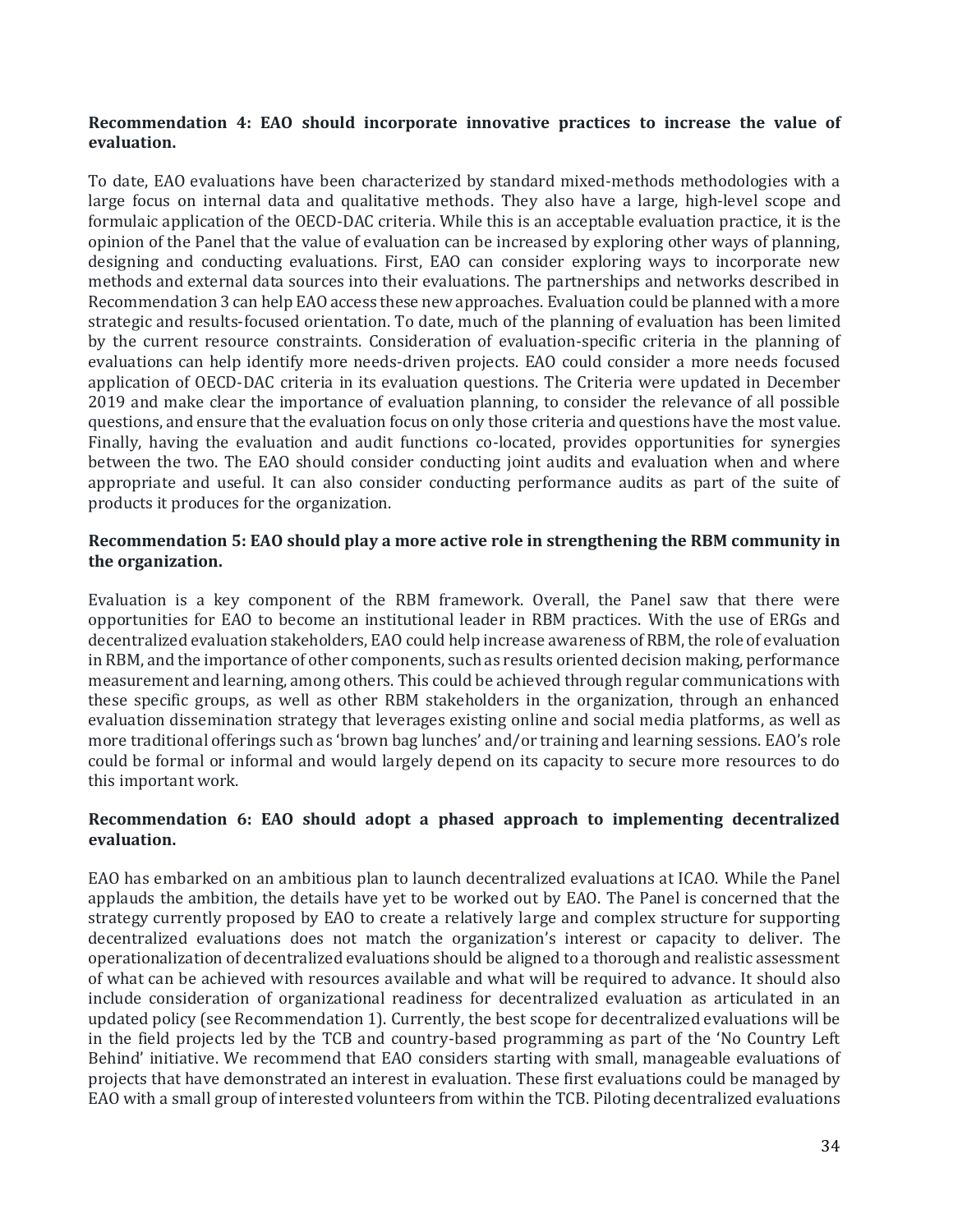#### **Recommendation 4: EAO should incorporate innovative practices to increase the value of evaluation.**

To date, EAO evaluations have been characterized by standard mixed-methods methodologies with a large focus on internal data and qualitative methods. They also have a large, high-level scope and formulaic application of the OECD-DAC criteria. While this is an acceptable evaluation practice, it is the opinion of the Panel that the value of evaluation can be increased by exploring other ways of planning, designing and conducting evaluations. First, EAO can consider exploring ways to incorporate new methods and external data sources into their evaluations. The partnerships and networks described in Recommendation 3 can help EAO access these new approaches. Evaluation could be planned with a more strategic and results-focused orientation. To date, much of the planning of evaluation has been limited by the current resource constraints. Consideration of evaluation-specific criteria in the planning of evaluations can help identify more needs-driven projects. EAO could consider a more needs focused application of OECD-DAC criteria in its evaluation questions. The Criteria were updated in December 2019 and make clear the importance of evaluation planning, to consider the relevance of all possible questions, and ensure that the evaluation focus on only those criteria and questions have the most value. Finally, having the evaluation and audit functions co-located, provides opportunities for synergies between the two. The EAO should consider conducting joint audits and evaluation when and where appropriate and useful. It can also consider conducting performance audits as part of the suite of products it produces for the organization.

#### **Recommendation 5: EAO should play a more active role in strengthening the RBM community in the organization.**

Evaluation is a key component of the RBM framework. Overall, the Panel saw that there were opportunities for EAO to become an institutional leader in RBM practices. With the use of ERGs and decentralized evaluation stakeholders, EAO could help increase awareness of RBM, the role of evaluation in RBM, and the importance of other components, such as results oriented decision making, performance measurement and learning, among others. This could be achieved through regular communications with these specific groups, as well as other RBM stakeholders in the organization, through an enhanced evaluation dissemination strategy that leverages existing online and social media platforms, as well as more traditional offerings such as 'brown bag lunches' and/or training and learning sessions. EAO's role could be formal or informal and would largely depend on its capacity to secure more resources to do this important work.

#### **Recommendation 6: EAO should adopt a phased approach to implementing decentralized evaluation.**

EAO has embarked on an ambitious plan to launch decentralized evaluations at ICAO. While the Panel applauds the ambition, the details have yet to be worked out by EAO. The Panel is concerned that the strategy currently proposed by EAO to create a relatively large and complex structure for supporting decentralized evaluations does not match the organization's interest or capacity to deliver. The operationalization of decentralized evaluations should be aligned to a thorough and realistic assessment of what can be achieved with resources available and what will be required to advance. It should also include consideration of organizational readiness for decentralized evaluation as articulated in an updated policy (see Recommendation 1). Currently, the best scope for decentralized evaluations will be in the field projects led by the TCB and country-based programming as part of the 'No Country Left Behind' initiative. We recommend that EAO considers starting with small, manageable evaluations of projects that have demonstrated an interest in evaluation. These first evaluations could be managed by EAO with a small group of interested volunteers from within the TCB. Piloting decentralized evaluations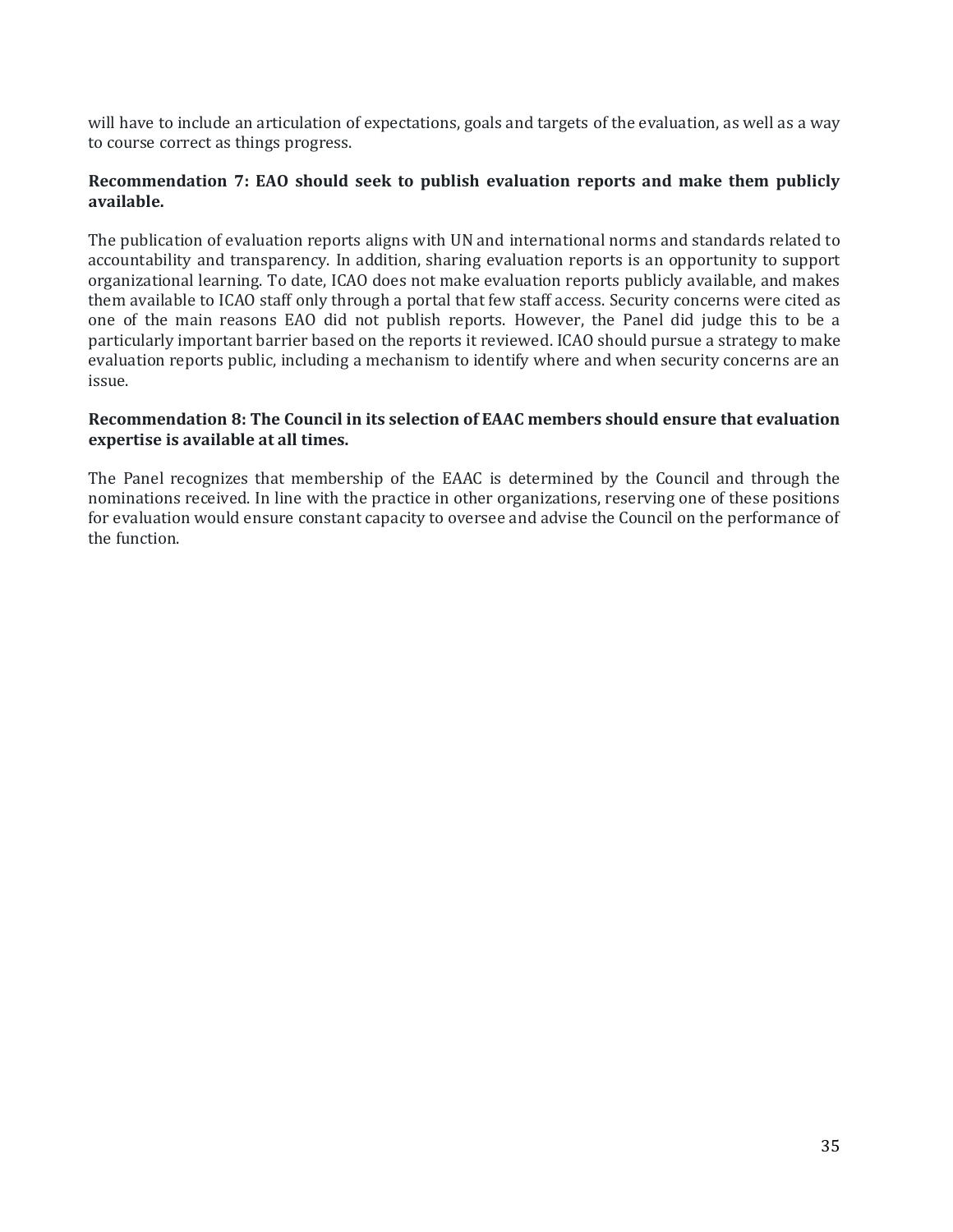will have to include an articulation of expectations, goals and targets of the evaluation, as well as a way to course correct as things progress.

#### **Recommendation 7: EAO should seek to publish evaluation reports and make them publicly available.**

The publication of evaluation reports aligns with UN and international norms and standards related to accountability and transparency. In addition, sharing evaluation reports is an opportunity to support organizational learning. To date, ICAO does not make evaluation reports publicly available, and makes them available to ICAO staff only through a portal that few staff access. Security concerns were cited as one of the main reasons EAO did not publish reports. However, the Panel did judge this to be a particularly important barrier based on the reports it reviewed. ICAO should pursue a strategy to make evaluation reports public, including a mechanism to identify where and when security concerns are an issue.

#### **Recommendation 8: The Council in its selection of EAAC members should ensure that evaluation expertise is available at all times.**

The Panel recognizes that membership of the EAAC is determined by the Council and through the nominations received. In line with the practice in other organizations, reserving one of these positions for evaluation would ensure constant capacity to oversee and advise the Council on the performance of the function.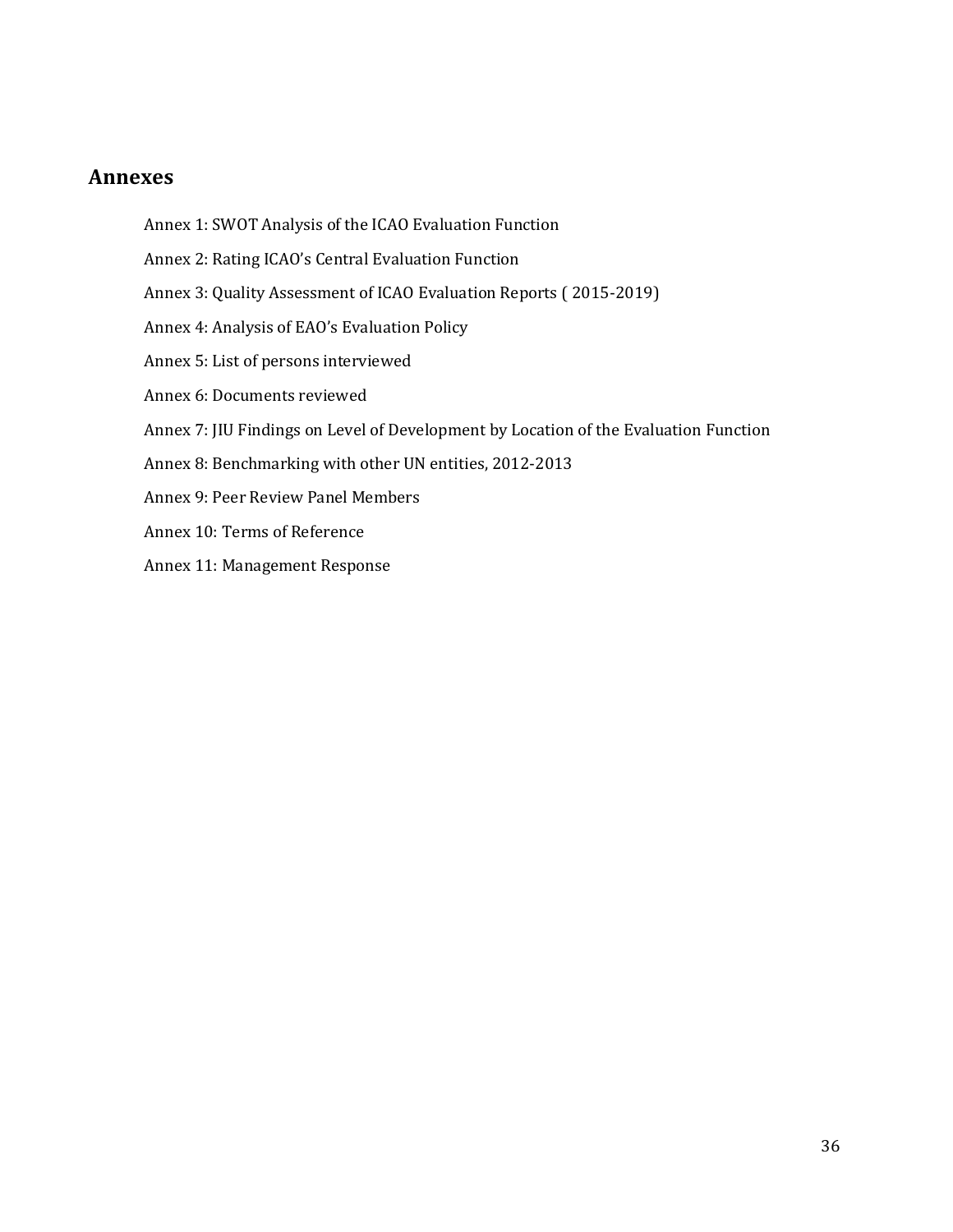#### <span id="page-35-0"></span>**Annexes**

- Annex 1: SWOT Analysis of the ICAO Evaluation Function
- Annex 2: Rating ICAO's Central Evaluation Function
- Annex 3: Quality Assessment of ICAO Evaluation Reports ( 2015-2019)
- Annex 4: Analysis of EAO's Evaluation Policy
- Annex 5: List of persons interviewed
- Annex 6: Documents reviewed
- Annex 7: JIU Findings on Level of Development by Location of the Evaluation Function
- Annex 8: Benchmarking with other UN entities, 2012-2013
- Annex 9: Peer Review Panel Members
- Annex 10: Terms of Reference
- Annex 11: Management Response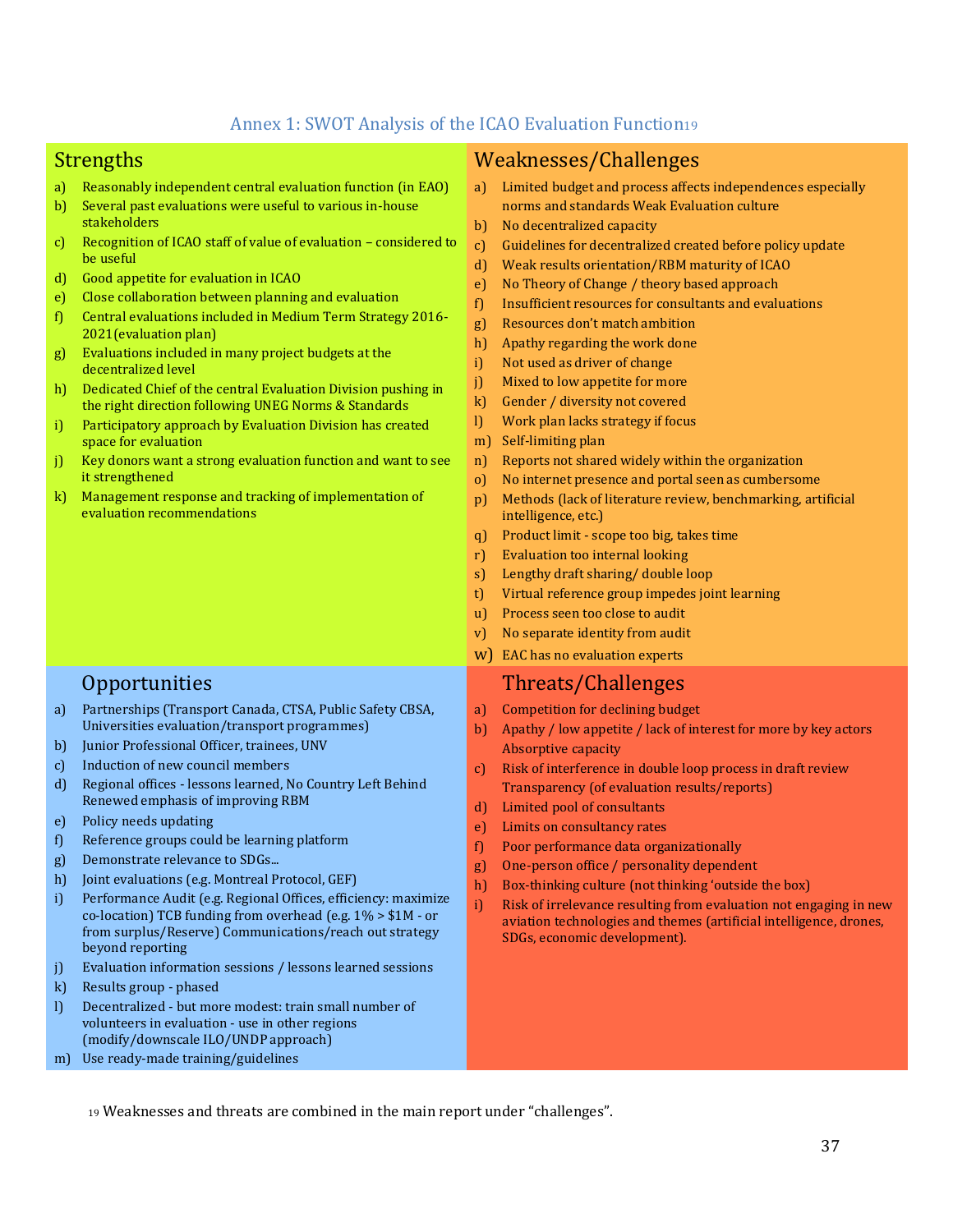#### Annex 1: SWOT Analysis of the ICAO Evaluation Function<sup>19</sup>

- a) Reasonably independent central evaluation function (in EAO)
- b) Several past evaluations were useful to various in-house stakeholders
- c) Recognition of ICAO staff of value of evaluation considered to be useful
- d) Good appetite for evaluation in ICAO
- e) Close collaboration between planning and evaluation
- f) Central evaluations included in Medium Term Strategy 2016- 2021(evaluation plan)
- g) Evaluations included in many project budgets at the decentralized level
- h) Dedicated Chief of the central Evaluation Division pushing in the right direction following UNEG Norms & Standards
- i) Participatory approach by Evaluation Division has created space for evaluation
- j) Key donors want a strong evaluation function and want to see it strengthened
- k) Management response and tracking of implementation of evaluation recommendations

- a) Partnerships (Transport Canada, CTSA, Public Safety CBSA, Universities evaluation/transport programmes)
- b) Junior Professional Officer, trainees, UNV
- c) Induction of new council members
- d) Regional offices lessons learned, No Country Left Behind Renewed emphasis of improving RBM
- e) Policy needs updating
- f) Reference groups could be learning platform
- g) Demonstrate relevance to SDGs...
- h) Joint evaluations (e.g. Montreal Protocol, GEF)
- i) Performance Audit (e.g. Regional Offices, efficiency: maximize co-location) TCB funding from overhead (e.g. 1% > \$1M - or from surplus/Reserve) Communications/reach out strategy beyond reporting
- j) Evaluation information sessions / lessons learned sessions
- k) Results group phased
- l) Decentralized but more modest: train small number of volunteers in evaluation - use in other regions (modify/downscale ILO/UNDP approach)
- m) Use ready-made training/guidelines

# <span id="page-36-0"></span>Strengths Weaknesses/Challenges

- a) Limited budget and process affects independences especially norms and standards Weak Evaluation culture
- b) No decentralized capacity
- c) Guidelines for decentralized created before policy update
- d) Weak results orientation/RBM maturity of ICAO
- e) No Theory of Change / theory based approach
- f) Insufficient resources for consultants and evaluations
- g) Resources don't match ambition
- h) Apathy regarding the work done
- i) Not used as driver of change
- j) Mixed to low appetite for more
- k) Gender / diversity not covered
- l) Work plan lacks strategy if focus
- m) Self-limiting plan
- n) Reports not shared widely within the organization
- o) No internet presence and portal seen as cumbersome
- p) Methods (lack of literature review, benchmarking, artificial intelligence, etc.)
- q) Product limit scope too big, takes time
- r) Evaluation too internal looking
- s) Lengthy draft sharing/ double loop
- t) Virtual reference group impedes joint learning
- u) Process seen too close to audit
- v) No separate identity from audit
- w) EAC has no evaluation experts

# Opportunities Threats/Challenges

- a) Competition for declining budget
- b) Apathy / low appetite / lack of interest for more by key actors Absorptive capacity
- c) Risk of interference in double loop process in draft review Transparency (of evaluation results/reports)
- d) Limited pool of consultants
- e) Limits on consultancy rates
- f) Poor performance data organizationally
- g) One-person office / personality dependent
- h) Box-thinking culture (not thinking 'outside the box)
- i) Risk of irrelevance resulting from evaluation not engaging in new aviation technologies and themes (artificial intelligence, drones, SDGs, economic development).

<sup>19</sup> Weaknesses and threats are combined in the main report under "challenges".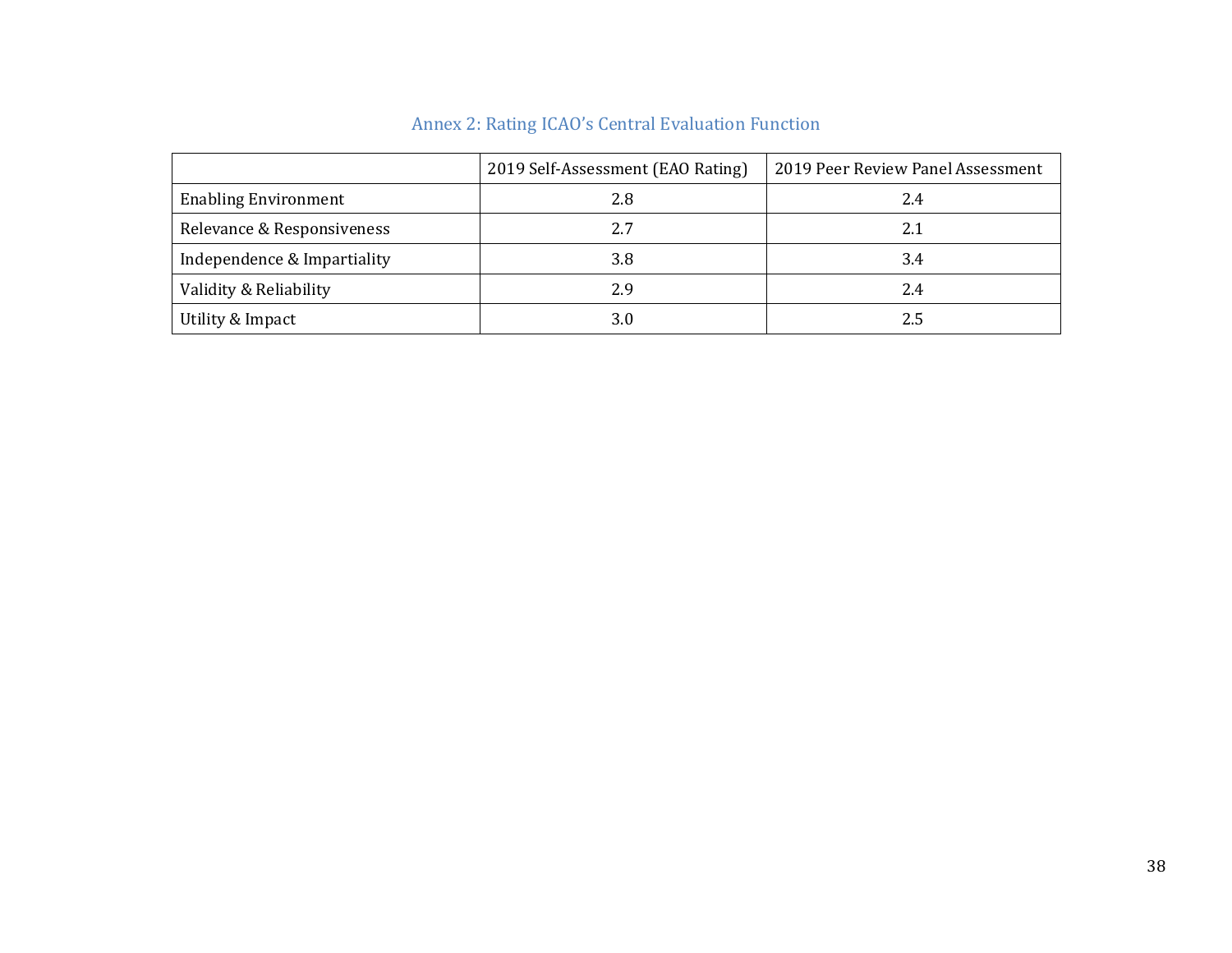<span id="page-37-0"></span>

|                             | 2019 Self-Assessment (EAO Rating) | 2019 Peer Review Panel Assessment |
|-----------------------------|-----------------------------------|-----------------------------------|
| <b>Enabling Environment</b> | 2.8                               | 2.4                               |
| Relevance & Responsiveness  | 2.7                               | 2.1                               |
| Independence & Impartiality | 3.8                               | 3.4                               |
| Validity & Reliability      | 2.9                               | 2.4                               |
| Utility & Impact            | 3.0                               | 2.5                               |

# Annex 2: Rating ICAO's Central Evaluation Function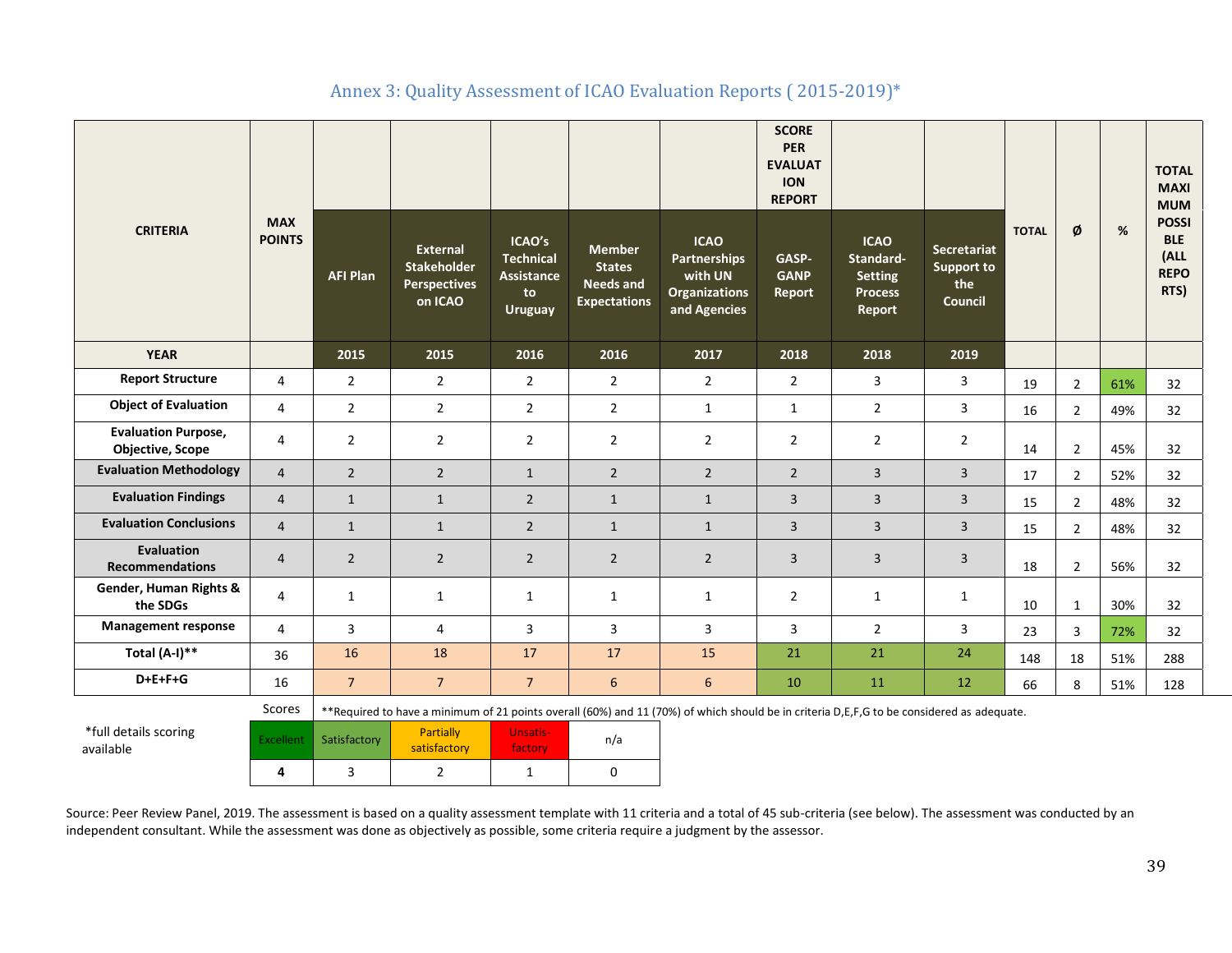<span id="page-38-0"></span>

| <b>CRITERIA</b>                                       | <b>MAX</b><br><b>POINTS</b> | <b>AFI Plan</b> | <b>External</b><br>Stakeholder<br><b>Perspectives</b>                                                                                     | ICAO's<br><b>Technical</b><br><b>Assistance</b><br>to | <b>Member</b><br><b>States</b><br><b>Needs and</b> | <b>ICAO</b><br><b>Partnerships</b><br>with UN<br><b>Organizations</b> | <b>SCORE</b><br><b>PER</b><br><b>EVALUAT</b><br><b>ION</b><br><b>REPORT</b><br>GASP-<br><b>GANP</b><br>Report | <b>ICAO</b><br>Standard-<br><b>Setting</b><br><b>Process</b> | <b>Secretariat</b><br>Support to<br>the | <b>TOTAL</b> | Ø              | %   | <b>TOTAL</b><br><b>MAXI</b><br><b>MUM</b><br><b>POSSI</b><br><b>BLE</b><br>(ALL<br><b>REPO</b><br>RTS) |
|-------------------------------------------------------|-----------------------------|-----------------|-------------------------------------------------------------------------------------------------------------------------------------------|-------------------------------------------------------|----------------------------------------------------|-----------------------------------------------------------------------|---------------------------------------------------------------------------------------------------------------|--------------------------------------------------------------|-----------------------------------------|--------------|----------------|-----|--------------------------------------------------------------------------------------------------------|
|                                                       |                             |                 | on ICAO                                                                                                                                   | <b>Uruguay</b>                                        | <b>Expectations</b>                                | and Agencies                                                          |                                                                                                               | <b>Report</b>                                                | <b>Council</b>                          |              |                |     |                                                                                                        |
| <b>YEAR</b>                                           |                             | 2015            | 2015                                                                                                                                      | 2016                                                  | 2016                                               | 2017                                                                  | 2018                                                                                                          | 2018                                                         | 2019                                    |              |                |     |                                                                                                        |
| <b>Report Structure</b>                               | $\overline{4}$              | $\overline{2}$  | $\overline{2}$                                                                                                                            | $\overline{2}$                                        | $\overline{2}$                                     | $\overline{2}$                                                        | $\overline{2}$                                                                                                | 3                                                            | 3                                       | 19           | $\overline{2}$ | 61% | 32                                                                                                     |
| <b>Object of Evaluation</b>                           | $\overline{4}$              | $\overline{2}$  | $\overline{2}$                                                                                                                            | $\overline{2}$                                        | $\overline{2}$                                     | $\mathbf{1}$                                                          | $\mathbf{1}$                                                                                                  | $\overline{2}$                                               | 3                                       | 16           | $\overline{2}$ | 49% | 32                                                                                                     |
| <b>Evaluation Purpose,</b><br><b>Objective, Scope</b> | $\overline{4}$              | $\overline{2}$  | $\overline{2}$                                                                                                                            | $\overline{2}$                                        | $\overline{2}$                                     | $\overline{2}$                                                        | $\overline{2}$                                                                                                | $\overline{2}$                                               | $\overline{2}$                          | 14           | $\overline{2}$ | 45% | 32                                                                                                     |
| <b>Evaluation Methodology</b>                         | $\overline{4}$              | $\overline{2}$  | $\overline{2}$                                                                                                                            | $\mathbf{1}$                                          | $\overline{2}$                                     | $\overline{2}$                                                        | $\overline{2}$                                                                                                | $\overline{3}$                                               | $\overline{3}$                          | 17           | $\overline{2}$ | 52% | 32                                                                                                     |
| <b>Evaluation Findings</b>                            | $\overline{4}$              | $\mathbf{1}$    | $\mathbf{1}$                                                                                                                              | $\overline{2}$                                        | $\mathbf{1}$                                       | $\mathbf{1}$                                                          | $\overline{3}$                                                                                                | 3                                                            | $\overline{\mathbf{3}}$                 | 15           | $\overline{2}$ | 48% | 32                                                                                                     |
| <b>Evaluation Conclusions</b>                         | $\overline{4}$              | $\mathbf{1}$    | $\mathbf{1}$                                                                                                                              | $\overline{2}$                                        | $\mathbf{1}$                                       | $\mathbf{1}$                                                          | 3                                                                                                             | 3                                                            | $\overline{3}$                          | 15           | $\overline{2}$ | 48% | 32                                                                                                     |
| <b>Evaluation</b><br><b>Recommendations</b>           | $\overline{4}$              | $\overline{2}$  | $\overline{2}$                                                                                                                            | $\overline{2}$                                        | $\overline{2}$                                     | $\overline{2}$                                                        | $\overline{3}$                                                                                                | 3                                                            | 3                                       | 18           | $\overline{2}$ | 56% | 32                                                                                                     |
| Gender, Human Rights &<br>the SDGs                    | 4                           | $\mathbf{1}$    | 1                                                                                                                                         | 1                                                     | 1                                                  | 1                                                                     | 2                                                                                                             | 1                                                            | $\mathbf{1}$                            | 10           | $\mathbf{1}$   | 30% | 32                                                                                                     |
| <b>Management response</b>                            | $\overline{4}$              | 3               | 4                                                                                                                                         | 3                                                     | 3                                                  | 3                                                                     | 3                                                                                                             | $\overline{2}$                                               | 3                                       | 23           | 3              | 72% | 32                                                                                                     |
| Total $(A-I)$ **                                      | 36                          | 16              | 18                                                                                                                                        | 17                                                    | 17                                                 | 15                                                                    | 21                                                                                                            | 21                                                           | 24                                      | 148          | 18             | 51% | 288                                                                                                    |
| D+E+F+G                                               | 16                          | 7 <sup>7</sup>  | $\overline{7}$                                                                                                                            | $\overline{7}$                                        | $\boldsymbol{6}$                                   | $6\phantom{a}$                                                        | 10                                                                                                            | 11                                                           | 12                                      | 66           | 8              | 51% | 128                                                                                                    |
|                                                       | Scores                      |                 | **Required to have a minimum of 21 points overall (60%) and 11 (70%) of which should be in criteria D,E,F,G to be considered as adequate. |                                                       |                                                    |                                                                       |                                                                                                               |                                                              |                                         |              |                |     |                                                                                                        |
| *full details scoring                                 | Eventlant                   | Catiefactory    | Partially                                                                                                                                 | <b>Unsatis-</b>                                       | n/n                                                |                                                                       |                                                                                                               |                                                              |                                         |              |                |     |                                                                                                        |

# Annex 3: Quality Assessment of ICAO Evaluation Reports ( 2015-2019)\*

\*full details scoring excellent Satisfactory **Partially** Partially satisfactory factory n/a **4** | 3 | 2 | 1 | 0

Source: Peer Review Panel, 2019. The assessment is based on a quality assessment template with 11 criteria and a total of 45 sub-criteria (see below). The assessment was conducted by an independent consultant. While the assessment was done as objectively as possible, some criteria require a judgment by the assessor.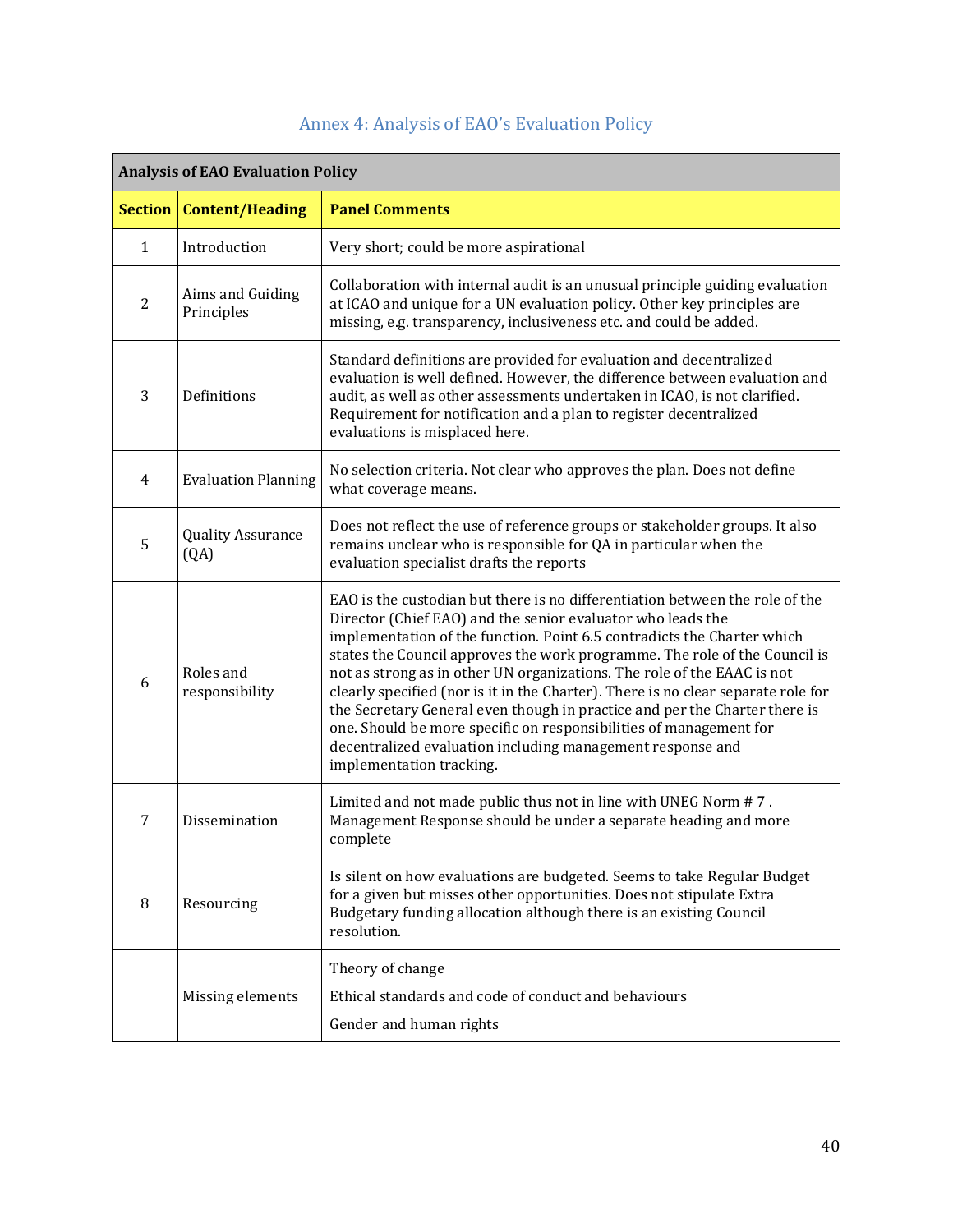<span id="page-39-0"></span>

| <b>Analysis of EAO Evaluation Policy</b> |                                  |                                                                                                                                                                                                                                                                                                                                                                                                                                                                                                                                                                                                                                                                                                                    |  |  |  |  |
|------------------------------------------|----------------------------------|--------------------------------------------------------------------------------------------------------------------------------------------------------------------------------------------------------------------------------------------------------------------------------------------------------------------------------------------------------------------------------------------------------------------------------------------------------------------------------------------------------------------------------------------------------------------------------------------------------------------------------------------------------------------------------------------------------------------|--|--|--|--|
| <b>Section</b>                           | <b>Content/Heading</b>           | <b>Panel Comments</b>                                                                                                                                                                                                                                                                                                                                                                                                                                                                                                                                                                                                                                                                                              |  |  |  |  |
| 1                                        | Introduction                     | Very short; could be more aspirational                                                                                                                                                                                                                                                                                                                                                                                                                                                                                                                                                                                                                                                                             |  |  |  |  |
| $\overline{2}$                           | Aims and Guiding<br>Principles   | Collaboration with internal audit is an unusual principle guiding evaluation<br>at ICAO and unique for a UN evaluation policy. Other key principles are<br>missing, e.g. transparency, inclusiveness etc. and could be added.                                                                                                                                                                                                                                                                                                                                                                                                                                                                                      |  |  |  |  |
| 3                                        | Definitions                      | Standard definitions are provided for evaluation and decentralized<br>evaluation is well defined. However, the difference between evaluation and<br>audit, as well as other assessments undertaken in ICAO, is not clarified.<br>Requirement for notification and a plan to register decentralized<br>evaluations is misplaced here.                                                                                                                                                                                                                                                                                                                                                                               |  |  |  |  |
| $\overline{4}$                           | <b>Evaluation Planning</b>       | No selection criteria. Not clear who approves the plan. Does not define<br>what coverage means.                                                                                                                                                                                                                                                                                                                                                                                                                                                                                                                                                                                                                    |  |  |  |  |
| 5                                        | <b>Quality Assurance</b><br>(QA) | Does not reflect the use of reference groups or stakeholder groups. It also<br>remains unclear who is responsible for QA in particular when the<br>evaluation specialist drafts the reports                                                                                                                                                                                                                                                                                                                                                                                                                                                                                                                        |  |  |  |  |
| 6                                        | Roles and<br>responsibility      | EAO is the custodian but there is no differentiation between the role of the<br>Director (Chief EAO) and the senior evaluator who leads the<br>implementation of the function. Point 6.5 contradicts the Charter which<br>states the Council approves the work programme. The role of the Council is<br>not as strong as in other UN organizations. The role of the EAAC is not<br>clearly specified (nor is it in the Charter). There is no clear separate role for<br>the Secretary General even though in practice and per the Charter there is<br>one. Should be more specific on responsibilities of management for<br>decentralized evaluation including management response and<br>implementation tracking. |  |  |  |  |
| 7                                        | Dissemination                    | Limited and not made public thus not in line with UNEG Norm #7.<br>Management Response should be under a separate heading and more<br>complete                                                                                                                                                                                                                                                                                                                                                                                                                                                                                                                                                                     |  |  |  |  |
| 8                                        | Resourcing                       | Is silent on how evaluations are budgeted. Seems to take Regular Budget<br>for a given but misses other opportunities. Does not stipulate Extra<br>Budgetary funding allocation although there is an existing Council<br>resolution.                                                                                                                                                                                                                                                                                                                                                                                                                                                                               |  |  |  |  |
|                                          | Missing elements                 | Theory of change<br>Ethical standards and code of conduct and behaviours<br>Gender and human rights                                                                                                                                                                                                                                                                                                                                                                                                                                                                                                                                                                                                                |  |  |  |  |

# Annex 4: Analysis of EAO's Evaluation Policy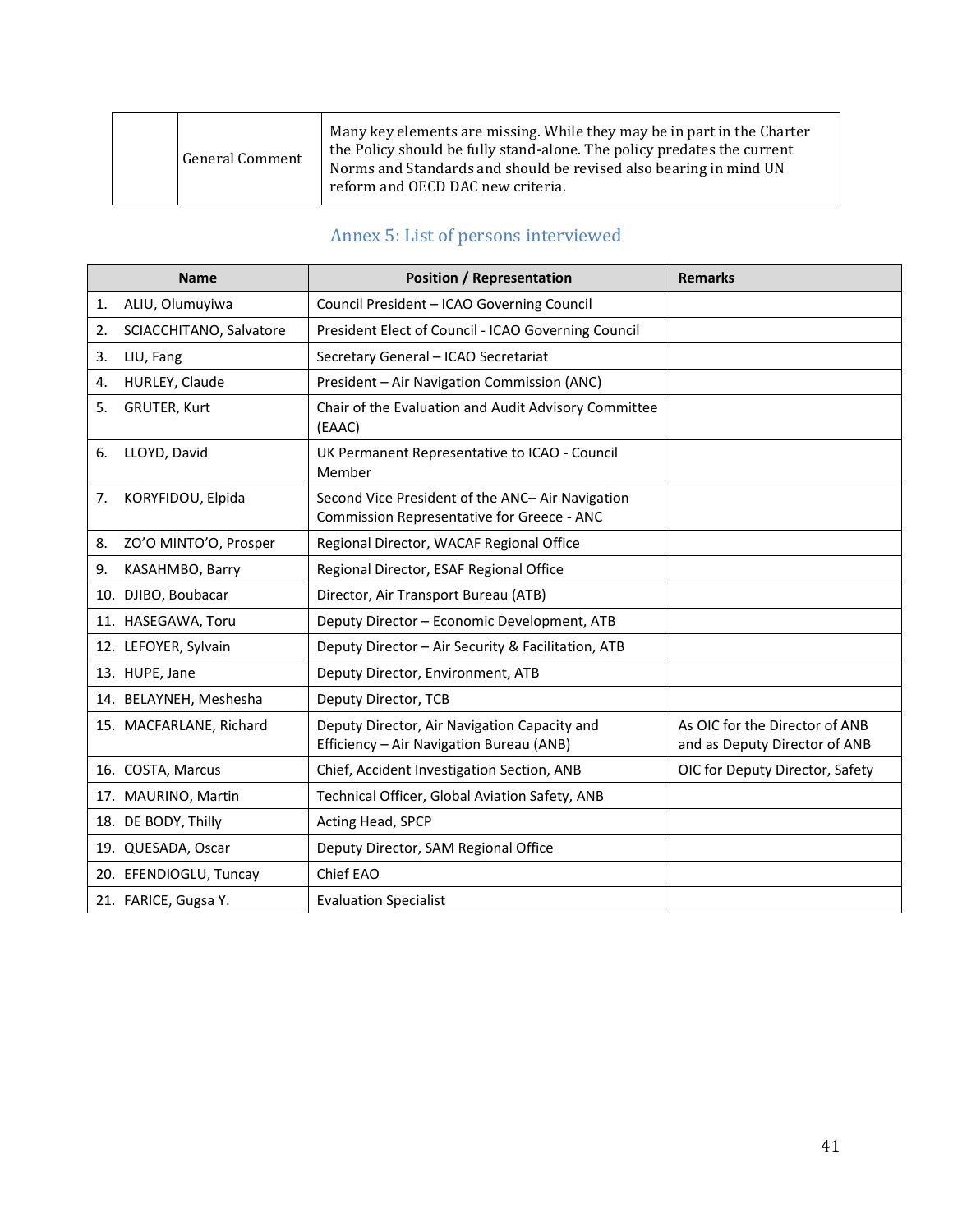|  | <b>General Comment</b> | Many key elements are missing. While they may be in part in the Charter<br>the Policy should be fully stand-alone. The policy predates the current<br>Norms and Standards and should be revised also bearing in mind UN<br>reform and OECD DAC new criteria. |
|--|------------------------|--------------------------------------------------------------------------------------------------------------------------------------------------------------------------------------------------------------------------------------------------------------|
|--|------------------------|--------------------------------------------------------------------------------------------------------------------------------------------------------------------------------------------------------------------------------------------------------------|

# Annex 5: List of persons interviewed

<span id="page-40-0"></span>

|                | <b>Name</b>             | <b>Position / Representation</b>                                                               | <b>Remarks</b>                                                  |
|----------------|-------------------------|------------------------------------------------------------------------------------------------|-----------------------------------------------------------------|
| 1.             | ALIU, Olumuyiwa         | Council President - ICAO Governing Council                                                     |                                                                 |
| 2.             | SCIACCHITANO, Salvatore | President Elect of Council - ICAO Governing Council                                            |                                                                 |
| 3.             | LIU, Fang               | Secretary General - ICAO Secretariat                                                           |                                                                 |
| 4.             | HURLEY, Claude          | President - Air Navigation Commission (ANC)                                                    |                                                                 |
| 5.             | <b>GRUTER, Kurt</b>     | Chair of the Evaluation and Audit Advisory Committee<br>(EAAC)                                 |                                                                 |
| 6.             | LLOYD, David            | UK Permanent Representative to ICAO - Council<br>Member                                        |                                                                 |
| 7.             | KORYFIDOU, Elpida       | Second Vice President of the ANC- Air Navigation<br>Commission Representative for Greece - ANC |                                                                 |
| 8.             | ZO'O MINTO'O, Prosper   | Regional Director, WACAF Regional Office                                                       |                                                                 |
| 9.             | KASAHMBO, Barry         | Regional Director, ESAF Regional Office                                                        |                                                                 |
|                | 10. DJIBO, Boubacar     | Director, Air Transport Bureau (ATB)                                                           |                                                                 |
|                | 11. HASEGAWA, Toru      | Deputy Director - Economic Development, ATB                                                    |                                                                 |
|                | 12. LEFOYER, Sylvain    | Deputy Director - Air Security & Facilitation, ATB                                             |                                                                 |
| 13. HUPE, Jane |                         | Deputy Director, Environment, ATB                                                              |                                                                 |
|                | 14. BELAYNEH, Meshesha  | Deputy Director, TCB                                                                           |                                                                 |
|                | 15. MACFARLANE, Richard | Deputy Director, Air Navigation Capacity and<br>Efficiency - Air Navigation Bureau (ANB)       | As OIC for the Director of ANB<br>and as Deputy Director of ANB |
|                | 16. COSTA, Marcus       | Chief, Accident Investigation Section, ANB                                                     | OIC for Deputy Director, Safety                                 |
|                | 17. MAURINO, Martin     | Technical Officer, Global Aviation Safety, ANB                                                 |                                                                 |
|                | 18. DE BODY, Thilly     | Acting Head, SPCP                                                                              |                                                                 |
|                | 19. QUESADA, Oscar      | Deputy Director, SAM Regional Office                                                           |                                                                 |
|                | 20. EFENDIOGLU, Tuncay  | Chief EAO                                                                                      |                                                                 |
|                | 21. FARICE, Gugsa Y.    | <b>Evaluation Specialist</b>                                                                   |                                                                 |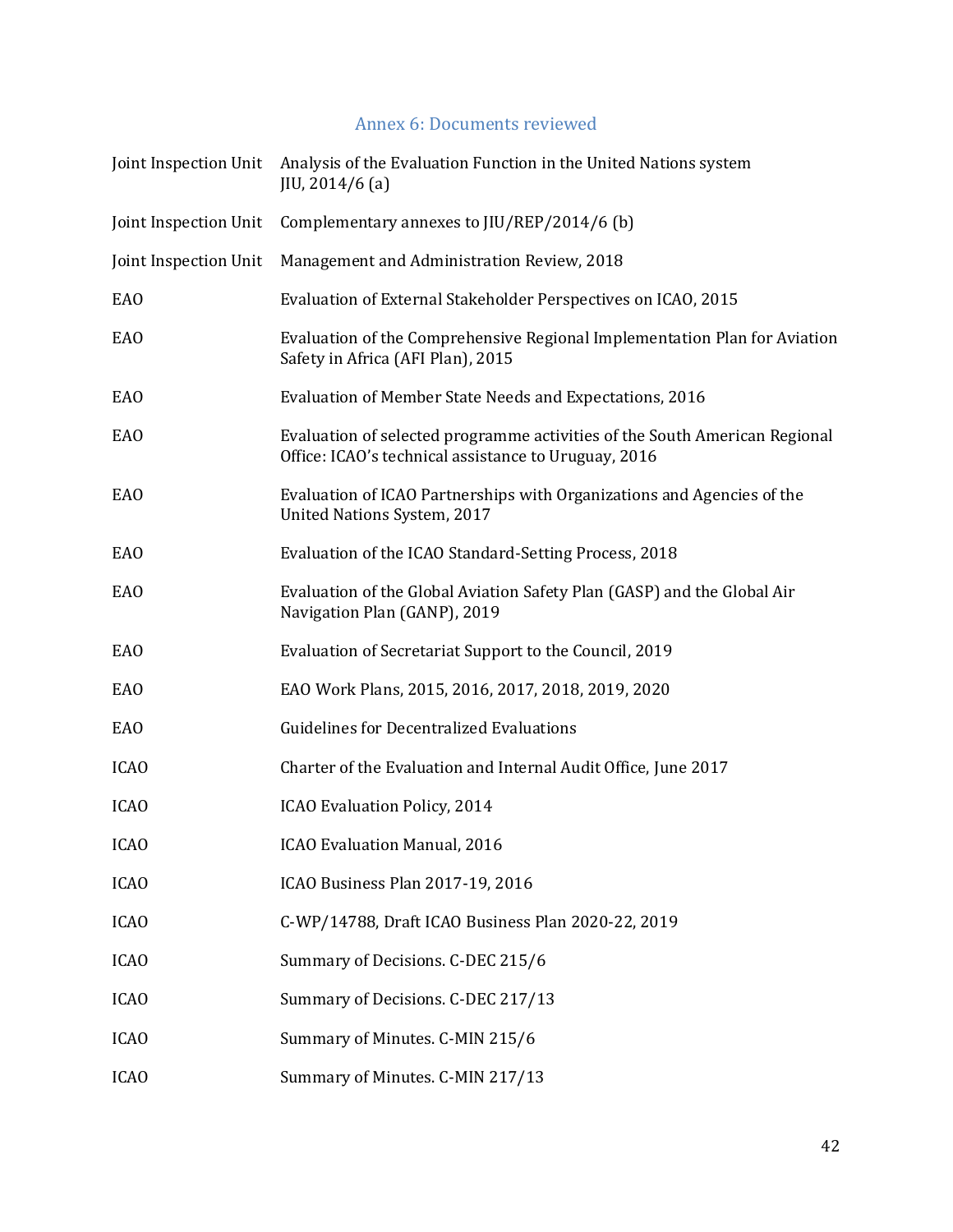### Annex 6: Documents reviewed

<span id="page-41-0"></span>

| Joint Inspection Unit | Analysis of the Evaluation Function in the United Nations system<br>JIU, 2014/6(a)                                                 |
|-----------------------|------------------------------------------------------------------------------------------------------------------------------------|
| Joint Inspection Unit | Complementary annexes to JIU/REP/2014/6 (b)                                                                                        |
| Joint Inspection Unit | Management and Administration Review, 2018                                                                                         |
| EAO                   | Evaluation of External Stakeholder Perspectives on ICAO, 2015                                                                      |
| EAO                   | Evaluation of the Comprehensive Regional Implementation Plan for Aviation<br>Safety in Africa (AFI Plan), 2015                     |
| <b>EAO</b>            | Evaluation of Member State Needs and Expectations, 2016                                                                            |
| EAO                   | Evaluation of selected programme activities of the South American Regional<br>Office: ICAO's technical assistance to Uruguay, 2016 |
| EAO                   | Evaluation of ICAO Partnerships with Organizations and Agencies of the<br>United Nations System, 2017                              |
| <b>EAO</b>            | Evaluation of the ICAO Standard-Setting Process, 2018                                                                              |
| EAO                   | Evaluation of the Global Aviation Safety Plan (GASP) and the Global Air<br>Navigation Plan (GANP), 2019                            |
| EAO                   | Evaluation of Secretariat Support to the Council, 2019                                                                             |
| <b>EAO</b>            | EAO Work Plans, 2015, 2016, 2017, 2018, 2019, 2020                                                                                 |
| <b>EAO</b>            | <b>Guidelines for Decentralized Evaluations</b>                                                                                    |
| <b>ICAO</b>           | Charter of the Evaluation and Internal Audit Office, June 2017                                                                     |
| <b>ICAO</b>           | ICAO Evaluation Policy, 2014                                                                                                       |
| <b>ICAO</b>           | <b>ICAO Evaluation Manual, 2016</b>                                                                                                |
| <b>ICAO</b>           | ICAO Business Plan 2017-19, 2016                                                                                                   |
| <b>ICAO</b>           | C-WP/14788, Draft ICAO Business Plan 2020-22, 2019                                                                                 |
| <b>ICAO</b>           | Summary of Decisions. C-DEC 215/6                                                                                                  |
| <b>ICAO</b>           | Summary of Decisions. C-DEC 217/13                                                                                                 |
| <b>ICAO</b>           | Summary of Minutes. C-MIN 215/6                                                                                                    |
| <b>ICAO</b>           | Summary of Minutes. C-MIN 217/13                                                                                                   |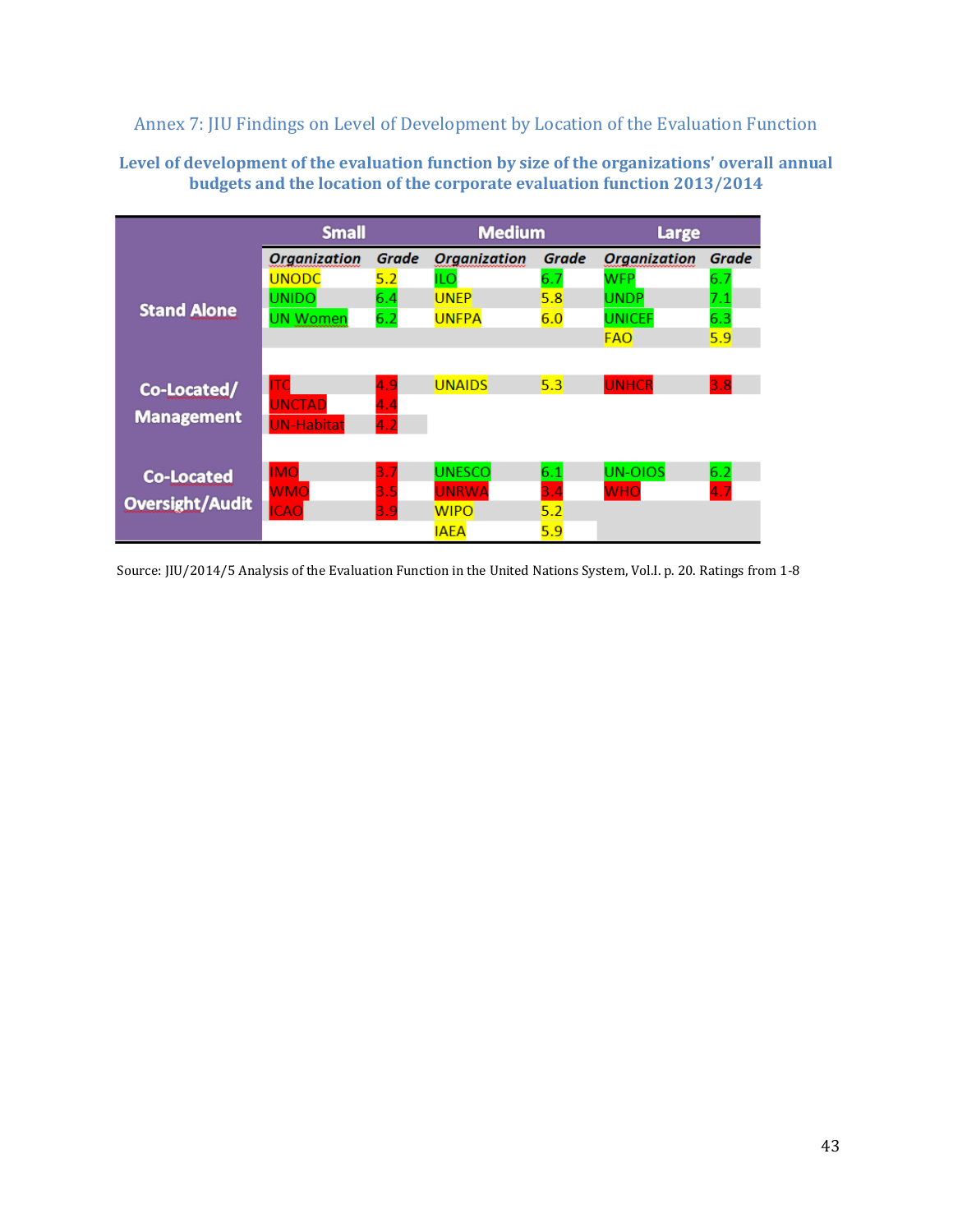<span id="page-42-0"></span>Annex 7: JIU Findings on Level of Development by Location of the Evaluation Function

#### **Level of development of the evaluation function by size of the organizations' overall annual budgets and the location of the corporate evaluation function 2013/2014**

|                        | <b>Small</b>        |       | <b>Medium</b>       |       | Large               |       |
|------------------------|---------------------|-------|---------------------|-------|---------------------|-------|
|                        | <b>Organization</b> | Grade | <b>Organization</b> | Grade | <b>Organization</b> | Grade |
|                        | <b>UNODC</b>        | 5.2   | <b>ILO</b>          | 6.7   | WFP                 | 6.7   |
|                        | <b>UNIDO</b>        | 6.4   | <b>UNEP</b>         | 5.8   | <b>UNDP</b>         | 7.1   |
| <b>Stand Alone</b>     | <b>UN Women</b>     | 6.2   | <b>UNFPA</b>        | 6.0   | <b>UNICEF</b>       | 6.3   |
|                        |                     |       |                     |       | <b>FAO</b>          | 5.9   |
|                        |                     |       |                     |       |                     |       |
| Co-Located/            | ıтd                 | 4.9   | <b>UNAIDS</b>       | 5.3   | <b>UNHCR</b>        | 3.8   |
|                        | <b>UNCTAD</b>       | 4.4   |                     |       |                     |       |
| <b>Management</b>      | <b>UN-Habitat</b>   | 4.2   |                     |       |                     |       |
|                        |                     |       |                     |       |                     |       |
| <b>Co-Located</b>      | <b>IMO</b>          | 3.7   | <b>UNESCO</b>       | 6.1   | <b>UN-OIOS</b>      | 6.2   |
|                        | <b>WMO</b>          | 3.5   | <b>UNRWA</b>        | 3.4   | <b>WHO</b>          | 4.7   |
| <b>Oversight/Audit</b> | <b>ICAO</b>         | 3.9   | <b>WIPO</b>         | 5.2   |                     |       |
|                        |                     |       | <b>IAEA</b>         | 5.9   |                     |       |

Source: JIU/2014/5 Analysis of the Evaluation Function in the United Nations System, Vol.I. p. 20. Ratings from 1-8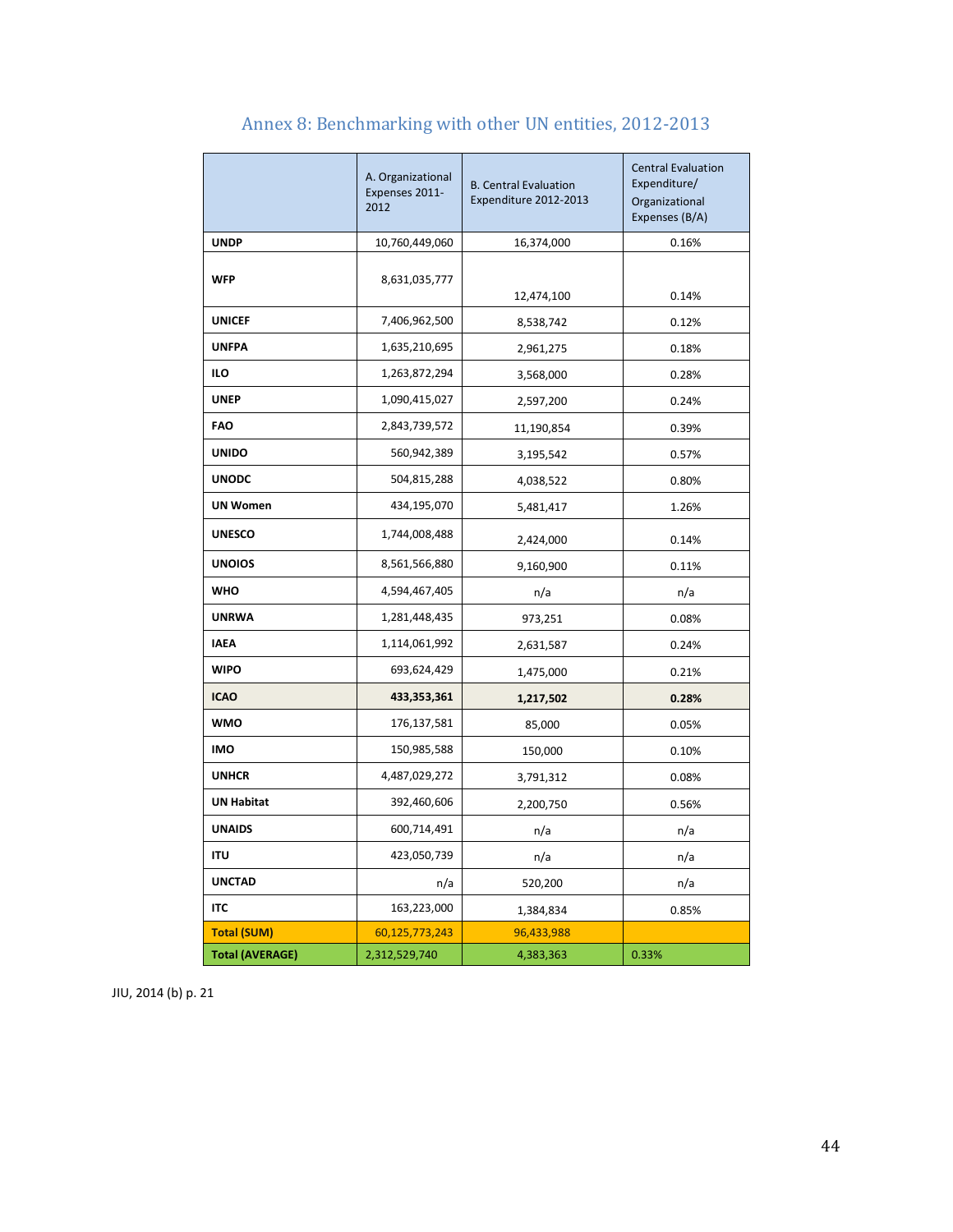<span id="page-43-0"></span>

|                        | A. Organizational<br>Expenses 2011-<br>2012 | <b>B. Central Evaluation</b><br>Expenditure 2012-2013 | <b>Central Evaluation</b><br>Expenditure/<br>Organizational<br>Expenses (B/A) |
|------------------------|---------------------------------------------|-------------------------------------------------------|-------------------------------------------------------------------------------|
| <b>UNDP</b>            | 10,760,449,060                              | 16,374,000                                            | 0.16%                                                                         |
| <b>WFP</b>             | 8,631,035,777                               | 12,474,100                                            | 0.14%                                                                         |
| <b>UNICEF</b>          | 7,406,962,500                               | 8,538,742                                             | 0.12%                                                                         |
| <b>UNFPA</b>           | 1,635,210,695                               | 2,961,275                                             | 0.18%                                                                         |
| ILO                    | 1,263,872,294                               | 3,568,000                                             | 0.28%                                                                         |
| <b>UNEP</b>            | 1,090,415,027                               | 2,597,200                                             | 0.24%                                                                         |
| <b>FAO</b>             | 2,843,739,572                               | 11,190,854                                            | 0.39%                                                                         |
| <b>UNIDO</b>           | 560,942,389                                 | 3,195,542                                             | 0.57%                                                                         |
| <b>UNODC</b>           | 504,815,288                                 | 4,038,522                                             | 0.80%                                                                         |
| <b>UN Women</b>        | 434,195,070                                 | 5,481,417                                             | 1.26%                                                                         |
| <b>UNESCO</b>          | 1,744,008,488                               | 2,424,000                                             | 0.14%                                                                         |
| <b>UNOIOS</b>          | 8,561,566,880                               | 9,160,900                                             | 0.11%                                                                         |
| <b>WHO</b>             | 4,594,467,405                               | n/a                                                   | n/a                                                                           |
| <b>UNRWA</b>           | 1,281,448,435                               | 973,251                                               | 0.08%                                                                         |
| <b>IAEA</b>            | 1,114,061,992                               | 2,631,587                                             | 0.24%                                                                         |
| <b>WIPO</b>            | 693,624,429                                 | 1,475,000                                             | 0.21%                                                                         |
| <b>ICAO</b>            | 433,353,361                                 | 1,217,502                                             | 0.28%                                                                         |
| <b>WMO</b>             | 176,137,581                                 | 85,000                                                | 0.05%                                                                         |
| <b>IMO</b>             | 150,985,588                                 | 150,000                                               | 0.10%                                                                         |
| <b>UNHCR</b>           | 4,487,029,272                               | 3,791,312                                             | 0.08%                                                                         |
| <b>UN Habitat</b>      | 392,460,606                                 | 2,200,750                                             | 0.56%                                                                         |
| <b>UNAIDS</b>          | 600,714,491                                 | n/a                                                   | n/a                                                                           |
| <b>ITU</b>             | 423,050,739                                 | n/a                                                   | n/a                                                                           |
| <b>UNCTAD</b>          | n/a                                         | 520,200                                               | n/a                                                                           |
| <b>ITC</b>             | 163,223,000                                 | 1,384,834                                             | 0.85%                                                                         |
| <b>Total (SUM)</b>     | 60,125,773,243                              | 96,433,988                                            |                                                                               |
| <b>Total (AVERAGE)</b> | 2,312,529,740                               | 4,383,363                                             | 0.33%                                                                         |

# Annex 8: Benchmarking with other UN entities, 2012-2013

JIU, 2014 (b) p. 21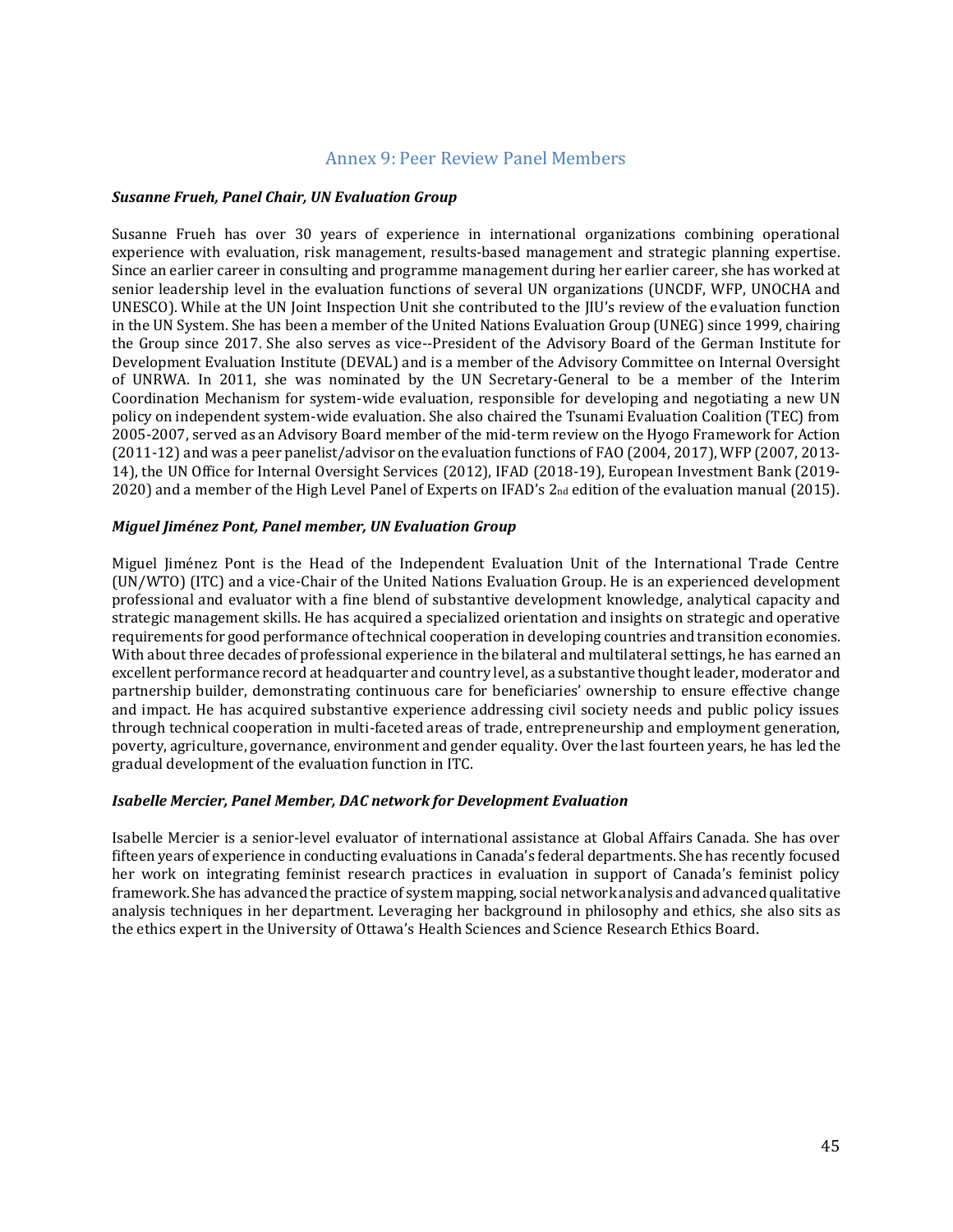#### Annex 9: Peer Review Panel Members

#### <span id="page-44-0"></span>*Susanne Frueh, Panel Chair, UN Evaluation Group*

Susanne Frueh has over 30 years of experience in international organizations combining operational experience with evaluation, risk management, results-based management and strategic planning expertise. Since an earlier career in consulting and programme management during her earlier career, she has worked at senior leadership level in the evaluation functions of several UN organizations (UNCDF, WFP, UNOCHA and UNESCO). While at the UN Joint Inspection Unit she contributed to the JIU's review of the evaluation function in the UN System. She has been a member of the United Nations Evaluation Group (UNEG) since 1999, chairing the Group since 2017. She also serves as vice--President of the Advisory Board of the German Institute for Development Evaluation Institute (DEVAL) and is a member of the Advisory Committee on Internal Oversight of UNRWA. In 2011, she was nominated by the UN Secretary-General to be a member of the Interim Coordination Mechanism for system-wide evaluation, responsible for developing and negotiating a new UN policy on independent system-wide evaluation. She also chaired the Tsunami Evaluation Coalition (TEC) from 2005-2007, served as an Advisory Board member of the mid-term review on the Hyogo Framework for Action (2011-12) and was a peer panelist/advisor on the evaluation functions of FAO (2004, 2017), WFP (2007, 2013- 14), the UN Office for Internal Oversight Services (2012), IFAD (2018-19), European Investment Bank (2019- 2020) and a member of the High Level Panel of Experts on IFAD's 2<sub>nd</sub> edition of the evaluation manual (2015).

#### *Miguel Jiménez Pont, Panel member, UN Evaluation Group*

Miguel Jiménez Pont is the Head of the Independent Evaluation Unit of the International Trade Centre (UN/WTO) (ITC) and a vice-Chair of the United Nations Evaluation Group. He is an experienced development professional and evaluator with a fine blend of substantive development knowledge, analytical capacity and strategic management skills. He has acquired a specialized orientation and insights on strategic and operative requirements for good performance of technical cooperation in developing countries and transition economies. With about three decades of professional experience in the bilateral and multilateral settings, he has earned an excellent performance record at headquarter and country level, as a substantive thought leader, moderator and partnership builder, demonstrating continuous care for beneficiaries' ownership to ensure effective change and impact. He has acquired substantive experience addressing civil society needs and public policy issues through technical cooperation in multi-faceted areas of trade, entrepreneurship and employment generation, poverty, agriculture, governance, environment and gender equality. Over the last fourteen years, he has led the gradual development of the evaluation function in ITC.

#### *Isabelle Mercier, Panel Member, DAC network for Development Evaluation*

Isabelle Mercier is a senior-level evaluator of international assistance at Global Affairs Canada. She has over fifteen years of experience in conducting evaluations in Canada's federal departments. She has recently focused her work on integrating feminist research practices in evaluation in support of Canada's feminist policy framework. She has advanced the practice of system mapping, social network analysis and advanced qualitative analysis techniques in her department. Leveraging her background in philosophy and ethics, she also sits as the ethics expert in the University of Ottawa's Health Sciences and Science Research Ethics Board.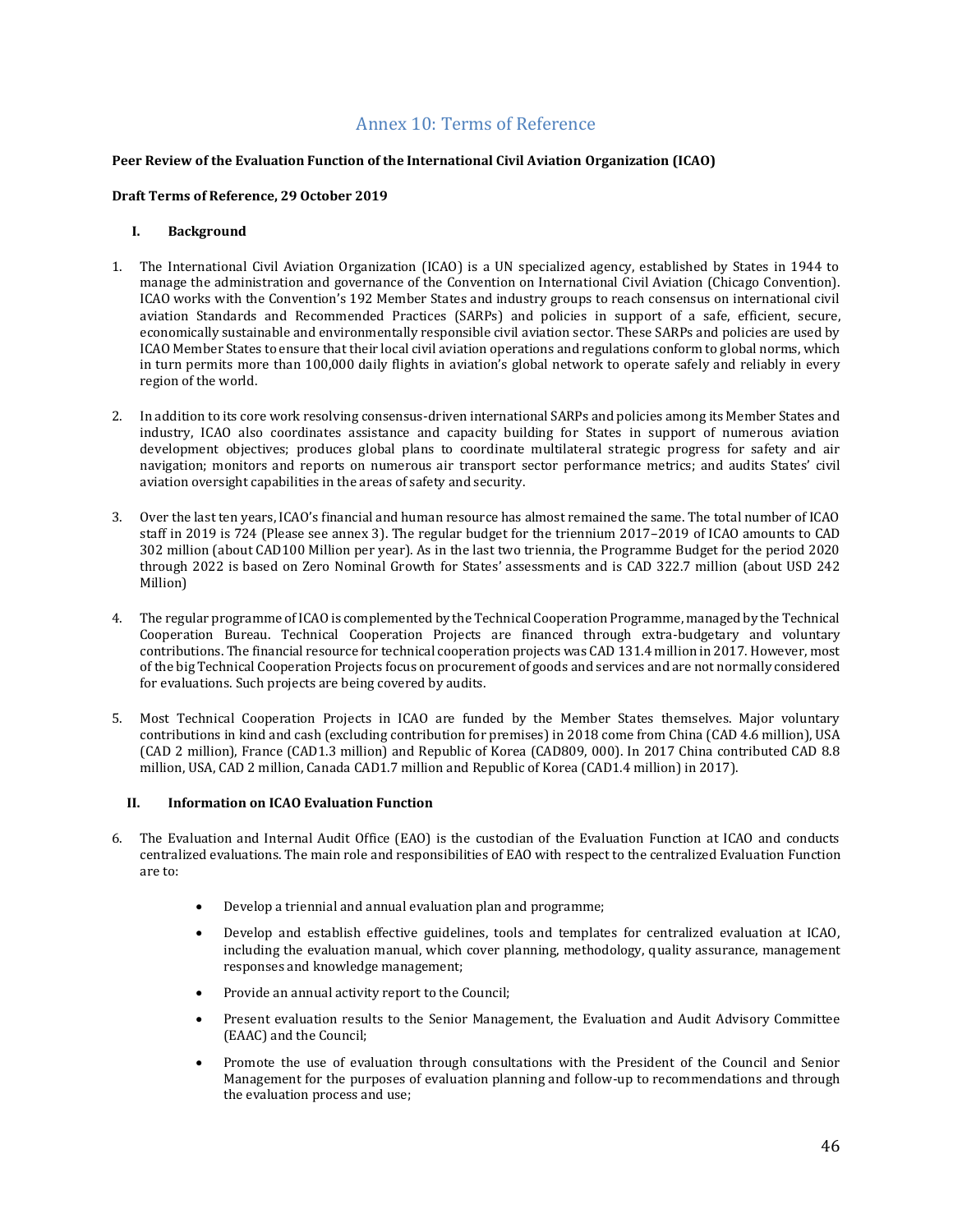#### Annex 10: Terms of Reference

#### <span id="page-45-0"></span>**Peer Review of the Evaluation Function of the International Civil Aviation Organization (ICAO)**

#### **Draft Terms of Reference, 29 October 2019**

#### **I. Background**

- 1. The International Civil Aviation Organization (ICAO) is a UN specialized agency, established by States in 1944 to manage the administration and governance of the Convention on International Civil Aviation (Chicago Convention). ICAO works with the Convention's 192 Member States and industry groups to reach consensus on international civil aviation Standards and Recommended Practices (SARPs) and policies in support of a safe, efficient, secure, economically sustainable and environmentally responsible civil aviation sector. These SARPs and policies are used by ICAO Member States to ensure that their local civil aviation operations and regulations conform to global norms, which in turn permits more than 100,000 daily flights in aviation's global network to operate safely and reliably in every region of the world.
- 2. In addition to its core work resolving consensus-driven international SARPs and policies among its Member States and industry, ICAO also coordinates assistance and capacity building for States in support of numerous aviation development objectives; produces global plans to coordinate multilateral strategic progress for safety and air navigation; monitors and reports on numerous air transport sector performance metrics; and audits States' civil aviation oversight capabilities in the areas of safety and security.
- 3. Over the last ten years, ICAO's financial and human resource has almost remained the same. The total number of ICAO staff in 2019 is 724 (Please see annex 3). The regular budget for the triennium 2017–2019 of ICAO amounts to CAD 302 million (about CAD100 Million per year). As in the last two triennia, the Programme Budget for the period 2020 through 2022 is based on Zero Nominal Growth for States' assessments and is CAD 322.7 million (about USD 242 Million)
- 4. The regular programme of ICAO is complemented by the Technical Cooperation Programme, managed by the Technical Cooperation Bureau. Technical Cooperation Projects are financed through extra-budgetary and voluntary contributions. The financial resource for technical cooperation projects was CAD 131.4 million in 2017. However, most of the big Technical Cooperation Projects focus on procurement of goods and services and are not normally considered for evaluations. Such projects are being covered by audits.
- 5. Most Technical Cooperation Projects in ICAO are funded by the Member States themselves. Major voluntary contributions in kind and cash (excluding contribution for premises) in 2018 come from China (CAD 4.6 million), USA (CAD 2 million), France (CAD1.3 million) and Republic of Korea (CAD809, 000). In 2017 China contributed CAD 8.8 million, USA, CAD 2 million, Canada CAD1.7 million and Republic of Korea (CAD1.4 million) in 2017).

#### **II. Information on ICAO Evaluation Function**

- 6. The Evaluation and Internal Audit Office (EAO) is the custodian of the Evaluation Function at ICAO and conducts centralized evaluations. The main role and responsibilities of EAO with respect to the centralized Evaluation Function are to:
	- Develop a triennial and annual evaluation plan and programme;
	- Develop and establish effective guidelines, tools and templates for centralized evaluation at ICAO, including the evaluation manual, which cover planning, methodology, quality assurance, management responses and knowledge management;
	- Provide an annual activity report to the Council;
	- Present evaluation results to the Senior Management, the Evaluation and Audit Advisory Committee (EAAC) and the Council;
	- Promote the use of evaluation through consultations with the President of the Council and Senior Management for the purposes of evaluation planning and follow-up to recommendations and through the evaluation process and use;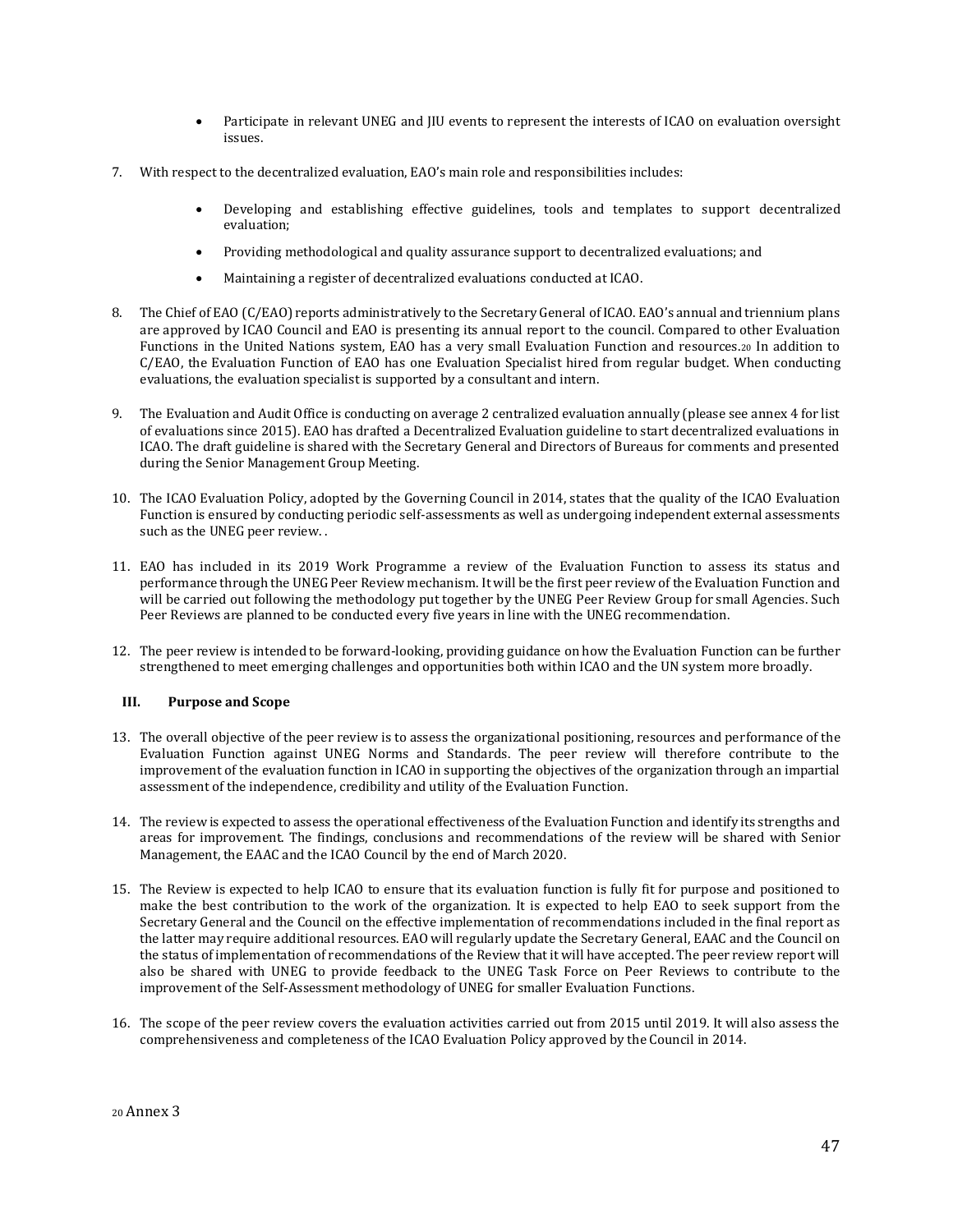- Participate in relevant UNEG and JIU events to represent the interests of ICAO on evaluation oversight issues.
- 7. With respect to the decentralized evaluation, EAO's main role and responsibilities includes:
	- Developing and establishing effective guidelines, tools and templates to support decentralized evaluation;
	- Providing methodological and quality assurance support to decentralized evaluations; and
	- Maintaining a register of decentralized evaluations conducted at ICAO.
- 8. The Chief of EAO (C/EAO) reports administratively to the Secretary General of ICAO. EAO's annual and triennium plans are approved by ICAO Council and EAO is presenting its annual report to the council. Compared to other Evaluation Functions in the United Nations system, EAO has a very small Evaluation Function and resources.<sup>20</sup> In addition to C/EAO, the Evaluation Function of EAO has one Evaluation Specialist hired from regular budget. When conducting evaluations, the evaluation specialist is supported by a consultant and intern.
- 9. The Evaluation and Audit Office is conducting on average 2 centralized evaluation annually (please see annex 4 for list of evaluations since 2015). EAO has drafted a Decentralized Evaluation guideline to start decentralized evaluations in ICAO. The draft guideline is shared with the Secretary General and Directors of Bureaus for comments and presented during the Senior Management Group Meeting.
- 10. The ICAO Evaluation Policy, adopted by the Governing Council in 2014, states that the quality of the ICAO Evaluation Function is ensured by conducting periodic self-assessments as well as undergoing independent external assessments such as the UNEG peer review. .
- 11. EAO has included in its 2019 Work Programme a review of the Evaluation Function to assess its status and performance through the UNEG Peer Review mechanism. It will be the first peer review of the Evaluation Function and will be carried out following the methodology put together by the UNEG Peer Review Group for small Agencies. Such Peer Reviews are planned to be conducted every five years in line with the UNEG recommendation.
- 12. The peer review is intended to be forward-looking, providing guidance on how the Evaluation Function can be further strengthened to meet emerging challenges and opportunities both within ICAO and the UN system more broadly.

#### **III. Purpose and Scope**

- 13. The overall objective of the peer review is to assess the organizational positioning, resources and performance of the Evaluation Function against UNEG Norms and Standards. The peer review will therefore contribute to the improvement of the evaluation function in ICAO in supporting the objectives of the organization through an impartial assessment of the independence, credibility and utility of the Evaluation Function.
- 14. The review is expected to assess the operational effectiveness of the Evaluation Function and identify its strengths and areas for improvement. The findings, conclusions and recommendations of the review will be shared with Senior Management, the EAAC and the ICAO Council by the end of March 2020.
- 15. The Review is expected to help ICAO to ensure that its evaluation function is fully fit for purpose and positioned to make the best contribution to the work of the organization. It is expected to help EAO to seek support from the Secretary General and the Council on the effective implementation of recommendations included in the final report as the latter may require additional resources. EAO will regularly update the Secretary General, EAAC and the Council on the status of implementation of recommendations of the Review that it will have accepted. The peer review report will also be shared with UNEG to provide feedback to the UNEG Task Force on Peer Reviews to contribute to the improvement of the Self-Assessment methodology of UNEG for smaller Evaluation Functions.
- 16. The scope of the peer review covers the evaluation activities carried out from 2015 until 2019. It will also assess the comprehensiveness and completeness of the ICAO Evaluation Policy approved by the Council in 2014.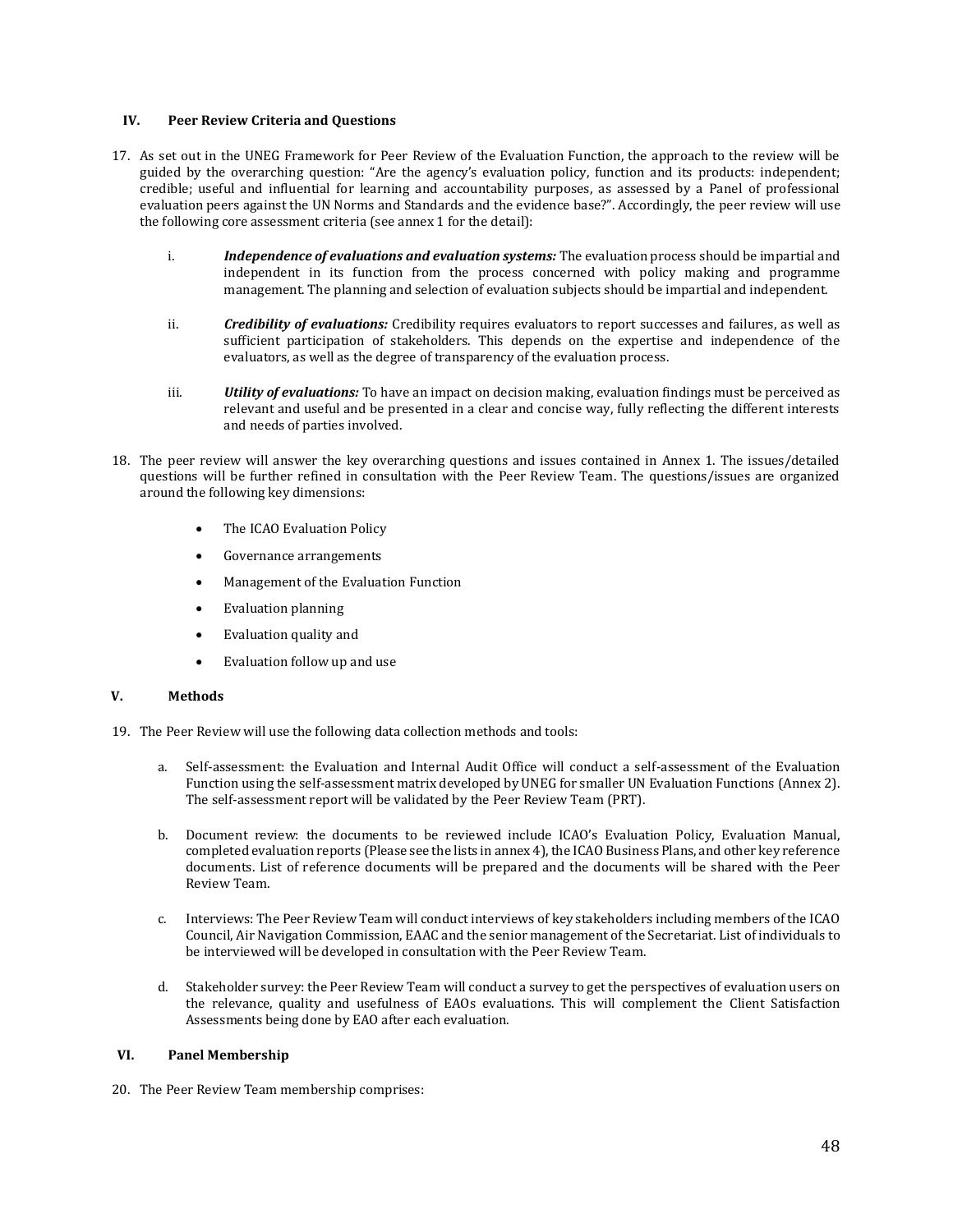#### **IV. Peer Review Criteria and Questions**

- 17. As set out in the UNEG Framework for Peer Review of the Evaluation Function, the approach to the review will be guided by the overarching question: "Are the agency's evaluation policy, function and its products: independent; credible; useful and influential for learning and accountability purposes, as assessed by a Panel of professional evaluation peers against the UN Norms and Standards and the evidence base?". Accordingly, the peer review will use the following core assessment criteria (see annex 1 for the detail):
	- i. *Independence of evaluations and evaluation systems:* The evaluation process should be impartial and independent in its function from the process concerned with policy making and programme management. The planning and selection of evaluation subjects should be impartial and independent.
	- ii. *Credibility of evaluations:* Credibility requires evaluators to report successes and failures, as well as sufficient participation of stakeholders. This depends on the expertise and independence of the evaluators, as well as the degree of transparency of the evaluation process.
	- iii. *Utility of evaluations:* To have an impact on decision making, evaluation findings must be perceived as relevant and useful and be presented in a clear and concise way, fully reflecting the different interests and needs of parties involved.
- 18. The peer review will answer the key overarching questions and issues contained in Annex 1. The issues/detailed questions will be further refined in consultation with the Peer Review Team. The questions/issues are organized around the following key dimensions:
	- The ICAO Evaluation Policy
	- Governance arrangements
	- Management of the Evaluation Function
	- Evaluation planning
	- Evaluation quality and
	- Evaluation follow up and use

#### **V. Methods**

- 19. The Peer Review will use the following data collection methods and tools:
	- a. Self-assessment: the Evaluation and Internal Audit Office will conduct a self-assessment of the Evaluation Function using the self-assessment matrix developed by UNEG for smaller UN Evaluation Functions (Annex 2). The self-assessment report will be validated by the Peer Review Team (PRT).
	- b. Document review: the documents to be reviewed include ICAO's Evaluation Policy, Evaluation Manual, completed evaluation reports (Please see the lists in annex 4), the ICAO Business Plans, and other key reference documents. List of reference documents will be prepared and the documents will be shared with the Peer Review Team.
	- c. Interviews: The Peer Review Team will conduct interviews of key stakeholders including members of the ICAO Council, Air Navigation Commission, EAAC and the senior management of the Secretariat. List of individuals to be interviewed will be developed in consultation with the Peer Review Team.
	- d. Stakeholder survey: the Peer Review Team will conduct a survey to get the perspectives of evaluation users on the relevance, quality and usefulness of EAOs evaluations. This will complement the Client Satisfaction Assessments being done by EAO after each evaluation.

#### **VI. Panel Membership**

20. The Peer Review Team membership comprises: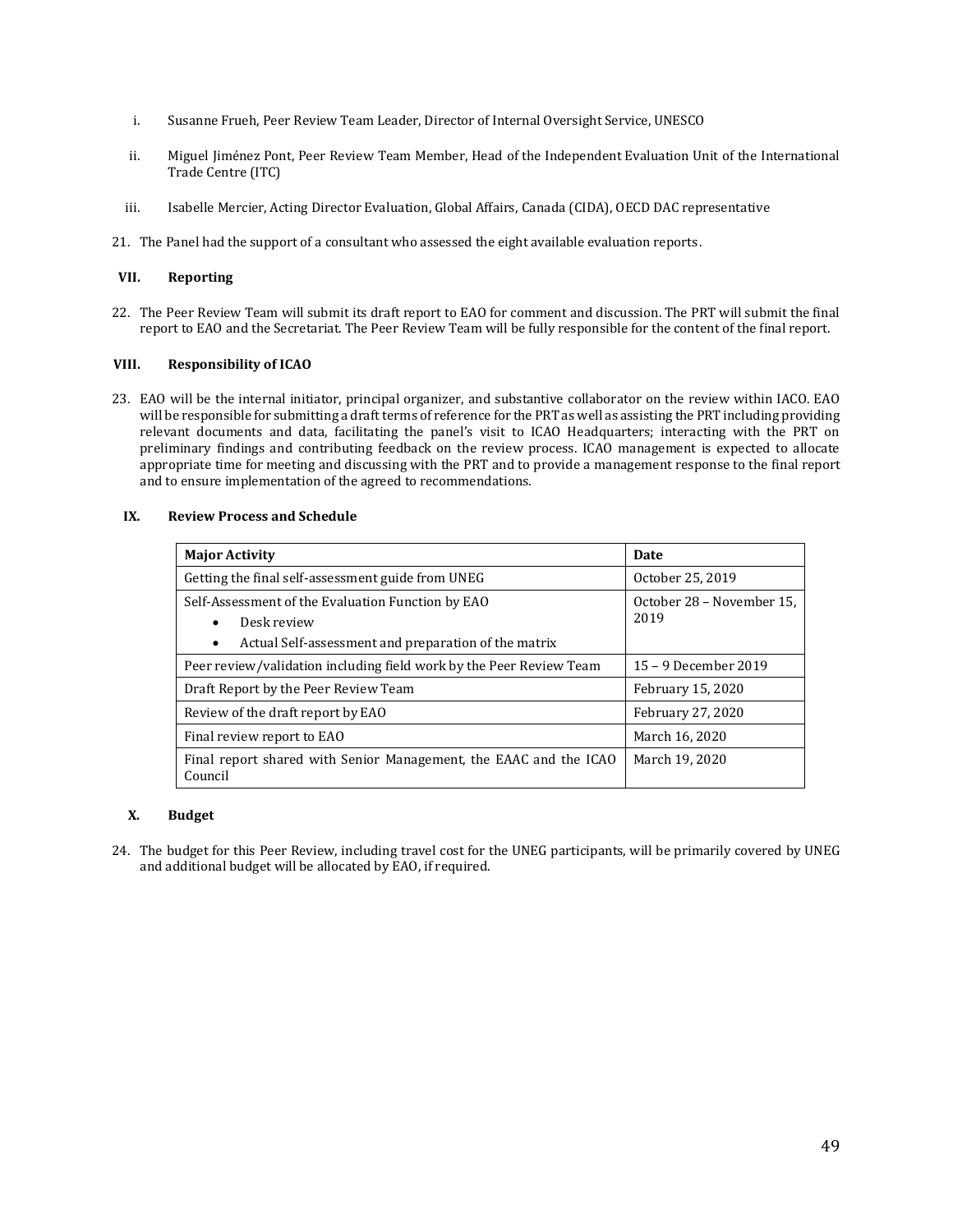- i. Susanne Frueh, Peer Review Team Leader, Director of Internal Oversight Service, UNESCO
- ii. Miguel Jiménez Pont, Peer Review Team Member, Head of the Independent Evaluation Unit of the International Trade Centre (ITC)
- iii. Isabelle Mercier, Acting Director Evaluation, Global Affairs, Canada (CIDA), OECD DAC representative
- 21. The Panel had the support of a consultant who assessed the eight available evaluation reports.

#### **VII. Reporting**

22. The Peer Review Team will submit its draft report to EAO for comment and discussion. The PRT will submit the final report to EAO and the Secretariat. The Peer Review Team will be fully responsible for the content of the final report.

#### **VIII. Responsibility of ICAO**

23. EAO will be the internal initiator, principal organizer, and substantive collaborator on the review within IACO. EAO will be responsible for submitting a draft terms of reference for the PRT as well as assisting the PRT including providing relevant documents and data, facilitating the panel's visit to ICAO Headquarters; interacting with the PRT on preliminary findings and contributing feedback on the review process. ICAO management is expected to allocate appropriate time for meeting and discussing with the PRT and to provide a management response to the final report and to ensure implementation of the agreed to recommendations.

#### **IX. Review Process and Schedule**

| <b>Major Activity</b>                                                                                                                      | <b>Date</b>                       |  |
|--------------------------------------------------------------------------------------------------------------------------------------------|-----------------------------------|--|
| Getting the final self-assessment guide from UNEG                                                                                          | October 25, 2019                  |  |
| Self-Assessment of the Evaluation Function by EAO<br>Desk review<br>٠<br>Actual Self-assessment and preparation of the matrix<br>$\bullet$ | October 28 – November 15,<br>2019 |  |
| Peer review/validation including field work by the Peer Review Team                                                                        | 15 – 9 December 2019              |  |
| Draft Report by the Peer Review Team                                                                                                       | February 15, 2020                 |  |
| Review of the draft report by EAO                                                                                                          | February 27, 2020                 |  |
| Final review report to EAO                                                                                                                 | March 16, 2020                    |  |
| Final report shared with Senior Management, the EAAC and the ICAO<br>Council                                                               | March 19, 2020                    |  |

#### **X. Budget**

24. The budget for this Peer Review, including travel cost for the UNEG participants, will be primarily covered by UNEG and additional budget will be allocated by EAO, if required.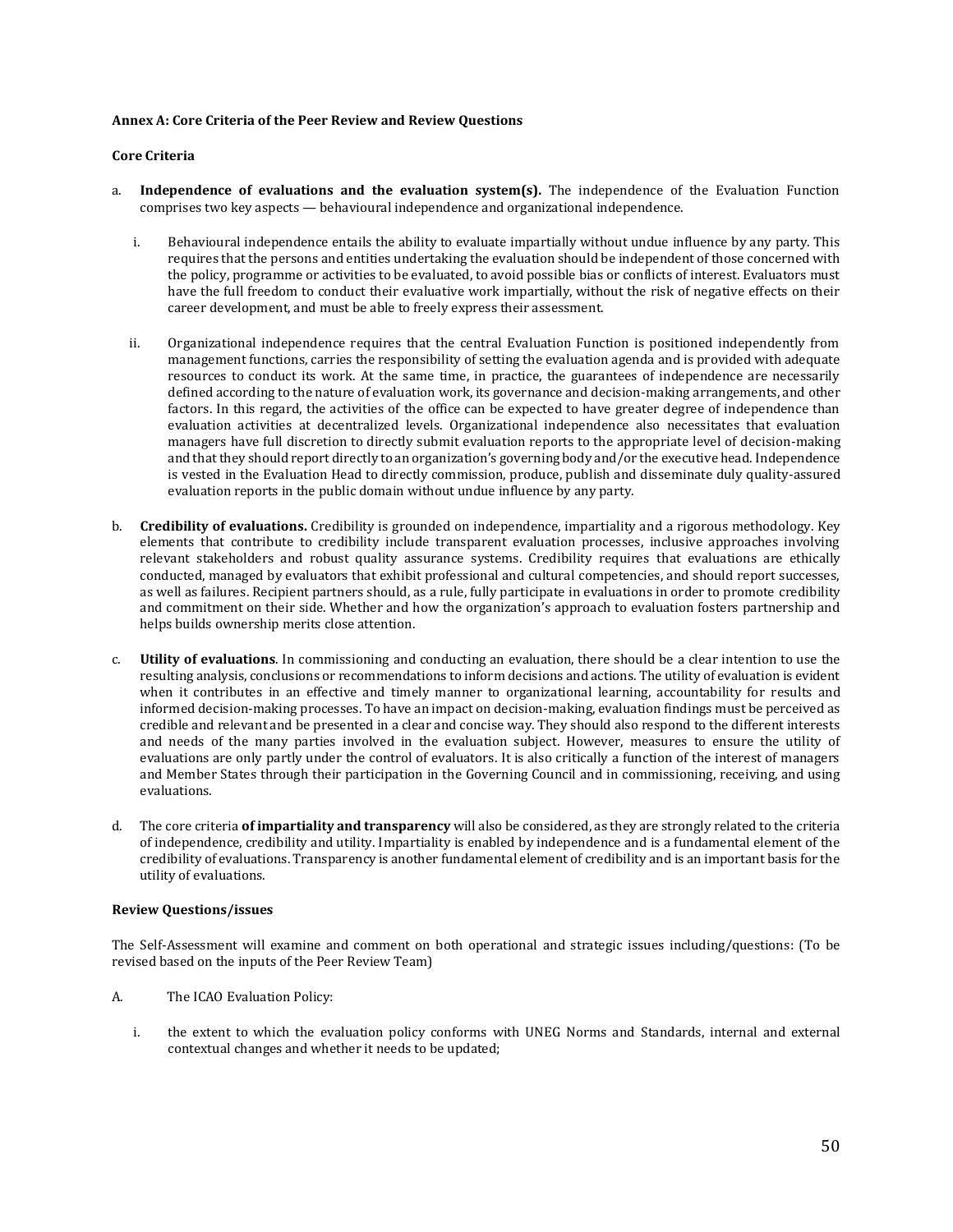#### **Annex A: Core Criteria of the Peer Review and Review Questions**

#### **Core Criteria**

- a. **Independence of evaluations and the evaluation system(s).** The independence of the Evaluation Function comprises two key aspects — behavioural independence and organizational independence.
	- i. Behavioural independence entails the ability to evaluate impartially without undue influence by any party. This requires that the persons and entities undertaking the evaluation should be independent of those concerned with the policy, programme or activities to be evaluated, to avoid possible bias or conflicts of interest. Evaluators must have the full freedom to conduct their evaluative work impartially, without the risk of negative effects on their career development, and must be able to freely express their assessment.
	- ii. Organizational independence requires that the central Evaluation Function is positioned independently from management functions, carries the responsibility of setting the evaluation agenda and is provided with adequate resources to conduct its work. At the same time, in practice, the guarantees of independence are necessarily defined according to the nature of evaluation work, its governance and decision-making arrangements, and other factors. In this regard, the activities of the office can be expected to have greater degree of independence than evaluation activities at decentralized levels. Organizational independence also necessitates that evaluation managers have full discretion to directly submit evaluation reports to the appropriate level of decision-making and that they should report directly to an organization's governing body and/or the executive head. Independence is vested in the Evaluation Head to directly commission, produce, publish and disseminate duly quality-assured evaluation reports in the public domain without undue influence by any party.
- b. **Credibility of evaluations.** Credibility is grounded on independence, impartiality and a rigorous methodology. Key elements that contribute to credibility include transparent evaluation processes, inclusive approaches involving relevant stakeholders and robust quality assurance systems. Credibility requires that evaluations are ethically conducted, managed by evaluators that exhibit professional and cultural competencies, and should report successes, as well as failures. Recipient partners should, as a rule, fully participate in evaluations in order to promote credibility and commitment on their side. Whether and how the organization's approach to evaluation fosters partnership and helps builds ownership merits close attention.
- c. **Utility of evaluations**. In commissioning and conducting an evaluation, there should be a clear intention to use the resulting analysis, conclusions or recommendations to inform decisions and actions. The utility of evaluation is evident when it contributes in an effective and timely manner to organizational learning, accountability for results and informed decision-making processes. To have an impact on decision-making, evaluation findings must be perceived as credible and relevant and be presented in a clear and concise way. They should also respond to the different interests and needs of the many parties involved in the evaluation subject. However, measures to ensure the utility of evaluations are only partly under the control of evaluators. It is also critically a function of the interest of managers and Member States through their participation in the Governing Council and in commissioning, receiving, and using evaluations.
- d. The core criteria **of impartiality and transparency** will also be considered, as they are strongly related to the criteria of independence, credibility and utility. Impartiality is enabled by independence and is a fundamental element of the credibility of evaluations. Transparency is another fundamental element of credibility and is an important basis for the utility of evaluations.

#### **Review Questions/issues**

The Self-Assessment will examine and comment on both operational and strategic issues including/questions: (To be revised based on the inputs of the Peer Review Team)

- A. The ICAO Evaluation Policy:
	- i. the extent to which the evaluation policy conforms with UNEG Norms and Standards, internal and external contextual changes and whether it needs to be updated;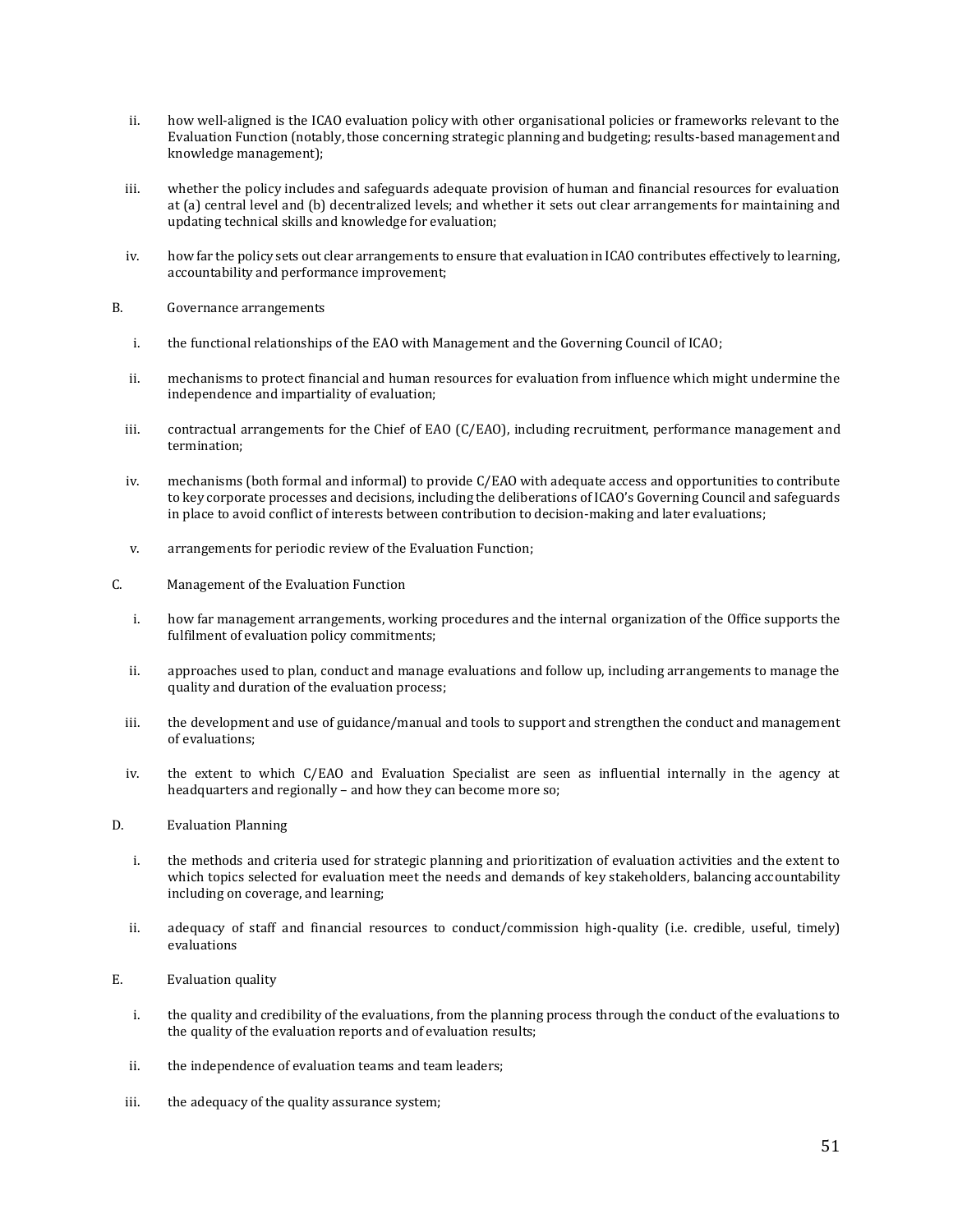- ii. how well-aligned is the ICAO evaluation policy with other organisational policies or frameworks relevant to the Evaluation Function (notably, those concerning strategic planning and budgeting; results-based management and knowledge management);
- iii. whether the policy includes and safeguards adequate provision of human and financial resources for evaluation at (a) central level and (b) decentralized levels; and whether it sets out clear arrangements for maintaining and updating technical skills and knowledge for evaluation;
- iv. how far the policy sets out clear arrangements to ensure that evaluation in ICAO contributes effectively to learning, accountability and performance improvement;
- B. Governance arrangements
	- i. the functional relationships of the EAO with Management and the Governing Council of ICAO;
	- ii. mechanisms to protect financial and human resources for evaluation from influence which might undermine the independence and impartiality of evaluation;
	- iii. contractual arrangements for the Chief of EAO (C/EAO), including recruitment, performance management and termination;
	- iv. mechanisms (both formal and informal) to provide C/EAO with adequate access and opportunities to contribute to key corporate processes and decisions, including the deliberations of ICAO's Governing Council and safeguards in place to avoid conflict of interests between contribution to decision-making and later evaluations;
	- v. arrangements for periodic review of the Evaluation Function;
- C. Management of the Evaluation Function
	- i. how far management arrangements, working procedures and the internal organization of the Office supports the fulfilment of evaluation policy commitments;
	- ii. approaches used to plan, conduct and manage evaluations and follow up, including arrangements to manage the quality and duration of the evaluation process;
	- iii. the development and use of guidance/manual and tools to support and strengthen the conduct and management of evaluations;
	- iv. the extent to which C/EAO and Evaluation Specialist are seen as influential internally in the agency at headquarters and regionally – and how they can become more so;
- D. Evaluation Planning
	- i. the methods and criteria used for strategic planning and prioritization of evaluation activities and the extent to which topics selected for evaluation meet the needs and demands of key stakeholders, balancing accountability including on coverage, and learning;
	- ii. adequacy of staff and financial resources to conduct/commission high-quality (i.e. credible, useful, timely) evaluations
- E. Evaluation quality
	- i. the quality and credibility of the evaluations, from the planning process through the conduct of the evaluations to the quality of the evaluation reports and of evaluation results;
	- ii. the independence of evaluation teams and team leaders;
	- iii. the adequacy of the quality assurance system;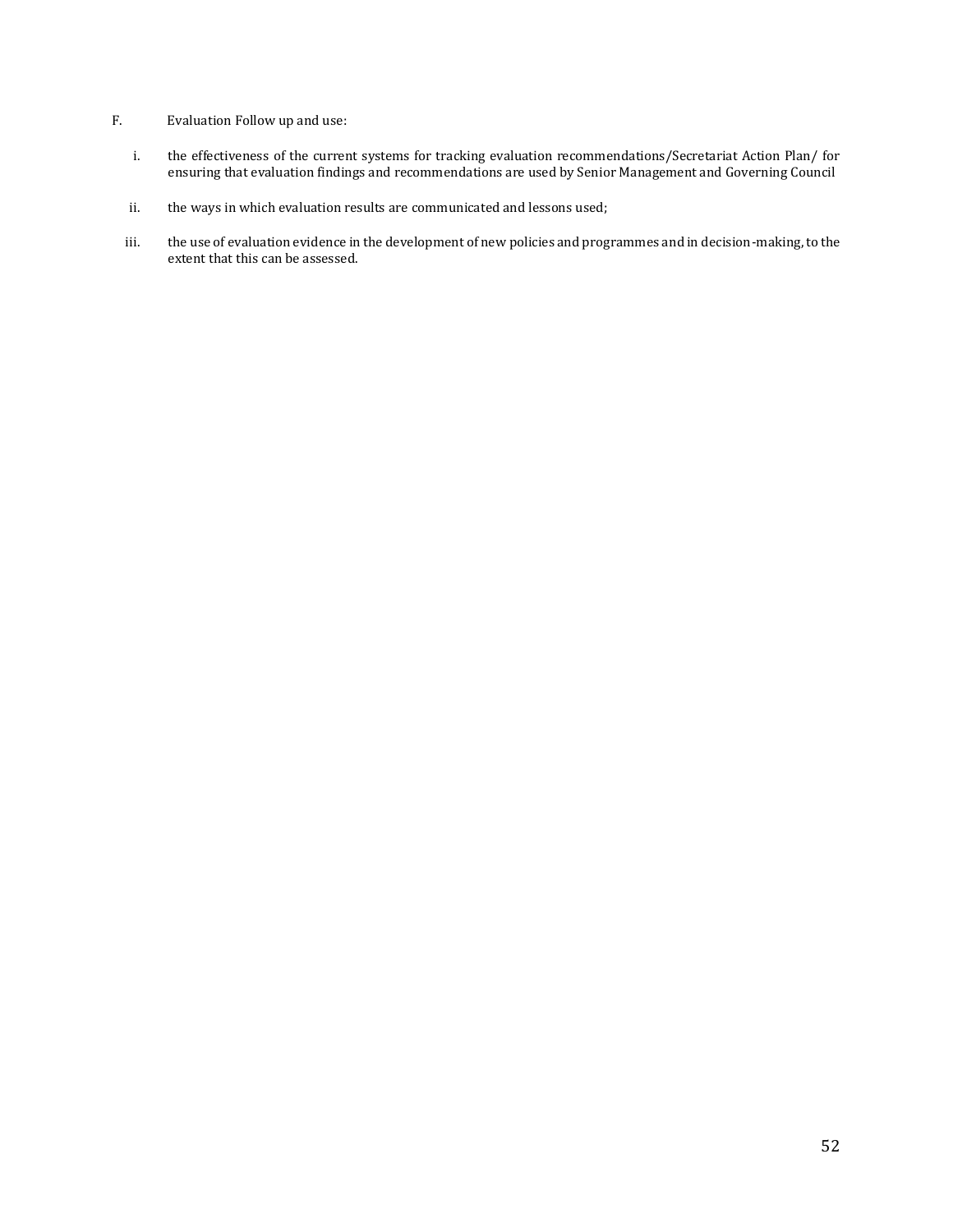- F. Evaluation Follow up and use:
	- i. the effectiveness of the current systems for tracking evaluation recommendations/Secretariat Action Plan/ for ensuring that evaluation findings and recommendations are used by Senior Management and Governing Council
	- ii. the ways in which evaluation results are communicated and lessons used;
	- iii. the use of evaluation evidence in the development of new policies and programmes and in decision-making, to the extent that this can be assessed.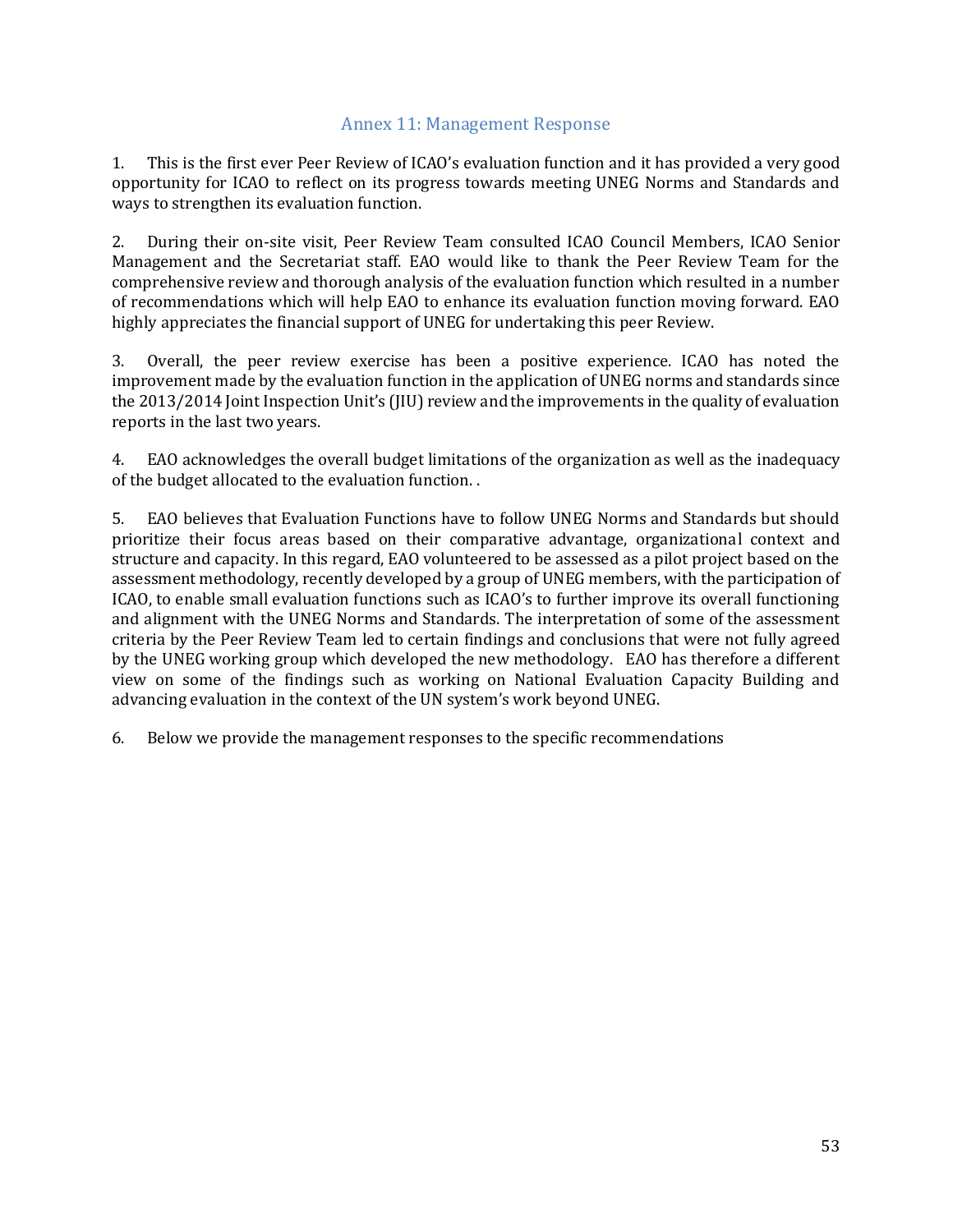#### Annex 11: Management Response

<span id="page-52-0"></span>1. This is the first ever Peer Review of ICAO's evaluation function and it has provided a very good opportunity for ICAO to reflect on its progress towards meeting UNEG Norms and Standards and ways to strengthen its evaluation function.

2. During their on-site visit, Peer Review Team consulted ICAO Council Members, ICAO Senior Management and the Secretariat staff. EAO would like to thank the Peer Review Team for the comprehensive review and thorough analysis of the evaluation function which resulted in a number of recommendations which will help EAO to enhance its evaluation function moving forward. EAO highly appreciates the financial support of UNEG for undertaking this peer Review.

3. Overall, the peer review exercise has been a positive experience. ICAO has noted the improvement made by the evaluation function in the application of UNEG norms and standards since the 2013/2014 Joint Inspection Unit's (JIU) review and the improvements in the quality of evaluation reports in the last two years.

4. EAO acknowledges the overall budget limitations of the organization as well as the inadequacy of the budget allocated to the evaluation function. .

5. EAO believes that Evaluation Functions have to follow UNEG Norms and Standards but should prioritize their focus areas based on their comparative advantage, organizational context and structure and capacity. In this regard, EAO volunteered to be assessed as a pilot project based on the assessment methodology, recently developed by a group of UNEG members, with the participation of ICAO, to enable small evaluation functions such as ICAO's to further improve its overall functioning and alignment with the UNEG Norms and Standards. The interpretation of some of the assessment criteria by the Peer Review Team led to certain findings and conclusions that were not fully agreed by the UNEG working group which developed the new methodology. EAO has therefore a different view on some of the findings such as working on National Evaluation Capacity Building and advancing evaluation in the context of the UN system's work beyond UNEG.

6. Below we provide the management responses to the specific recommendations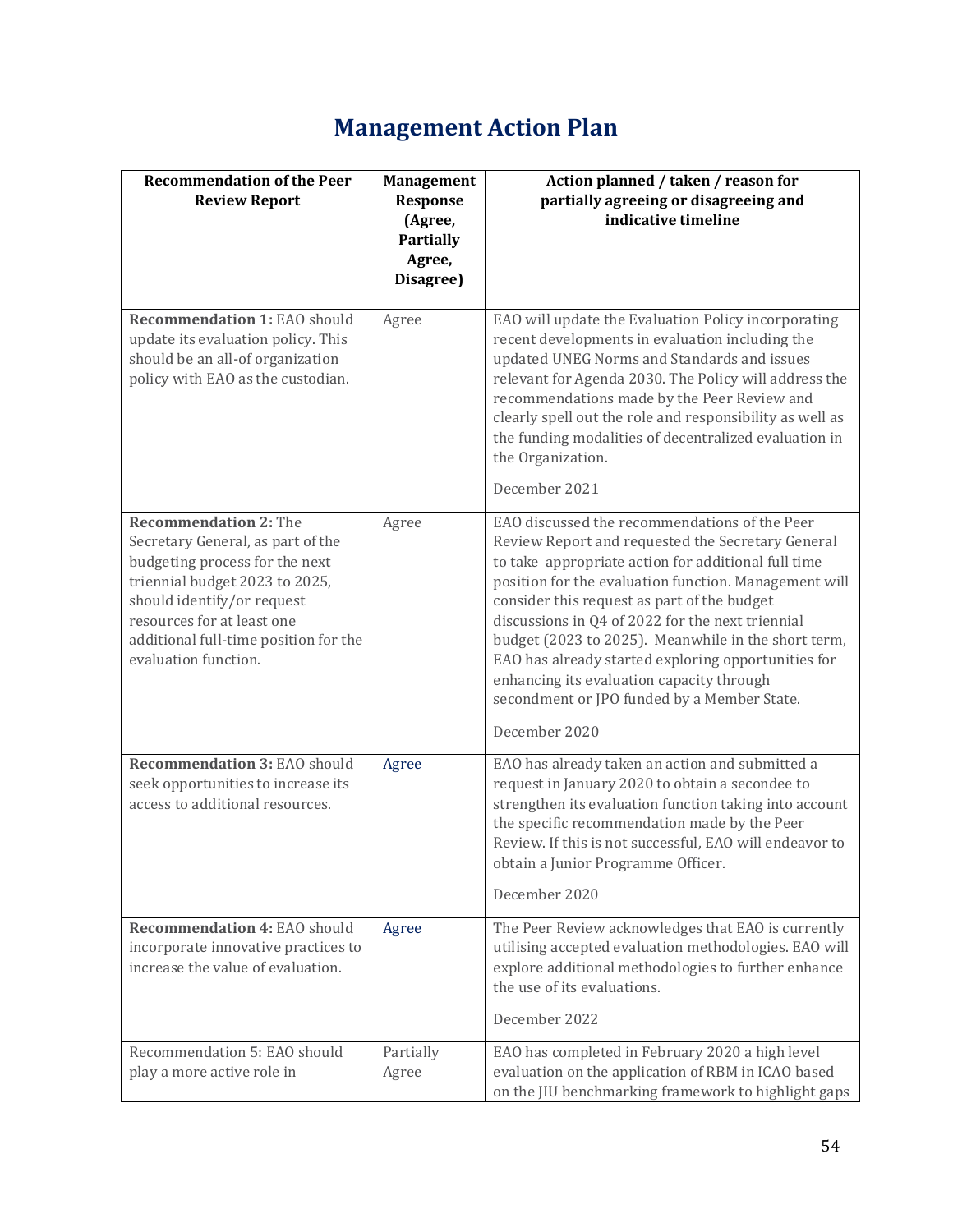# **Management Action Plan**

| <b>Recommendation of the Peer</b><br><b>Review Report</b><br><b>Recommendation 1: EAO should</b><br>update its evaluation policy. This<br>should be an all-of organization<br>policy with EAO as the custodian.                                                    | <b>Management</b><br>Response<br>(Agree,<br><b>Partially</b><br>Agree,<br>Disagree)<br>Agree | Action planned / taken / reason for<br>partially agreeing or disagreeing and<br>indicative timeline<br>EAO will update the Evaluation Policy incorporating<br>recent developments in evaluation including the<br>updated UNEG Norms and Standards and issues<br>relevant for Agenda 2030. The Policy will address the<br>recommendations made by the Peer Review and<br>clearly spell out the role and responsibility as well as<br>the funding modalities of decentralized evaluation in                                                        |
|--------------------------------------------------------------------------------------------------------------------------------------------------------------------------------------------------------------------------------------------------------------------|----------------------------------------------------------------------------------------------|--------------------------------------------------------------------------------------------------------------------------------------------------------------------------------------------------------------------------------------------------------------------------------------------------------------------------------------------------------------------------------------------------------------------------------------------------------------------------------------------------------------------------------------------------|
|                                                                                                                                                                                                                                                                    |                                                                                              | the Organization.<br>December 2021                                                                                                                                                                                                                                                                                                                                                                                                                                                                                                               |
| <b>Recommendation 2: The</b><br>Secretary General, as part of the<br>budgeting process for the next<br>triennial budget 2023 to 2025,<br>should identify/or request<br>resources for at least one<br>additional full-time position for the<br>evaluation function. | Agree                                                                                        | EAO discussed the recommendations of the Peer<br>Review Report and requested the Secretary General<br>to take appropriate action for additional full time<br>position for the evaluation function. Management will<br>consider this request as part of the budget<br>discussions in Q4 of 2022 for the next triennial<br>budget (2023 to 2025). Meanwhile in the short term,<br>EAO has already started exploring opportunities for<br>enhancing its evaluation capacity through<br>secondment or JPO funded by a Member State.<br>December 2020 |
| <b>Recommendation 3: EAO should</b><br>seek opportunities to increase its<br>access to additional resources.                                                                                                                                                       | Agree                                                                                        | EAO has already taken an action and submitted a<br>request in January 2020 to obtain a secondee to<br>strengthen its evaluation function taking into account<br>the specific recommendation made by the Peer<br>Review. If this is not successful, EAO will endeavor to<br>obtain a Junior Programme Officer.<br>December 2020                                                                                                                                                                                                                   |
| Recommendation 4: EAO should<br>incorporate innovative practices to<br>increase the value of evaluation.                                                                                                                                                           | Agree                                                                                        | The Peer Review acknowledges that EAO is currently<br>utilising accepted evaluation methodologies. EAO will<br>explore additional methodologies to further enhance<br>the use of its evaluations.<br>December 2022                                                                                                                                                                                                                                                                                                                               |
| Recommendation 5: EAO should<br>play a more active role in                                                                                                                                                                                                         | Partially<br>Agree                                                                           | EAO has completed in February 2020 a high level<br>evaluation on the application of RBM in ICAO based<br>on the JIU benchmarking framework to highlight gaps                                                                                                                                                                                                                                                                                                                                                                                     |